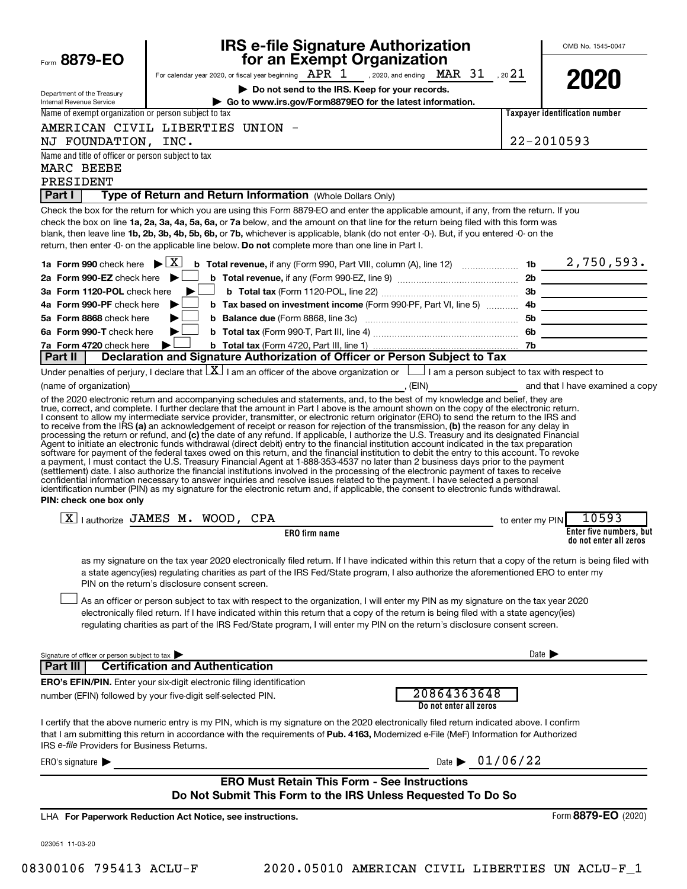|                                                                  | <b>IRS e-file Signature Authorization</b>                                                                                                                                                                                                                                                                                                                                                                                                                                                                                                                                                                                                                                                                                                                 |                            | OMB No. 1545-0047                                 |
|------------------------------------------------------------------|-----------------------------------------------------------------------------------------------------------------------------------------------------------------------------------------------------------------------------------------------------------------------------------------------------------------------------------------------------------------------------------------------------------------------------------------------------------------------------------------------------------------------------------------------------------------------------------------------------------------------------------------------------------------------------------------------------------------------------------------------------------|----------------------------|---------------------------------------------------|
| Form 8879-EO                                                     | for an Exempt Organization                                                                                                                                                                                                                                                                                                                                                                                                                                                                                                                                                                                                                                                                                                                                |                            |                                                   |
|                                                                  | For calendar year 2020, or fiscal year beginning $\text{APR}$ 1 , 2020, and ending $\text{MAR}$ 31 , 20 21<br>Do not send to the IRS. Keep for your records.                                                                                                                                                                                                                                                                                                                                                                                                                                                                                                                                                                                              |                            | 2020                                              |
| Department of the Treasury<br>Internal Revenue Service           | Go to www.irs.gov/Form8879EO for the latest information.                                                                                                                                                                                                                                                                                                                                                                                                                                                                                                                                                                                                                                                                                                  |                            |                                                   |
| Name of exempt organization or person subject to tax             |                                                                                                                                                                                                                                                                                                                                                                                                                                                                                                                                                                                                                                                                                                                                                           |                            | <b>Taxpaver identification number</b>             |
|                                                                  | AMERICAN CIVIL LIBERTIES UNION -                                                                                                                                                                                                                                                                                                                                                                                                                                                                                                                                                                                                                                                                                                                          |                            |                                                   |
| NJ FOUNDATION, INC.                                              |                                                                                                                                                                                                                                                                                                                                                                                                                                                                                                                                                                                                                                                                                                                                                           |                            | 22-2010593                                        |
| Name and title of officer or person subject to tax<br>MARC BEEBE |                                                                                                                                                                                                                                                                                                                                                                                                                                                                                                                                                                                                                                                                                                                                                           |                            |                                                   |
| PRESIDENT                                                        |                                                                                                                                                                                                                                                                                                                                                                                                                                                                                                                                                                                                                                                                                                                                                           |                            |                                                   |
| Part I                                                           | Type of Return and Return Information (Whole Dollars Only)                                                                                                                                                                                                                                                                                                                                                                                                                                                                                                                                                                                                                                                                                                |                            |                                                   |
|                                                                  | Check the box for the return for which you are using this Form 8879-EO and enter the applicable amount, if any, from the return. If you<br>check the box on line 1a, 2a, 3a, 4a, 5a, 6a, or 7a below, and the amount on that line for the return being filed with this form was<br>blank, then leave line 1b, 2b, 3b, 4b, 5b, 6b, or 7b, whichever is applicable, blank (do not enter -0-). But, if you entered -0- on the<br>return, then enter -0- on the applicable line below. Do not complete more than one line in Part I.                                                                                                                                                                                                                          |                            |                                                   |
| 1a Form 990 check here $\blacktriangleright \boxed{X}$           |                                                                                                                                                                                                                                                                                                                                                                                                                                                                                                                                                                                                                                                                                                                                                           |                            |                                                   |
| 2a Form 990-EZ check here                                        |                                                                                                                                                                                                                                                                                                                                                                                                                                                                                                                                                                                                                                                                                                                                                           |                            |                                                   |
| 3a Form 1120-POL check here                                      | ▶                                                                                                                                                                                                                                                                                                                                                                                                                                                                                                                                                                                                                                                                                                                                                         |                            |                                                   |
| 4a Form 990-PF check here                                        |                                                                                                                                                                                                                                                                                                                                                                                                                                                                                                                                                                                                                                                                                                                                                           |                            |                                                   |
| 5a Form 8868 check here<br>6a Form 990-T check here              |                                                                                                                                                                                                                                                                                                                                                                                                                                                                                                                                                                                                                                                                                                                                                           |                            |                                                   |
| 7a Form 4720 check here                                          |                                                                                                                                                                                                                                                                                                                                                                                                                                                                                                                                                                                                                                                                                                                                                           |                            |                                                   |
| Part II                                                          | Declaration and Signature Authorization of Officer or Person Subject to Tax                                                                                                                                                                                                                                                                                                                                                                                                                                                                                                                                                                                                                                                                               |                            |                                                   |
|                                                                  | Under penalties of perjury, I declare that $\boxed{\underline{X}}$ I am an officer of the above organization or $\boxed{\phantom{a}}$ I am a person subject to tax with respect to                                                                                                                                                                                                                                                                                                                                                                                                                                                                                                                                                                        |                            |                                                   |
| (name of organization)                                           |                                                                                                                                                                                                                                                                                                                                                                                                                                                                                                                                                                                                                                                                                                                                                           |                            |                                                   |
| PIN: check one box only                                          | (settlement) date. I also authorize the financial institutions involved in the processing of the electronic payment of taxes to receive<br>confidential information necessary to answer inquiries and resolve issues related to the payment. I have selected a personal<br>identification number (PIN) as my signature for the electronic return and, if applicable, the consent to electronic funds withdrawal.                                                                                                                                                                                                                                                                                                                                          |                            |                                                   |
|                                                                  | $\boxed{\text{X}}$   authorize JAMES M. WOOD, CPA                                                                                                                                                                                                                                                                                                                                                                                                                                                                                                                                                                                                                                                                                                         | to enter my PIN            | 10593                                             |
|                                                                  | <b>ERO</b> firm name                                                                                                                                                                                                                                                                                                                                                                                                                                                                                                                                                                                                                                                                                                                                      |                            | Enter five numbers, but<br>do not enter all zeros |
|                                                                  | as my signature on the tax year 2020 electronically filed return. If I have indicated within this return that a copy of the return is being filed with<br>a state agency(ies) regulating charities as part of the IRS Fed/State program, I also authorize the aforementioned ERO to enter my<br>PIN on the return's disclosure consent screen.<br>As an officer or person subject to tax with respect to the organization, I will enter my PIN as my signature on the tax year 2020<br>electronically filed return. If I have indicated within this return that a copy of the return is being filed with a state agency(ies)<br>regulating charities as part of the IRS Fed/State program, I will enter my PIN on the return's disclosure consent screen. |                            |                                                   |
| Signature of officer or person subject to tax                    |                                                                                                                                                                                                                                                                                                                                                                                                                                                                                                                                                                                                                                                                                                                                                           | Date $\blacktriangleright$ |                                                   |
| Part III                                                         | <b>Certification and Authentication</b>                                                                                                                                                                                                                                                                                                                                                                                                                                                                                                                                                                                                                                                                                                                   |                            |                                                   |
|                                                                  | ERO's EFIN/PIN. Enter your six-digit electronic filing identification<br>20864363648<br>number (EFIN) followed by your five-digit self-selected PIN.<br>Do not enter all zeros                                                                                                                                                                                                                                                                                                                                                                                                                                                                                                                                                                            |                            |                                                   |
| IRS e-file Providers for Business Returns.                       | I certify that the above numeric entry is my PIN, which is my signature on the 2020 electronically filed return indicated above. I confirm<br>that I am submitting this return in accordance with the requirements of Pub. 4163, Modernized e-File (MeF) Information for Authorized                                                                                                                                                                                                                                                                                                                                                                                                                                                                       |                            |                                                   |
| ERO's signature $\blacktriangleright$                            | Date $\triangleright$ 01/06/22                                                                                                                                                                                                                                                                                                                                                                                                                                                                                                                                                                                                                                                                                                                            |                            |                                                   |
|                                                                  | <b>ERO Must Retain This Form - See Instructions</b><br>Do Not Submit This Form to the IRS Unless Requested To Do So                                                                                                                                                                                                                                                                                                                                                                                                                                                                                                                                                                                                                                       |                            |                                                   |
|                                                                  | LHA For Paperwork Reduction Act Notice, see instructions.                                                                                                                                                                                                                                                                                                                                                                                                                                                                                                                                                                                                                                                                                                 |                            | Form 8879-EO (2020)                               |
| 023051 11-03-20                                                  |                                                                                                                                                                                                                                                                                                                                                                                                                                                                                                                                                                                                                                                                                                                                                           |                            |                                                   |
|                                                                  |                                                                                                                                                                                                                                                                                                                                                                                                                                                                                                                                                                                                                                                                                                                                                           |                            |                                                   |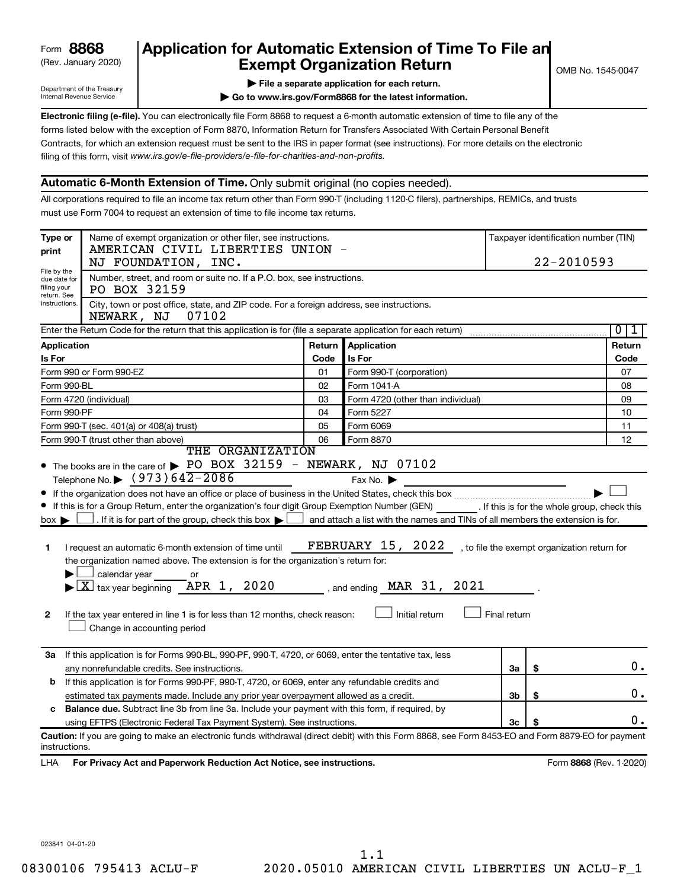# (Rev. January 2020) **Cxempt Organization Return** Manuary 2020) and the settern **Canadian Exempt Organization Return Form 8868 Application for Automatic Extension of Time To File an**<br>**Exempt Organization Return**

Department of the Treasury Internal Revenue Service

|  |  | File a separate application for each return. |
|--|--|----------------------------------------------|

**| Go to www.irs.gov/Form8868 for the latest information.**

**Electronic filing (e-file).** You can electronically file Form 8868 to request a 6-month automatic extension of time to file any of the filing of this form, visit www.irs.gov/e-file-providers/e-file-for-charities-and-non-profits. forms listed below with the exception of Form 8870, Information Return for Transfers Associated With Certain Personal Benefit Contracts, for which an extension request must be sent to the IRS in paper format (see instructions). For more details on the electronic

# **Automatic 6-Month Extension of Time.** Only submit original (no copies needed).

All corporations required to file an income tax return other than Form 990-T (including 1120-C filers), partnerships, REMICs, and trusts must use Form 7004 to request an extension of time to file income tax returns.

| print                                                                                                                            | Name of exempt organization or other filer, see instructions.<br>Type or<br>AMERICAN CIVIL LIBERTIES UNION                                                                                                                                                                                                                                                                                                                                                                                                                                                                   |        |                                                                                                                                                                 |              | Taxpayer identification number (TIN)         |                         |
|----------------------------------------------------------------------------------------------------------------------------------|------------------------------------------------------------------------------------------------------------------------------------------------------------------------------------------------------------------------------------------------------------------------------------------------------------------------------------------------------------------------------------------------------------------------------------------------------------------------------------------------------------------------------------------------------------------------------|--------|-----------------------------------------------------------------------------------------------------------------------------------------------------------------|--------------|----------------------------------------------|-------------------------|
|                                                                                                                                  | NJ FOUNDATION, INC.                                                                                                                                                                                                                                                                                                                                                                                                                                                                                                                                                          |        |                                                                                                                                                                 |              | 22-2010593                                   |                         |
| File by the<br>due date for<br>filing your<br>return. See                                                                        | Number, street, and room or suite no. If a P.O. box, see instructions.<br>PO BOX 32159                                                                                                                                                                                                                                                                                                                                                                                                                                                                                       |        |                                                                                                                                                                 |              |                                              |                         |
| instructions.<br>City, town or post office, state, and ZIP code. For a foreign address, see instructions.<br>07102<br>NEWARK, NJ |                                                                                                                                                                                                                                                                                                                                                                                                                                                                                                                                                                              |        |                                                                                                                                                                 |              |                                              |                         |
|                                                                                                                                  | Enter the Return Code for the return that this application is for (file a separate application for each return)                                                                                                                                                                                                                                                                                                                                                                                                                                                              |        |                                                                                                                                                                 |              |                                              | $\overline{0}$<br>1     |
| Application                                                                                                                      |                                                                                                                                                                                                                                                                                                                                                                                                                                                                                                                                                                              | Return | Application                                                                                                                                                     |              |                                              | Return                  |
| Is For                                                                                                                           |                                                                                                                                                                                                                                                                                                                                                                                                                                                                                                                                                                              | Code   | Is For                                                                                                                                                          |              |                                              | Code                    |
|                                                                                                                                  | Form 990 or Form 990-EZ                                                                                                                                                                                                                                                                                                                                                                                                                                                                                                                                                      | 01     | Form 990-T (corporation)                                                                                                                                        |              |                                              | 07                      |
| Form 990-BL                                                                                                                      |                                                                                                                                                                                                                                                                                                                                                                                                                                                                                                                                                                              | 02     | Form 1041 A                                                                                                                                                     |              |                                              | 08                      |
|                                                                                                                                  | Form 4720 (individual)                                                                                                                                                                                                                                                                                                                                                                                                                                                                                                                                                       | 03     | Form 4720 (other than individual)                                                                                                                               |              |                                              | 09                      |
| Form 990-PF                                                                                                                      |                                                                                                                                                                                                                                                                                                                                                                                                                                                                                                                                                                              | 04     | Form 5227                                                                                                                                                       |              |                                              | 10                      |
|                                                                                                                                  | Form 990-T (sec. 401(a) or 408(a) trust)                                                                                                                                                                                                                                                                                                                                                                                                                                                                                                                                     | 05     | Form 6069                                                                                                                                                       |              |                                              | 11                      |
|                                                                                                                                  | Form 990-T (trust other than above)                                                                                                                                                                                                                                                                                                                                                                                                                                                                                                                                          | 06     | Form 8870                                                                                                                                                       |              |                                              | 12                      |
|                                                                                                                                  | THE ORGANIZATION<br>• The books are in the care of > PO BOX 32159 - NEWARK, NJ 07102                                                                                                                                                                                                                                                                                                                                                                                                                                                                                         |        |                                                                                                                                                                 |              |                                              |                         |
| $box \blacktriangleright$<br>1<br>2                                                                                              | If this is for a Group Return, enter the organization's four digit Group Exemption Number (GEN) [If this is for the whole group, check this<br>. If it is for part of the group, check this box $\blacktriangleright$  <br>I request an automatic 6-month extension of time until<br>the organization named above. The extension is for the organization's return for:<br>calendar year<br>or<br>$ \underline{X} $ tax year beginning $\overline{APR}$ 1, 2020<br>If the tax year entered in line 1 is for less than 12 months, check reason:<br>Change in accounting period |        | and attach a list with the names and TINs of all members the extension is for.<br><b>FEBRUARY 15, 2022</b><br>, and ending $\n  MAR$ 31, 2021<br>Initial return | Final return | , to file the exempt organization return for |                         |
| За                                                                                                                               | If this application is for Forms 990-BL, 990-PF, 990-T, 4720, or 6069, enter the tentative tax, less                                                                                                                                                                                                                                                                                                                                                                                                                                                                         |        |                                                                                                                                                                 |              |                                              |                         |
|                                                                                                                                  | any nonrefundable credits. See instructions.                                                                                                                                                                                                                                                                                                                                                                                                                                                                                                                                 |        |                                                                                                                                                                 | За           | \$                                           | 0.                      |
| b                                                                                                                                | If this application is for Forms 990-PF, 990-T, 4720, or 6069, enter any refundable credits and                                                                                                                                                                                                                                                                                                                                                                                                                                                                              |        |                                                                                                                                                                 |              |                                              |                         |
|                                                                                                                                  | estimated tax payments made. Include any prior year overpayment allowed as a credit.                                                                                                                                                                                                                                                                                                                                                                                                                                                                                         |        |                                                                                                                                                                 | 3b           | \$                                           | $0$ .                   |
|                                                                                                                                  | c Balance due. Subtract line 3b from line 3a. Include your payment with this form, if required, by                                                                                                                                                                                                                                                                                                                                                                                                                                                                           |        |                                                                                                                                                                 |              |                                              | 0.                      |
|                                                                                                                                  | using EFTPS (Electronic Federal Tax Payment System). See instructions.                                                                                                                                                                                                                                                                                                                                                                                                                                                                                                       |        |                                                                                                                                                                 | Зс           |                                              |                         |
| instructions.                                                                                                                    | Caution: If you are going to make an electronic funds withdrawal (direct debit) with this Form 8868, see Form 8453-EO and Form 8879-EO for payment                                                                                                                                                                                                                                                                                                                                                                                                                           |        |                                                                                                                                                                 |              |                                              |                         |
| LHA.                                                                                                                             | For Privacy Act and Paperwork Reduction Act Notice, see instructions.                                                                                                                                                                                                                                                                                                                                                                                                                                                                                                        |        |                                                                                                                                                                 |              |                                              | Form 8868 (Rev. 1-2020) |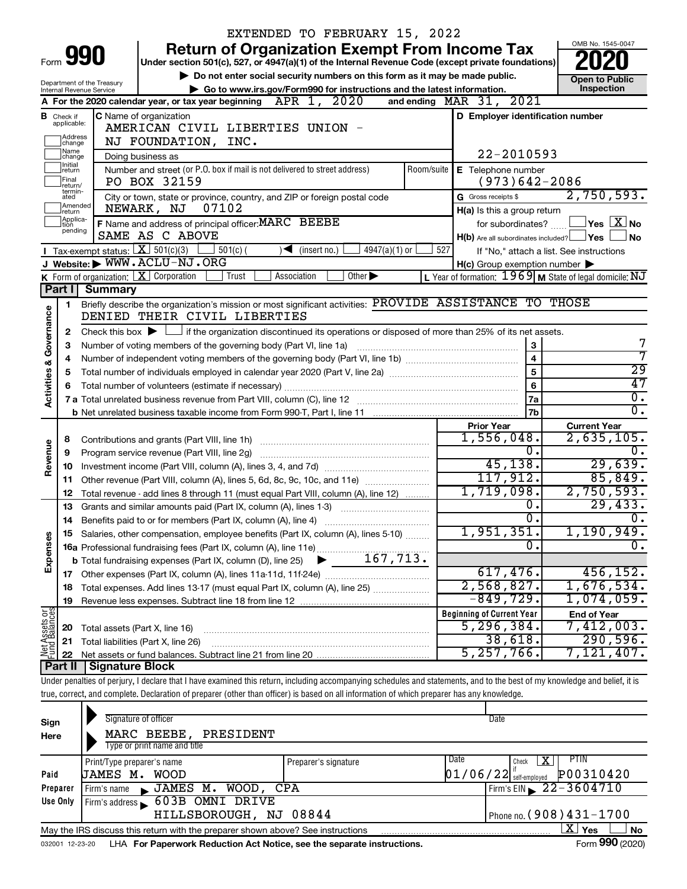|                         |                              |                                                        |                                                                                       | EXTENDED TO FEBRUARY 15, 2022                                                                                                                                              |                                                           |                                                                  |
|-------------------------|------------------------------|--------------------------------------------------------|---------------------------------------------------------------------------------------|----------------------------------------------------------------------------------------------------------------------------------------------------------------------------|-----------------------------------------------------------|------------------------------------------------------------------|
|                         |                              |                                                        |                                                                                       | <b>Return of Organization Exempt From Income Tax</b>                                                                                                                       |                                                           | OMB No. 1545-0047                                                |
|                         | Form <b>990</b>              |                                                        |                                                                                       | Under section 501(c), 527, or 4947(a)(1) of the Internal Revenue Code (except private foundations)                                                                         |                                                           |                                                                  |
|                         |                              |                                                        |                                                                                       | Do not enter social security numbers on this form as it may be made public.                                                                                                |                                                           | <b>Open to Public</b>                                            |
|                         |                              | Department of the Treasury<br>Internal Revenue Service |                                                                                       | Go to www.irs.gov/Form990 for instructions and the latest information.                                                                                                     |                                                           | Inspection                                                       |
|                         |                              |                                                        | A For the 2020 calendar year, or tax year beginning $\Phi$ APR $\left(1, 2020\right)$ |                                                                                                                                                                            | and ending $\n  MAR\n  31, 2021\n$                        |                                                                  |
|                         | <b>B</b> Check if            |                                                        | <b>C</b> Name of organization                                                         |                                                                                                                                                                            | D Employer identification number                          |                                                                  |
|                         | applicable:                  |                                                        | AMERICAN CIVIL LIBERTIES UNION -                                                      |                                                                                                                                                                            |                                                           |                                                                  |
|                         | Address<br>change            |                                                        | NJ FOUNDATION, INC.                                                                   |                                                                                                                                                                            |                                                           |                                                                  |
|                         | Name<br> change              |                                                        | Doing business as                                                                     |                                                                                                                                                                            | 22-2010593                                                |                                                                  |
|                         | Ilnitial<br>∣return          |                                                        | Number and street (or P.O. box if mail is not delivered to street address)            | Room/suite                                                                                                                                                                 | E Telephone number                                        |                                                                  |
|                         | <b> Final</b><br>return/     |                                                        | PO BOX 32159                                                                          |                                                                                                                                                                            | $(973)642 - 2086$                                         |                                                                  |
|                         | termin-<br>ated              |                                                        | City or town, state or province, country, and ZIP or foreign postal code              |                                                                                                                                                                            | G Gross receipts \$                                       | 2,750,593.                                                       |
|                         | Amended<br>Ireturn           |                                                        | NEWARK, NJ<br>07102                                                                   |                                                                                                                                                                            | H(a) Is this a group return                               |                                                                  |
|                         | Applica-<br>Ition<br>pending |                                                        | F Name and address of principal officer: MARC BEEBE                                   |                                                                                                                                                                            | for subordinates?                                         | $ {\mathsf Y}{\mathsf e}{\mathsf s} \ \overline{{\mathsf X}}$ No |
|                         |                              |                                                        | SAME AS C ABOVE                                                                       |                                                                                                                                                                            | H(b) Are all subordinates included? Ves                   | <b>No</b>                                                        |
|                         |                              |                                                        | <b>I</b> Tax-exempt status: $X \overline{X}$ 501(c)(3)<br>$501(c)$ (                  | $\sqrt{\bullet}$ (insert no.)<br>$4947(a)(1)$ or                                                                                                                           | 527                                                       | If "No," attach a list. See instructions                         |
|                         |                              |                                                        | J Website: WWW.ACLU-NJ.ORG                                                            |                                                                                                                                                                            | $H(c)$ Group exemption number $\blacktriangleright$       |                                                                  |
|                         |                              |                                                        | K Form of organization: $X$ Corporation<br>Trust                                      | Other $\blacktriangleright$<br>Association                                                                                                                                 | L Year of formation: $1969$ M State of legal domicile: NJ |                                                                  |
|                         |                              | Part I Summary                                         |                                                                                       |                                                                                                                                                                            |                                                           |                                                                  |
|                         | 1                            |                                                        | DENIED THEIR CIVIL LIBERTIES                                                          | Briefly describe the organization's mission or most significant activities: PROVIDE ASSISTANCE TO THOSE                                                                    |                                                           |                                                                  |
|                         |                              |                                                        |                                                                                       |                                                                                                                                                                            |                                                           |                                                                  |
| Governance              | 2                            |                                                        |                                                                                       | Check this box $\blacktriangleright$ $\Box$ if the organization discontinued its operations or disposed of more than 25% of its net assets.                                |                                                           | 7                                                                |
|                         | З                            |                                                        | Number of voting members of the governing body (Part VI, line 1a)                     |                                                                                                                                                                            | 3<br>$\overline{\mathbf{4}}$                              | 7                                                                |
|                         | 4                            |                                                        | 5                                                                                     | $\overline{29}$                                                                                                                                                            |                                                           |                                                                  |
|                         | 5                            |                                                        |                                                                                       |                                                                                                                                                                            | 6                                                         | 47                                                               |
| <b>Activities &amp;</b> |                              |                                                        |                                                                                       |                                                                                                                                                                            | 7a                                                        | $\overline{0}$ .                                                 |
|                         |                              |                                                        |                                                                                       |                                                                                                                                                                            |                                                           |                                                                  |
|                         |                              |                                                        |                                                                                       |                                                                                                                                                                            |                                                           |                                                                  |
|                         |                              |                                                        |                                                                                       |                                                                                                                                                                            | 7b                                                        | $\overline{0}$ .                                                 |
|                         |                              |                                                        |                                                                                       |                                                                                                                                                                            | <b>Prior Year</b>                                         | <b>Current Year</b>                                              |
|                         | 8                            |                                                        | Contributions and grants (Part VIII, line 1h)                                         |                                                                                                                                                                            | 1,556,048.<br>0.                                          | 2,635,105.<br>0.                                                 |
|                         | 9                            |                                                        | Program service revenue (Part VIII, line 2g)                                          |                                                                                                                                                                            |                                                           |                                                                  |
| Revenue                 | 10                           |                                                        |                                                                                       |                                                                                                                                                                            | 45, 138.                                                  | 29,639.                                                          |
|                         | 11<br>12                     |                                                        |                                                                                       | Other revenue (Part VIII, column (A), lines 5, 6d, 8c, 9c, 10c, and 11e)                                                                                                   | 117,912.                                                  | 85,849.                                                          |
|                         | 13                           |                                                        |                                                                                       | Total revenue - add lines 8 through 11 (must equal Part VIII, column (A), line 12)                                                                                         | 1,719,098.<br>0.                                          | 2,750,593.                                                       |
|                         | 14                           |                                                        |                                                                                       | Grants and similar amounts paid (Part IX, column (A), lines 1-3)                                                                                                           | σ.                                                        | 29,433.<br>0.                                                    |
|                         |                              |                                                        | Benefits paid to or for members (Part IX, column (A), line 4)                         |                                                                                                                                                                            |                                                           |                                                                  |
|                         |                              |                                                        |                                                                                       | 15 Salaries, other compensation, employee benefits (Part IX, column (A), lines 5-10)                                                                                       | 1,951,351.<br>0.                                          | 1,190,949.<br>0.                                                 |
|                         |                              |                                                        |                                                                                       |                                                                                                                                                                            |                                                           |                                                                  |
| Expenses                |                              |                                                        |                                                                                       |                                                                                                                                                                            | 617,476.                                                  | 456, 152.                                                        |
|                         | 18                           |                                                        |                                                                                       | Total expenses. Add lines 13-17 (must equal Part IX, column (A), line 25)                                                                                                  | 2,568,827.                                                | 1,676,534.                                                       |
|                         | 19                           |                                                        |                                                                                       |                                                                                                                                                                            | $-849,729$ .                                              | $1,074,059$ .                                                    |
|                         |                              |                                                        |                                                                                       |                                                                                                                                                                            | <b>Beginning of Current Year</b>                          | <b>End of Year</b>                                               |
|                         | 20                           |                                                        | Total assets (Part X, line 16)                                                        |                                                                                                                                                                            | 5, 296, 384.                                              | 7,412,003 <b>.</b>                                               |
|                         | 21                           |                                                        | Total liabilities (Part X, line 26)                                                   |                                                                                                                                                                            | 38,618.                                                   | 290,596.                                                         |
| Net Assets or           | 22                           |                                                        |                                                                                       |                                                                                                                                                                            | 5,257,766.                                                | 7,121,407.                                                       |
|                         | <b>Part II</b>               | <b>Signature Block</b>                                 |                                                                                       |                                                                                                                                                                            |                                                           |                                                                  |
|                         |                              |                                                        |                                                                                       | Under penalties of perjury, I declare that I have examined this return, including accompanying schedules and statements, and to the best of my knowledge and belief, it is |                                                           |                                                                  |
|                         |                              |                                                        |                                                                                       | true, correct, and complete. Declaration of preparer (other than officer) is based on all information of which preparer has any knowledge.                                 |                                                           |                                                                  |
|                         |                              |                                                        |                                                                                       |                                                                                                                                                                            |                                                           |                                                                  |
| Sign                    |                              |                                                        | Signature of officer                                                                  |                                                                                                                                                                            | Date                                                      |                                                                  |
| Here                    |                              |                                                        | MARC BEEBE, PRESIDENT                                                                 |                                                                                                                                                                            |                                                           |                                                                  |
|                         |                              |                                                        | Type or print name and title                                                          |                                                                                                                                                                            |                                                           |                                                                  |
| Paid                    |                              | Print/Type preparer's name<br>JAMES M. WOOD            |                                                                                       | Preparer's signature                                                                                                                                                       | Date<br>Check<br>$01/06/22$ self-employed                 | PTIN<br>$\mathbf{X}$<br>P00310420                                |

| <b>Paid</b>                                                                                                     | <b>UAMES M. WUUD</b> |                                |                                                                        |  | $ U \perp / U0 / Z4 $ self-employed $ VU \cup J1 U4 ZU$ |  |  |
|-----------------------------------------------------------------------------------------------------------------|----------------------|--------------------------------|------------------------------------------------------------------------|--|---------------------------------------------------------|--|--|
| Preparer                                                                                                        | Firm's name          | JAMES M. WOOD, CPA             |                                                                        |  | $1$ Firm's EIN $\geq 2 - 3604710$                       |  |  |
| Use Only                                                                                                        |                      | Firm's address 603B OMNI DRIVE |                                                                        |  |                                                         |  |  |
|                                                                                                                 |                      | HILLSBOROUGH, NJ 08844         |                                                                        |  | I Phone no. $(908)$ $431 - 1700$                        |  |  |
| x<br><b>Yes</b><br><b>No</b><br>May the IRS discuss this return with the preparer shown above? See instructions |                      |                                |                                                                        |  |                                                         |  |  |
| 032001 12-23-20                                                                                                 |                      |                                | LHA For Paperwork Reduction Act Notice, see the separate instructions. |  | Form 990 (2020)                                         |  |  |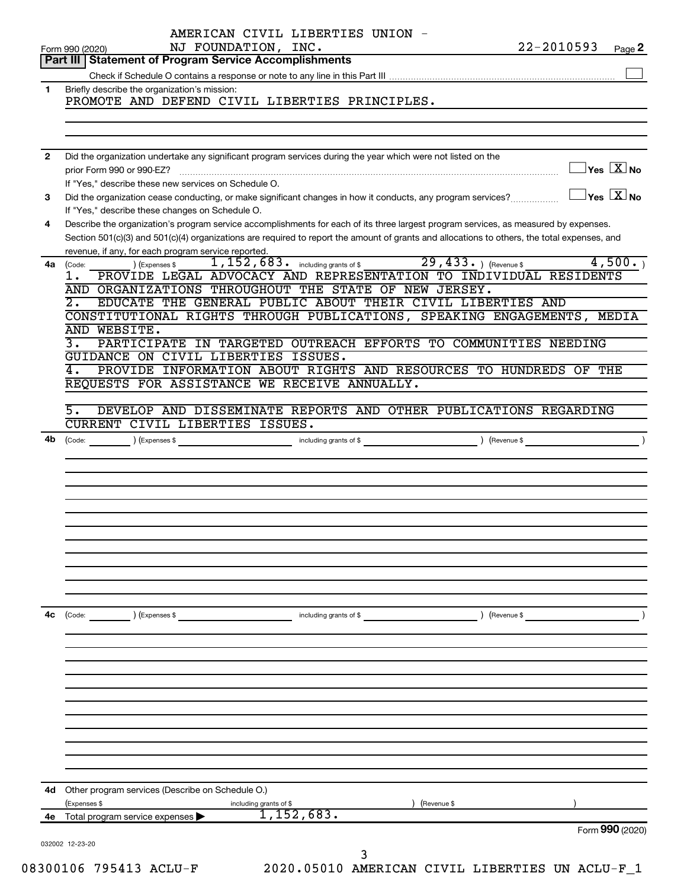|                | AMERICAN CIVIL LIBERTIES UNION -                                                                                                             | $22 - 2010593$ |                                         |
|----------------|----------------------------------------------------------------------------------------------------------------------------------------------|----------------|-----------------------------------------|
|                | NJ FOUNDATION, INC.<br>Form 990 (2020)<br>Part III   Statement of Program Service Accomplishments                                            |                | Page 2                                  |
|                |                                                                                                                                              |                |                                         |
| 1              | Briefly describe the organization's mission:                                                                                                 |                |                                         |
|                | PROMOTE AND DEFEND CIVIL LIBERTIES PRINCIPLES.                                                                                               |                |                                         |
|                |                                                                                                                                              |                |                                         |
|                |                                                                                                                                              |                |                                         |
|                |                                                                                                                                              |                |                                         |
| $\overline{2}$ | Did the organization undertake any significant program services during the year which were not listed on the                                 |                | $\Box$ Yes $[\overline{\mathrm{X}}]$ No |
|                | If "Yes," describe these new services on Schedule O.                                                                                         |                |                                         |
| 3              | Did the organization cease conducting, or make significant changes in how it conducts, any program services?                                 |                | $\Box$ Yes $[\overline{\mathrm{X}}]$ No |
|                | If "Yes," describe these changes on Schedule O.                                                                                              |                |                                         |
| 4              | Describe the organization's program service accomplishments for each of its three largest program services, as measured by expenses.         |                |                                         |
|                | Section 501(c)(3) and 501(c)(4) organizations are required to report the amount of grants and allocations to others, the total expenses, and |                |                                         |
|                | revenue, if any, for each program service reported.<br>Prvice reported.<br>1,152,683. including grants of \$29,433. ) (Revenue \$            |                |                                         |
| 4a             | ) (Expenses \$<br>(Code:<br>PROVIDE LEGAL ADVOCACY AND REPRESENTATION TO INDIVIDUAL RESIDENTS                                                |                | 4,500.                                  |
|                | ı.<br>AND ORGANIZATIONS THROUGHOUT THE STATE OF NEW JERSEY.                                                                                  |                |                                         |
|                | $\overline{2}$ .<br>EDUCATE THE GENERAL PUBLIC ABOUT THEIR CIVIL LIBERTIES AND                                                               |                |                                         |
|                | CONSTITUTIONAL RIGHTS THROUGH PUBLICATIONS, SPEAKING ENGAGEMENTS, MEDIA                                                                      |                |                                         |
|                | AND WEBSITE.                                                                                                                                 |                |                                         |
|                | 3.<br>PARTICIPATE IN TARGETED OUTREACH EFFORTS TO COMMUNITIES NEEDING                                                                        |                |                                         |
|                | GUIDANCE ON CIVIL LIBERTIES ISSUES.                                                                                                          |                |                                         |
|                | PROVIDE INFORMATION ABOUT RIGHTS AND RESOURCES TO HUNDREDS OF THE<br>4.                                                                      |                |                                         |
|                | REQUESTS FOR ASSISTANCE WE RECEIVE ANNUALLY.                                                                                                 |                |                                         |
|                | 5.<br>DEVELOP AND DISSEMINATE REPORTS AND OTHER PUBLICATIONS REGARDING                                                                       |                |                                         |
|                | CURRENT CIVIL LIBERTIES ISSUES.                                                                                                              |                |                                         |
| 4b             |                                                                                                                                              |                |                                         |
|                |                                                                                                                                              |                |                                         |
|                |                                                                                                                                              |                |                                         |
|                |                                                                                                                                              |                |                                         |
|                |                                                                                                                                              |                |                                         |
|                |                                                                                                                                              |                |                                         |
|                |                                                                                                                                              |                |                                         |
|                |                                                                                                                                              |                |                                         |
|                |                                                                                                                                              |                |                                         |
|                |                                                                                                                                              |                |                                         |
|                |                                                                                                                                              |                |                                         |
|                |                                                                                                                                              |                |                                         |
| 4c             | $\left(\text{Code:}\right)$ $\left(\text{Expenses $}\right)$<br>including grants of \$                                                       | ) (Revenue \$  |                                         |
|                |                                                                                                                                              |                |                                         |
|                |                                                                                                                                              |                |                                         |
|                |                                                                                                                                              |                |                                         |
|                |                                                                                                                                              |                |                                         |
|                |                                                                                                                                              |                |                                         |
|                |                                                                                                                                              |                |                                         |
|                |                                                                                                                                              |                |                                         |
|                |                                                                                                                                              |                |                                         |
|                |                                                                                                                                              |                |                                         |
|                |                                                                                                                                              |                |                                         |
|                | 4d Other program services (Describe on Schedule O.)                                                                                          |                |                                         |
|                | (Expenses \$<br>(Revenue \$<br>including grants of \$                                                                                        |                |                                         |
| 4е             | $\overline{1,152,683.}$<br>Total program service expenses >                                                                                  |                |                                         |
|                |                                                                                                                                              |                | Form 990 (2020)                         |
|                | 032002 12-23-20                                                                                                                              |                |                                         |
|                | 3<br>20010C 70E 112 ROTII B<br>2020 OE010 AMERICAN CIVIL                                                                                     | r thunmtus     |                                         |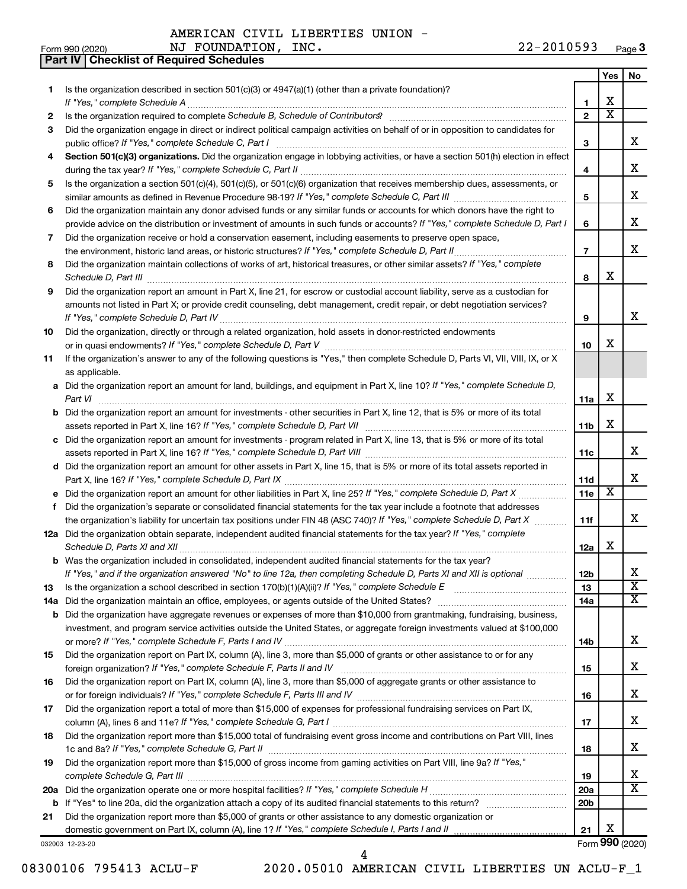**Part IV Checklist of Required Schedules**

|     |                                                                                                                                       |                 | Yes | No.                     |
|-----|---------------------------------------------------------------------------------------------------------------------------------------|-----------------|-----|-------------------------|
| 1.  | Is the organization described in section 501(c)(3) or 4947(a)(1) (other than a private foundation)?                                   |                 |     |                         |
|     | If "Yes," complete Schedule A                                                                                                         | 1               | х   |                         |
| 2   |                                                                                                                                       | $\mathbf{2}$    | X   |                         |
| З   | Did the organization engage in direct or indirect political campaign activities on behalf of or in opposition to candidates for       |                 |     |                         |
|     |                                                                                                                                       | 3               |     | x                       |
| 4   | Section 501(c)(3) organizations. Did the organization engage in lobbying activities, or have a section 501(h) election in effect      |                 |     |                         |
|     |                                                                                                                                       | 4               |     | х                       |
| 5   | Is the organization a section 501(c)(4), 501(c)(5), or 501(c)(6) organization that receives membership dues, assessments, or          |                 |     |                         |
|     |                                                                                                                                       | 5               |     | х                       |
| 6   | Did the organization maintain any donor advised funds or any similar funds or accounts for which donors have the right to             |                 |     |                         |
|     | provide advice on the distribution or investment of amounts in such funds or accounts? If "Yes," complete Schedule D, Part I          | 6               |     | х                       |
| 7   | Did the organization receive or hold a conservation easement, including easements to preserve open space,                             |                 |     | x                       |
|     | the environment, historic land areas, or historic structures? If "Yes," complete Schedule D, Part II                                  | $\overline{7}$  |     |                         |
| 8   | Did the organization maintain collections of works of art, historical treasures, or other similar assets? If "Yes," complete          |                 | х   |                         |
|     | Schedule D, Part III <b>Westerman Communication</b> Contract and Technical Communications and Technical Communications                | 8               |     |                         |
| 9   | Did the organization report an amount in Part X, line 21, for escrow or custodial account liability, serve as a custodian for         |                 |     |                         |
|     | amounts not listed in Part X; or provide credit counseling, debt management, credit repair, or debt negotiation services?             | 9               |     | x                       |
| 10  | Did the organization, directly or through a related organization, hold assets in donor-restricted endowments                          |                 |     |                         |
|     |                                                                                                                                       | 10              | х   |                         |
| 11  | If the organization's answer to any of the following questions is "Yes," then complete Schedule D, Parts VI, VII, VIII, IX, or X      |                 |     |                         |
|     | as applicable.                                                                                                                        |                 |     |                         |
|     | a Did the organization report an amount for land, buildings, and equipment in Part X, line 10? If "Yes," complete Schedule D,         |                 |     |                         |
|     |                                                                                                                                       | 11a             | х   |                         |
|     | <b>b</b> Did the organization report an amount for investments - other securities in Part X, line 12, that is 5% or more of its total |                 |     |                         |
|     |                                                                                                                                       | 11 <sub>b</sub> | х   |                         |
|     | c Did the organization report an amount for investments - program related in Part X, line 13, that is 5% or more of its total         |                 |     |                         |
|     |                                                                                                                                       | 11c             |     | х                       |
|     | d Did the organization report an amount for other assets in Part X, line 15, that is 5% or more of its total assets reported in       |                 |     |                         |
|     |                                                                                                                                       | 11d             |     | х                       |
|     |                                                                                                                                       | 11e             | X   |                         |
| f   | Did the organization's separate or consolidated financial statements for the tax year include a footnote that addresses               |                 |     |                         |
|     | the organization's liability for uncertain tax positions under FIN 48 (ASC 740)? If "Yes," complete Schedule D, Part X                | 11f             |     | x                       |
|     | 12a Did the organization obtain separate, independent audited financial statements for the tax year? If "Yes," complete               |                 |     |                         |
|     |                                                                                                                                       | 12a             | х   |                         |
|     | <b>b</b> Was the organization included in consolidated, independent audited financial statements for the tax year?                    |                 |     |                         |
|     | If "Yes," and if the organization answered "No" to line 12a, then completing Schedule D, Parts XI and XII is optional                 | 12 <sub>b</sub> |     | х                       |
| 13  |                                                                                                                                       | 13              |     | $\overline{\textbf{x}}$ |
| 14a |                                                                                                                                       | 14a             |     | x                       |
|     | <b>b</b> Did the organization have aggregate revenues or expenses of more than \$10,000 from grantmaking, fundraising, business,      |                 |     |                         |
|     | investment, and program service activities outside the United States, or aggregate foreign investments valued at \$100,000            |                 |     | х                       |
|     | Did the organization report on Part IX, column (A), line 3, more than \$5,000 of grants or other assistance to or for any             | 14b             |     |                         |
| 15  |                                                                                                                                       | 15              |     | x                       |
|     | Did the organization report on Part IX, column (A), line 3, more than \$5,000 of aggregate grants or other assistance to              |                 |     |                         |
| 16  |                                                                                                                                       | 16              |     | x                       |
| 17  | Did the organization report a total of more than \$15,000 of expenses for professional fundraising services on Part IX,               |                 |     |                         |
|     |                                                                                                                                       | 17              |     | x                       |
| 18  | Did the organization report more than \$15,000 total of fundraising event gross income and contributions on Part VIII, lines          |                 |     |                         |
|     |                                                                                                                                       | 18              |     | x                       |
| 19  | Did the organization report more than \$15,000 of gross income from gaming activities on Part VIII, line 9a? If "Yes,"                |                 |     |                         |
|     |                                                                                                                                       | 19              |     | x                       |
|     |                                                                                                                                       | 20a             |     | $\overline{\text{X}}$   |
|     |                                                                                                                                       | 20 <sub>b</sub> |     |                         |
| 21  | Did the organization report more than \$5,000 of grants or other assistance to any domestic organization or                           |                 |     |                         |
|     |                                                                                                                                       | 21              | х   |                         |
|     | 032003 12-23-20                                                                                                                       |                 |     | Form 990 (2020)         |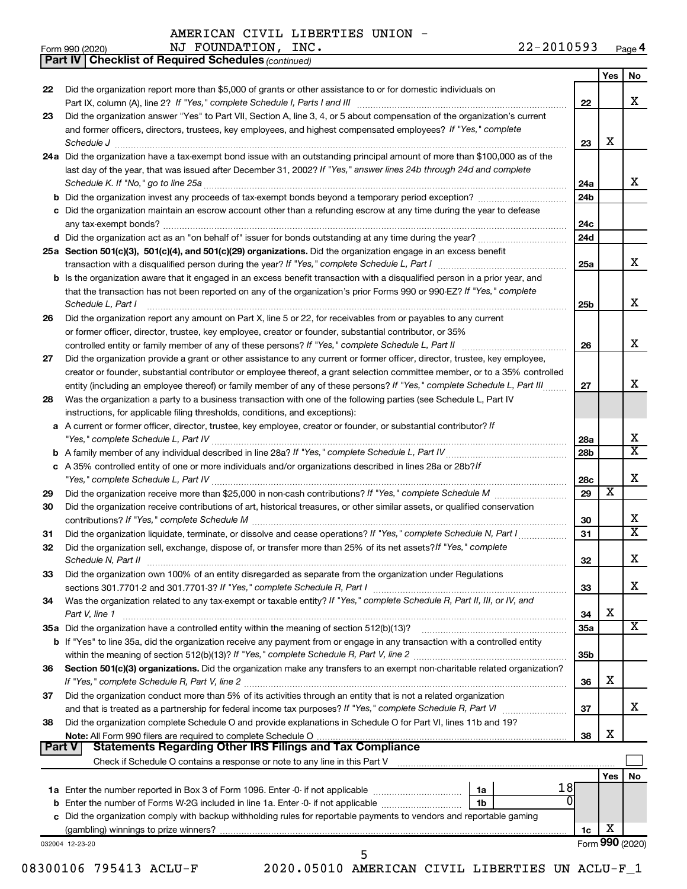Form 990 (2020) Page NJ FOUNDATION, INC. 22-2010593

**4**

*(continued)* **Part IV Checklist of Required Schedules**

|        |                                                                                                                                                                       |                 | Yes | No                      |
|--------|-----------------------------------------------------------------------------------------------------------------------------------------------------------------------|-----------------|-----|-------------------------|
| 22     | Did the organization report more than \$5,000 of grants or other assistance to or for domestic individuals on                                                         |                 |     |                         |
|        |                                                                                                                                                                       | 22              |     | x                       |
| 23     | Did the organization answer "Yes" to Part VII, Section A, line 3, 4, or 5 about compensation of the organization's current                                            |                 |     |                         |
|        | and former officers, directors, trustees, key employees, and highest compensated employees? If "Yes," complete                                                        |                 |     |                         |
|        | Schedule J <b>Execute Schedule J Execute Schedule J</b>                                                                                                               | 23              | x   |                         |
|        | 24a Did the organization have a tax-exempt bond issue with an outstanding principal amount of more than \$100,000 as of the                                           |                 |     |                         |
|        | last day of the year, that was issued after December 31, 2002? If "Yes," answer lines 24b through 24d and complete                                                    |                 |     |                         |
|        |                                                                                                                                                                       | 24a             |     | x                       |
|        |                                                                                                                                                                       | 24 <sub>b</sub> |     |                         |
|        | c Did the organization maintain an escrow account other than a refunding escrow at any time during the year to defease                                                |                 |     |                         |
|        |                                                                                                                                                                       | 24c             |     |                         |
|        |                                                                                                                                                                       | 24d             |     |                         |
|        | 25a Section 501(c)(3), 501(c)(4), and 501(c)(29) organizations. Did the organization engage in an excess benefit                                                      |                 |     |                         |
|        |                                                                                                                                                                       | 25a             |     | x                       |
|        | b Is the organization aware that it engaged in an excess benefit transaction with a disqualified person in a prior year, and                                          |                 |     |                         |
|        | that the transaction has not been reported on any of the organization's prior Forms 990 or 990-EZ? If "Yes," complete                                                 |                 |     |                         |
|        | Schedule L, Part I                                                                                                                                                    | 25b             |     | X.                      |
|        | Did the organization report any amount on Part X, line 5 or 22, for receivables from or payables to any current                                                       |                 |     |                         |
| 26     |                                                                                                                                                                       |                 |     |                         |
|        | or former officer, director, trustee, key employee, creator or founder, substantial contributor, or 35%                                                               |                 |     | x                       |
|        |                                                                                                                                                                       | 26              |     |                         |
| 27     | Did the organization provide a grant or other assistance to any current or former officer, director, trustee, key employee,                                           |                 |     |                         |
|        | creator or founder, substantial contributor or employee thereof, a grant selection committee member, or to a 35% controlled                                           |                 |     |                         |
|        | entity (including an employee thereof) or family member of any of these persons? If "Yes," complete Schedule L, Part III                                              | 27              |     | X.                      |
| 28     | Was the organization a party to a business transaction with one of the following parties (see Schedule L, Part IV                                                     |                 |     |                         |
|        | instructions, for applicable filing thresholds, conditions, and exceptions):                                                                                          |                 |     |                         |
|        | a A current or former officer, director, trustee, key employee, creator or founder, or substantial contributor? If                                                    |                 |     |                         |
|        |                                                                                                                                                                       | 28a             |     | x                       |
| b      |                                                                                                                                                                       | 28 <sub>b</sub> |     | $\overline{\mathtt{x}}$ |
|        | c A 35% controlled entity of one or more individuals and/or organizations described in lines 28a or 28b?/f                                                            |                 |     |                         |
|        |                                                                                                                                                                       | 28c             |     | x                       |
| 29     |                                                                                                                                                                       | 29              | X   |                         |
| 30     | Did the organization receive contributions of art, historical treasures, or other similar assets, or qualified conservation                                           |                 |     |                         |
|        |                                                                                                                                                                       | 30              |     | x                       |
| 31     | Did the organization liquidate, terminate, or dissolve and cease operations? If "Yes," complete Schedule N, Part I                                                    | 31              |     | $\overline{\texttt{x}}$ |
| 32     | Did the organization sell, exchange, dispose of, or transfer more than 25% of its net assets? If "Yes," complete                                                      |                 |     |                         |
|        | Schedule N, Part II                                                                                                                                                   | 32              |     | x                       |
| 33     | Did the organization own 100% of an entity disregarded as separate from the organization under Regulations                                                            |                 |     |                         |
|        |                                                                                                                                                                       | 33              |     | х                       |
| 34     | Was the organization related to any tax-exempt or taxable entity? If "Yes," complete Schedule R, Part II, III, or IV, and                                             |                 |     |                         |
|        | Part V, line 1                                                                                                                                                        | 34              | x   |                         |
|        | 35a Did the organization have a controlled entity within the meaning of section 512(b)(13)?                                                                           | 35a             |     | х                       |
|        | <b>b</b> If "Yes" to line 35a, did the organization receive any payment from or engage in any transaction with a controlled entity                                    |                 |     |                         |
|        |                                                                                                                                                                       | 35b             |     |                         |
| 36     | Section 501(c)(3) organizations. Did the organization make any transfers to an exempt non-charitable related organization?                                            |                 |     |                         |
|        | If "Yes," complete Schedule R, Part V, line 2                                                                                                                         | 36              | x   |                         |
| 37     | Did the organization conduct more than 5% of its activities through an entity that is not a related organization                                                      |                 |     |                         |
|        |                                                                                                                                                                       | 37              |     | х                       |
| 38     | Did the organization complete Schedule O and provide explanations in Schedule O for Part VI, lines 11b and 19?                                                        |                 |     |                         |
|        |                                                                                                                                                                       | 38              | X   |                         |
| Part V | <b>Statements Regarding Other IRS Filings and Tax Compliance</b>                                                                                                      |                 |     |                         |
|        | Check if Schedule O contains a response or note to any line in this Part V [11] manufactured in the Schedule O contains a response or note to any line in this Part V |                 |     |                         |
|        |                                                                                                                                                                       |                 | Yes | No                      |
|        | 18 <br>1a                                                                                                                                                             |                 |     |                         |
|        | b Enter the number of Forms W-2G included in line 1a. Enter -0- if not applicable<br>1b                                                                               |                 |     |                         |
|        | c Did the organization comply with backup withholding rules for reportable payments to vendors and reportable gaming                                                  |                 |     |                         |
|        |                                                                                                                                                                       |                 |     |                         |
|        |                                                                                                                                                                       |                 |     |                         |
|        | 032004 12-23-20                                                                                                                                                       | 1c              | X   | Form 990 (2020)         |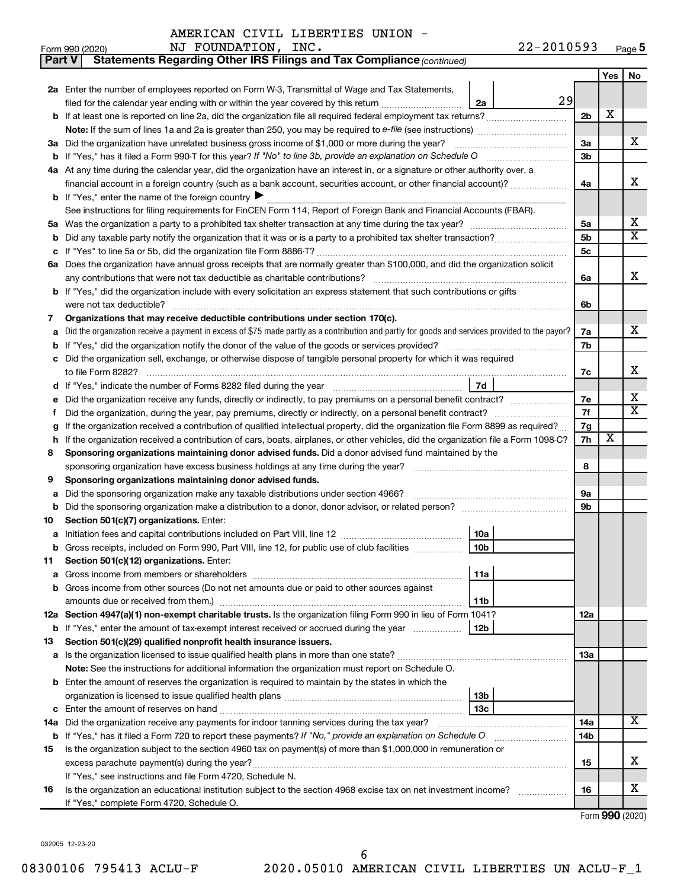| Part V | Statements Regarding Other IRS Filings and Tax Compliance (continued)                                                                           |                |     |                         |
|--------|-------------------------------------------------------------------------------------------------------------------------------------------------|----------------|-----|-------------------------|
|        |                                                                                                                                                 |                | Yes | No                      |
|        | 2a Enter the number of employees reported on Form W-3, Transmittal of Wage and Tax Statements,                                                  |                |     |                         |
|        | 29<br>filed for the calendar year ending with or within the year covered by this return<br>2a                                                   |                |     |                         |
| b      |                                                                                                                                                 | 2 <sub>b</sub> | X   |                         |
|        | Note: If the sum of lines 1a and 2a is greater than 250, you may be required to e-file (see instructions) <i>marroummann</i>                    |                |     |                         |
|        | 3a Did the organization have unrelated business gross income of \$1,000 or more during the year?                                                | За             |     | х                       |
| b      |                                                                                                                                                 | 3b             |     |                         |
|        | 4a At any time during the calendar year, did the organization have an interest in, or a signature or other authority over, a                    |                |     |                         |
|        | financial account in a foreign country (such as a bank account, securities account, or other financial account)?                                | 4a             |     | х                       |
|        | <b>b</b> If "Yes," enter the name of the foreign country $\blacktriangleright$                                                                  |                |     |                         |
|        | See instructions for filing requirements for FinCEN Form 114, Report of Foreign Bank and Financial Accounts (FBAR).                             |                |     |                         |
| 5a     |                                                                                                                                                 | 5a             |     | х                       |
| b      |                                                                                                                                                 | 5b             |     | $\overline{\mathbf{X}}$ |
| с      |                                                                                                                                                 | 5с             |     |                         |
|        | 6a Does the organization have annual gross receipts that are normally greater than \$100,000, and did the organization solicit                  |                |     |                         |
|        |                                                                                                                                                 | 6a             |     | х                       |
| b      | If "Yes," did the organization include with every solicitation an express statement that such contributions or gifts                            |                |     |                         |
|        | were not tax deductible?                                                                                                                        | 6b             |     |                         |
| 7      | Organizations that may receive deductible contributions under section 170(c).                                                                   |                |     |                         |
| а      | Did the organization receive a payment in excess of \$75 made partly as a contribution and partly for goods and services provided to the payor? | 7a             |     | х                       |
| b      |                                                                                                                                                 | 7b             |     |                         |
| с      | Did the organization sell, exchange, or otherwise dispose of tangible personal property for which it was required                               |                |     |                         |
|        |                                                                                                                                                 | 7c             |     | х                       |
| d      | 7d                                                                                                                                              |                |     |                         |
| е      | Did the organization receive any funds, directly or indirectly, to pay premiums on a personal benefit contract?                                 | 7е             |     | х                       |
| f      |                                                                                                                                                 | 7f             |     | $\overline{\mathbf{X}}$ |
| g      | If the organization received a contribution of qualified intellectual property, did the organization file Form 8899 as required?                | 7g             |     |                         |
| h      | If the organization received a contribution of cars, boats, airplanes, or other vehicles, did the organization file a Form 1098-C?              | 7h             | х   |                         |
| 8      | Sponsoring organizations maintaining donor advised funds. Did a donor advised fund maintained by the                                            |                |     |                         |
|        |                                                                                                                                                 | 8              |     |                         |
| 9      | Sponsoring organizations maintaining donor advised funds.                                                                                       |                |     |                         |
| а      | Did the sponsoring organization make any taxable distributions under section 4966?                                                              | <b>9a</b>      |     |                         |
| b      |                                                                                                                                                 | 9b             |     |                         |
| 10     | Section 501(c)(7) organizations. Enter:                                                                                                         |                |     |                         |
| а      | 10a                                                                                                                                             |                |     |                         |
|        | Gross receipts, included on Form 990, Part VIII, line 12, for public use of club facilities<br>10b                                              |                |     |                         |
| 11     | Section 501(c)(12) organizations. Enter:                                                                                                        |                |     |                         |
| а      | 11a<br>Gross income from other sources (Do not net amounts due or paid to other sources against                                                 |                |     |                         |
| b      | amounts due or received from them.)<br>11b                                                                                                      |                |     |                         |
|        | 12a Section 4947(a)(1) non-exempt charitable trusts. Is the organization filing Form 990 in lieu of Form 1041?                                  | 12a            |     |                         |
|        | 12b<br><b>b</b> If "Yes," enter the amount of tax-exempt interest received or accrued during the year                                           |                |     |                         |
| 13     | Section 501(c)(29) qualified nonprofit health insurance issuers.                                                                                |                |     |                         |
|        | a Is the organization licensed to issue qualified health plans in more than one state?                                                          | 13a            |     |                         |
|        | <b>Note:</b> See the instructions for additional information the organization must report on Schedule O.                                        |                |     |                         |
| b      | Enter the amount of reserves the organization is required to maintain by the states in which the                                                |                |     |                         |
|        | 13 <sub>b</sub>                                                                                                                                 |                |     |                         |
| с      | 13с                                                                                                                                             |                |     |                         |
|        | 14a Did the organization receive any payments for indoor tanning services during the tax year?                                                  | 14a            |     | х                       |
|        | <b>b</b> If "Yes," has it filed a Form 720 to report these payments? If "No," provide an explanation on Schedule O                              | 14b            |     |                         |
| 15     | Is the organization subject to the section 4960 tax on payment(s) of more than \$1,000,000 in remuneration or                                   |                |     |                         |
|        |                                                                                                                                                 | 15             |     | х                       |
|        | If "Yes," see instructions and file Form 4720, Schedule N.                                                                                      |                |     |                         |
| 16     | Is the organization an educational institution subject to the section 4968 excise tax on net investment income?                                 | 16             |     | x                       |
|        | If "Yes," complete Form 4720, Schedule O.                                                                                                       |                |     |                         |
|        |                                                                                                                                                 |                |     |                         |

Form (2020) **990**

032005 12-23-20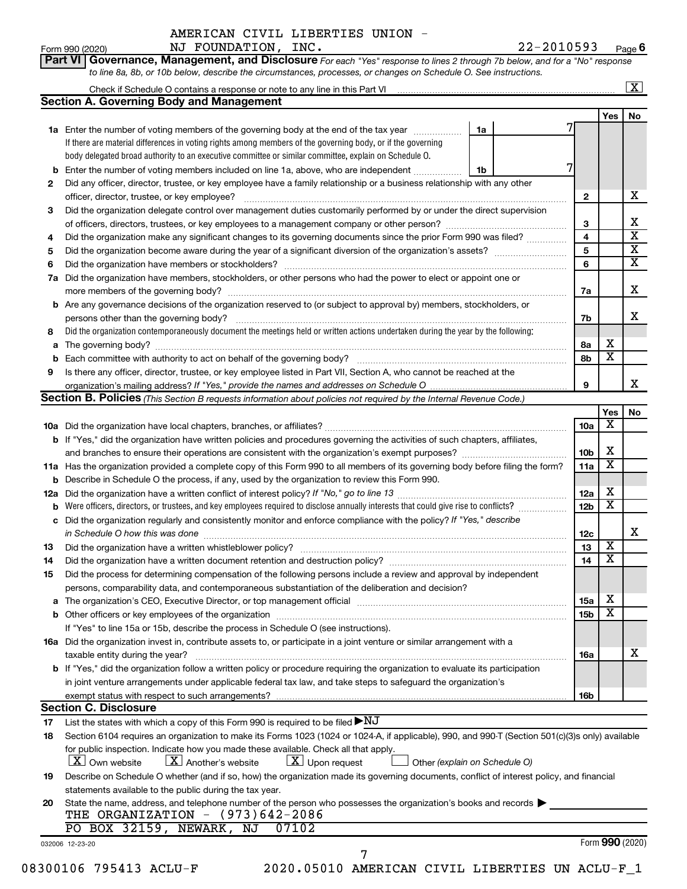#### **Part VI** Governance, Management, and Disclosure For each "Yes" response to lines 2 through 7b below, and for a "No" response Form 990 (2020) Page NJ FOUNDATION, INC. 22-2010593 **6**

*to line 8a, 8b, or 10b below, describe the circumstances, processes, or changes on Schedule O. See instructions.*

|     | <b>Section A. Governing Body and Management</b>                                                                                                  |                               |                 |                         |  |
|-----|--------------------------------------------------------------------------------------------------------------------------------------------------|-------------------------------|-----------------|-------------------------|--|
|     |                                                                                                                                                  |                               |                 | Yes                     |  |
|     | 1a Enter the number of voting members of the governing body at the end of the tax year                                                           | 1a                            |                 |                         |  |
|     | If there are material differences in voting rights among members of the governing body, or if the governing                                      |                               |                 |                         |  |
|     | body delegated broad authority to an executive committee or similar committee, explain on Schedule O.                                            |                               |                 |                         |  |
|     | <b>b</b> Enter the number of voting members included on line 1a, above, who are independent                                                      | 1b                            |                 |                         |  |
| 2   | Did any officer, director, trustee, or key employee have a family relationship or a business relationship with any other                         |                               |                 |                         |  |
|     | officer, director, trustee, or key employee?                                                                                                     |                               | 2               |                         |  |
| 3   | Did the organization delegate control over management duties customarily performed by or under the direct supervision                            |                               |                 |                         |  |
|     |                                                                                                                                                  |                               | 3               |                         |  |
|     |                                                                                                                                                  |                               |                 |                         |  |
| 4   | Did the organization make any significant changes to its governing documents since the prior Form 990 was filed?                                 |                               | 4               |                         |  |
| 5   |                                                                                                                                                  |                               | 5               |                         |  |
| 6   |                                                                                                                                                  |                               | 6               |                         |  |
| 7a  | Did the organization have members, stockholders, or other persons who had the power to elect or appoint one or                                   |                               |                 |                         |  |
|     |                                                                                                                                                  |                               | 7a              |                         |  |
|     | <b>b</b> Are any governance decisions of the organization reserved to (or subject to approval by) members, stockholders, or                      |                               |                 |                         |  |
|     | persons other than the governing body?                                                                                                           |                               | 7b              |                         |  |
| 8   | Did the organization contemporaneously document the meetings held or written actions undertaken during the year by the following:                |                               |                 |                         |  |
|     |                                                                                                                                                  |                               | 8a              | х                       |  |
|     |                                                                                                                                                  |                               | 8b              | $\overline{\textbf{x}}$ |  |
| 9   | Is there any officer, director, trustee, or key employee listed in Part VII, Section A, who cannot be reached at the                             |                               |                 |                         |  |
|     |                                                                                                                                                  |                               | 9               |                         |  |
|     | Section B. Policies (This Section B requests information about policies not required by the Internal Revenue Code.)                              |                               |                 |                         |  |
|     |                                                                                                                                                  |                               |                 | Yes                     |  |
|     |                                                                                                                                                  |                               |                 | х                       |  |
|     |                                                                                                                                                  |                               | 10a             |                         |  |
|     | b If "Yes," did the organization have written policies and procedures governing the activities of such chapters, affiliates,                     |                               |                 |                         |  |
|     | and branches to ensure their operations are consistent with the organization's exempt purposes?                                                  |                               | 10b             | х                       |  |
|     | 11a Has the organization provided a complete copy of this Form 990 to all members of its governing body before filing the form?                  |                               | 11a             | $\overline{\textbf{x}}$ |  |
|     | <b>b</b> Describe in Schedule O the process, if any, used by the organization to review this Form 990.                                           |                               |                 |                         |  |
| 12a |                                                                                                                                                  |                               | 12a             | х                       |  |
|     |                                                                                                                                                  |                               | 12 <sub>b</sub> | $\overline{\textbf{x}}$ |  |
|     | c Did the organization regularly and consistently monitor and enforce compliance with the policy? If "Yes," describe                             |                               |                 |                         |  |
|     | in Schedule O how this was done manufactured and continuum and contact the way to have a set of the state of t                                   |                               | 12c             |                         |  |
| 13  |                                                                                                                                                  |                               | 13              | $\overline{\text{X}}$   |  |
| 14  | Did the organization have a written document retention and destruction policy? [11] manufaction manufaction in                                   |                               | 14              | $\overline{\textbf{x}}$ |  |
| 15  | Did the process for determining compensation of the following persons include a review and approval by independent                               |                               |                 |                         |  |
|     |                                                                                                                                                  |                               |                 |                         |  |
|     | persons, comparability data, and contemporaneous substantiation of the deliberation and decision?                                                |                               |                 | х                       |  |
|     |                                                                                                                                                  |                               | 15a             | $\overline{\textbf{x}}$ |  |
|     |                                                                                                                                                  |                               | 15b             |                         |  |
|     | If "Yes" to line 15a or 15b, describe the process in Schedule O (see instructions).                                                              |                               |                 |                         |  |
|     | 16a Did the organization invest in, contribute assets to, or participate in a joint venture or similar arrangement with a                        |                               |                 |                         |  |
|     | taxable entity during the year?                                                                                                                  |                               | 16a             |                         |  |
|     | b If "Yes," did the organization follow a written policy or procedure requiring the organization to evaluate its participation                   |                               |                 |                         |  |
|     | in joint venture arrangements under applicable federal tax law, and take steps to safeguard the organization's                                   |                               |                 |                         |  |
|     | exempt status with respect to such arrangements?                                                                                                 |                               | 16b             |                         |  |
|     | <b>Section C. Disclosure</b>                                                                                                                     |                               |                 |                         |  |
| 17  | List the states with which a copy of this Form 990 is required to be filed $\blacktriangleright\text{NJ}$                                        |                               |                 |                         |  |
| 18  | Section 6104 requires an organization to make its Forms 1023 (1024 or 1024-A, if applicable), 990, and 990-T (Section 501(c)(3)s only) available |                               |                 |                         |  |
|     | for public inspection. Indicate how you made these available. Check all that apply.                                                              |                               |                 |                         |  |
|     | $\lfloor x \rfloor$ Upon request                                                                                                                 |                               |                 |                         |  |
|     | <b>X</b> Own website<br>$\lfloor X \rfloor$ Another's website                                                                                    | Other (explain on Schedule O) |                 |                         |  |
| 19  | Describe on Schedule O whether (and if so, how) the organization made its governing documents, conflict of interest policy, and financial        |                               |                 |                         |  |
|     | statements available to the public during the tax year.                                                                                          |                               |                 |                         |  |
| 20  | State the name, address, and telephone number of the person who possesses the organization's books and records                                   |                               |                 |                         |  |
|     | THE ORGANIZATION $-$ (973)642-2086                                                                                                               |                               |                 |                         |  |
|     | PO BOX 32159, NEWARK, NJ<br>07102                                                                                                                |                               |                 |                         |  |
|     |                                                                                                                                                  |                               |                 | Form 990 (2020)         |  |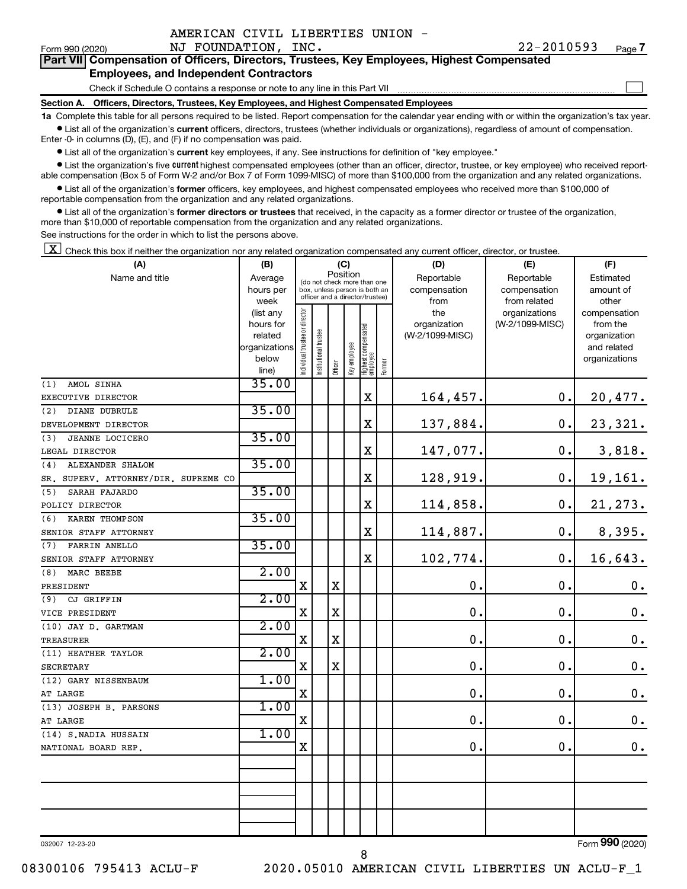|  | AMERICAN CIVIL LIBERTIES UNION |  |
|--|--------------------------------|--|
|  |                                |  |

 $\Box$ 

|  | Part VII Compensation of Officers, Directors, Trustees, Key Employees, Highest Compensated |  |
|--|--------------------------------------------------------------------------------------------|--|
|  | <b>Employees, and Independent Contractors</b>                                              |  |

Check if Schedule O contains a response or note to any line in this Part VII

**Section A. Officers, Directors, Trustees, Key Employees, and Highest Compensated Employees**

**1a**  Complete this table for all persons required to be listed. Report compensation for the calendar year ending with or within the organization's tax year.  $\bullet$  List all of the organization's current officers, directors, trustees (whether individuals or organizations), regardless of amount of compensation.

Enter -0- in columns (D), (E), and (F) if no compensation was paid.

**•** List all of the organization's current key employees, if any. See instructions for definition of "key employee."

• List the organization's five *current* highest compensated employees (other than an officer, director, trustee, or key employee) who received reportable compensation (Box 5 of Form W-2 and/or Box 7 of Form 1099-MISC) of more than \$100,000 from the organization and any related organizations.

 $\bullet$  List all of the organization's former officers, key employees, and highest compensated employees who received more than \$100,000 of reportable compensation from the organization and any related organizations.

**•** List all of the organization's former directors or trustees that received, in the capacity as a former director or trustee of the organization, more than \$10,000 of reportable compensation from the organization and any related organizations.

See instructions for the order in which to list the persons above.

 $\boxed{\textbf{X}}$  Check this box if neither the organization nor any related organization compensated any current officer, director, or trustee.

| (A)                                  | (B)                    |                                |                       |             | (C)          |                                                                  |        | (D)                 | (E)                              | (F)                      |
|--------------------------------------|------------------------|--------------------------------|-----------------------|-------------|--------------|------------------------------------------------------------------|--------|---------------------|----------------------------------|--------------------------|
| Name and title                       | Average                |                                |                       |             | Position     | (do not check more than one                                      |        | Reportable          | Reportable                       | Estimated                |
|                                      | hours per              |                                |                       |             |              | box, unless person is both an<br>officer and a director/trustee) |        | compensation        | compensation                     | amount of                |
|                                      | week                   |                                |                       |             |              |                                                                  |        | from                | from related                     | other                    |
|                                      | (list any<br>hours for |                                |                       |             |              |                                                                  |        | the<br>organization | organizations<br>(W-2/1099-MISC) | compensation<br>from the |
|                                      | related                |                                |                       |             |              |                                                                  |        | (W-2/1099-MISC)     |                                  | organization             |
|                                      | organizations          |                                |                       |             |              |                                                                  |        |                     |                                  | and related              |
|                                      | below                  | Individual trustee or director | Institutional trustee |             | Key employee | Highest compensated<br>employee                                  |        |                     |                                  | organizations            |
|                                      | line)                  |                                |                       | Officer     |              |                                                                  | Former |                     |                                  |                          |
| AMOL SINHA<br>(1)                    | 35.00                  |                                |                       |             |              |                                                                  |        |                     |                                  |                          |
| EXECUTIVE DIRECTOR                   |                        |                                |                       |             |              | X                                                                |        | 164,457.            | 0.                               | 20,477.                  |
| (2)<br>DIANE DUBRULE                 | 35.00                  |                                |                       |             |              |                                                                  |        |                     |                                  |                          |
| DEVELOPMENT DIRECTOR                 |                        |                                |                       |             |              | X                                                                |        | 137,884.            | 0.                               | 23,321.                  |
| <b>JEANNE LOCICERO</b><br>(3)        | 35.00                  |                                |                       |             |              |                                                                  |        |                     |                                  |                          |
| LEGAL DIRECTOR                       |                        |                                |                       |             |              | X                                                                |        | 147,077.            | 0.                               | 3,818.                   |
| (4)<br>ALEXANDER SHALOM              | 35.00                  |                                |                       |             |              |                                                                  |        |                     |                                  |                          |
| SR. SUPERV. ATTORNEY/DIR. SUPREME CO |                        |                                |                       |             |              | X                                                                |        | 128,919.            | 0.                               | 19,161.                  |
| SARAH FAJARDO<br>(5)                 | 35.00                  |                                |                       |             |              |                                                                  |        |                     |                                  |                          |
| POLICY DIRECTOR                      |                        |                                |                       |             |              | X                                                                |        | 114,858.            | 0.                               | 21, 273.                 |
| (6)<br>KAREN THOMPSON                | 35.00                  |                                |                       |             |              |                                                                  |        |                     |                                  |                          |
| SENIOR STAFF ATTORNEY                |                        |                                |                       |             |              | X                                                                |        | 114,887.            | 0.                               | 8,395.                   |
| FARRIN ANELLO<br>(7)                 | 35.00                  |                                |                       |             |              |                                                                  |        |                     |                                  |                          |
| SENIOR STAFF ATTORNEY                |                        |                                |                       |             |              | X                                                                |        | 102,774.            | $\mathbf 0$ .                    | 16,643.                  |
| (8)<br>MARC BEEBE                    | 2.00                   |                                |                       |             |              |                                                                  |        |                     |                                  |                          |
| PRESIDENT                            |                        | $\mathbf X$                    |                       | $\mathbf X$ |              |                                                                  |        | $\mathbf 0$         | $\mathbf 0$ .                    | $\boldsymbol{0}$ .       |
| CJ GRIFFIN<br>(9)                    | 2.00                   |                                |                       |             |              |                                                                  |        |                     |                                  |                          |
| VICE PRESIDENT                       |                        | $\mathbf X$                    |                       | $\mathbf X$ |              |                                                                  |        | $\mathbf 0$         | $\mathbf 0$ .                    | $\mathbf 0$ .            |
| (10) JAY D. GARTMAN                  | 2.00                   |                                |                       |             |              |                                                                  |        |                     |                                  |                          |
| <b>TREASURER</b>                     |                        | $\mathbf X$                    |                       | $\mathbf X$ |              |                                                                  |        | $\mathbf 0$         | $\mathbf 0$ .                    | $\mathbf 0$ .            |
| (11) HEATHER TAYLOR                  | 2.00                   |                                |                       |             |              |                                                                  |        |                     |                                  |                          |
| <b>SECRETARY</b>                     |                        | X                              |                       | $\mathbf X$ |              |                                                                  |        | $\mathbf 0$         | $\mathbf 0$ .                    | $\boldsymbol{0}$ .       |
| (12) GARY NISSENBAUM                 | 1.00                   |                                |                       |             |              |                                                                  |        |                     |                                  |                          |
| AT LARGE                             |                        | $\mathbf X$                    |                       |             |              |                                                                  |        | $\mathbf 0$         | $\mathbf 0$ .                    | $\mathbf 0$ .            |
| (13) JOSEPH B. PARSONS               | 1.00                   |                                |                       |             |              |                                                                  |        |                     |                                  |                          |
| AT LARGE                             |                        | $\mathbf X$                    |                       |             |              |                                                                  |        | $\mathbf 0$         | $\mathbf 0$ .                    | $\boldsymbol{0}$ .       |
| (14) S.NADIA HUSSAIN                 | 1.00                   |                                |                       |             |              |                                                                  |        |                     |                                  |                          |
| NATIONAL BOARD REP.                  |                        | $\mathbf X$                    |                       |             |              |                                                                  |        | $\mathbf 0$         | $\mathbf 0$ .                    | 0.                       |
|                                      |                        |                                |                       |             |              |                                                                  |        |                     |                                  |                          |
|                                      |                        |                                |                       |             |              |                                                                  |        |                     |                                  |                          |
|                                      |                        |                                |                       |             |              |                                                                  |        |                     |                                  |                          |
|                                      |                        |                                |                       |             |              |                                                                  |        |                     |                                  |                          |
|                                      |                        |                                |                       |             |              |                                                                  |        |                     |                                  |                          |
|                                      |                        |                                |                       |             |              |                                                                  |        |                     |                                  |                          |

032007 12-23-20

Form (2020) **990**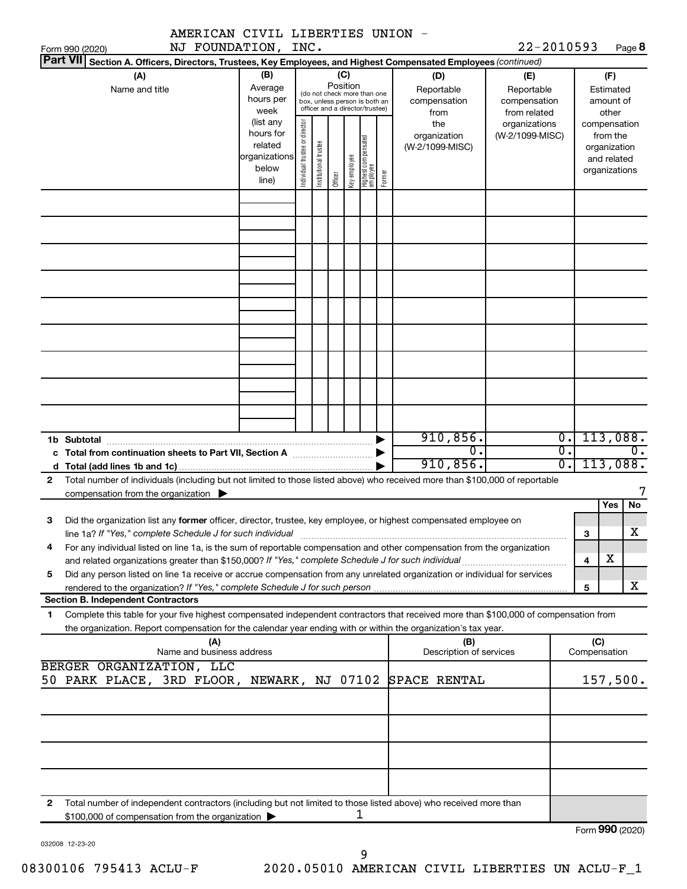|              | AMERICAN CIVIL LIBERTIES UNION -                                                                                                                                                                                                                       |                                                                      |                                |                       |                 |              |                                                                                                 |        |                                           |                                                                                       |                                      |                                                                          |     |                 |
|--------------|--------------------------------------------------------------------------------------------------------------------------------------------------------------------------------------------------------------------------------------------------------|----------------------------------------------------------------------|--------------------------------|-----------------------|-----------------|--------------|-------------------------------------------------------------------------------------------------|--------|-------------------------------------------|---------------------------------------------------------------------------------------|--------------------------------------|--------------------------------------------------------------------------|-----|-----------------|
|              | NJ FOUNDATION, INC.<br>Form 990 (2020)                                                                                                                                                                                                                 |                                                                      |                                |                       |                 |              |                                                                                                 |        |                                           | 22-2010593                                                                            |                                      |                                                                          |     | Page 8          |
|              | <b>Part VII</b><br>Section A. Officers, Directors, Trustees, Key Employees, and Highest Compensated Employees (continued)                                                                                                                              |                                                                      |                                |                       |                 |              |                                                                                                 |        |                                           |                                                                                       |                                      |                                                                          |     |                 |
|              | (A)<br>Name and title                                                                                                                                                                                                                                  | (B)<br>Average<br>hours per<br>week                                  |                                |                       | (C)<br>Position |              | (do not check more than one<br>box, unless person is both an<br>officer and a director/trustee) |        | (D)<br>Reportable<br>compensation<br>from | (E)<br>Reportable<br>compensation<br>from related<br>organizations<br>(W-2/1099-MISC) |                                      | (F)<br>Estimated<br>amount of<br>other                                   |     |                 |
|              |                                                                                                                                                                                                                                                        | (list any<br>hours for<br>related<br>organizations<br>below<br>line) | Individual trustee or director | Institutional trustee | Officer         | Key employee | Highest compensated<br>employee                                                                 | Former | the<br>organization<br>(W-2/1099-MISC)    |                                                                                       |                                      | compensation<br>from the<br>organization<br>and related<br>organizations |     |                 |
|              |                                                                                                                                                                                                                                                        |                                                                      |                                |                       |                 |              |                                                                                                 |        |                                           |                                                                                       |                                      |                                                                          |     |                 |
|              |                                                                                                                                                                                                                                                        |                                                                      |                                |                       |                 |              |                                                                                                 |        |                                           |                                                                                       |                                      |                                                                          |     |                 |
|              |                                                                                                                                                                                                                                                        |                                                                      |                                |                       |                 |              |                                                                                                 |        |                                           |                                                                                       |                                      |                                                                          |     |                 |
|              |                                                                                                                                                                                                                                                        |                                                                      |                                |                       |                 |              |                                                                                                 |        |                                           |                                                                                       |                                      |                                                                          |     |                 |
|              |                                                                                                                                                                                                                                                        |                                                                      |                                |                       |                 |              |                                                                                                 |        |                                           |                                                                                       |                                      |                                                                          |     |                 |
|              |                                                                                                                                                                                                                                                        |                                                                      |                                |                       |                 |              |                                                                                                 |        |                                           |                                                                                       |                                      |                                                                          |     |                 |
|              |                                                                                                                                                                                                                                                        |                                                                      |                                |                       |                 |              |                                                                                                 |        |                                           |                                                                                       |                                      |                                                                          |     |                 |
|              | 1b Subtotal                                                                                                                                                                                                                                            |                                                                      |                                |                       |                 |              |                                                                                                 |        | 910,856.                                  |                                                                                       | $\overline{0}$ .                     |                                                                          |     | 113,088.        |
|              |                                                                                                                                                                                                                                                        |                                                                      |                                |                       |                 |              |                                                                                                 |        | 0.<br>910,856.                            |                                                                                       | $\overline{0}$ .<br>$\overline{0}$ . | $0$ .<br>113,088.                                                        |     |                 |
| $\mathbf{2}$ | Total number of individuals (including but not limited to those listed above) who received more than \$100,000 of reportable<br>compensation from the organization $\blacktriangleright$                                                               |                                                                      |                                |                       |                 |              |                                                                                                 |        |                                           |                                                                                       |                                      |                                                                          |     | 7               |
| З            | Did the organization list any former officer, director, trustee, key employee, or highest compensated employee on                                                                                                                                      |                                                                      |                                |                       |                 |              |                                                                                                 |        |                                           |                                                                                       |                                      |                                                                          | Yes | No<br>х         |
| 4            | line 1a? If "Yes," complete Schedule J for such individual manufactured content content for the complete schedu<br>For any individual listed on line 1a, is the sum of reportable compensation and other compensation from the organization            |                                                                      |                                |                       |                 |              |                                                                                                 |        |                                           |                                                                                       |                                      | З<br>4                                                                   | х   |                 |
| 5            | Did any person listed on line 1a receive or accrue compensation from any unrelated organization or individual for services                                                                                                                             |                                                                      |                                |                       |                 |              |                                                                                                 |        |                                           |                                                                                       |                                      | 5                                                                        |     | x               |
|              | <b>Section B. Independent Contractors</b>                                                                                                                                                                                                              |                                                                      |                                |                       |                 |              |                                                                                                 |        |                                           |                                                                                       |                                      |                                                                          |     |                 |
| 1            | Complete this table for your five highest compensated independent contractors that received more than \$100,000 of compensation from<br>the organization. Report compensation for the calendar year ending with or within the organization's tax year. |                                                                      |                                |                       |                 |              |                                                                                                 |        |                                           |                                                                                       |                                      |                                                                          |     |                 |
|              | (A)<br>Name and business address<br>BERGER ORGANIZATION, LLC                                                                                                                                                                                           |                                                                      |                                |                       |                 |              |                                                                                                 |        | (B)<br>Description of services            |                                                                                       |                                      | (C)<br>Compensation                                                      |     |                 |
|              | 50 PARK PLACE, 3RD FLOOR, NEWARK, NJ 07102                                                                                                                                                                                                             |                                                                      |                                |                       |                 |              |                                                                                                 |        | SPACE RENTAL                              |                                                                                       |                                      |                                                                          |     | 157,500.        |
|              |                                                                                                                                                                                                                                                        |                                                                      |                                |                       |                 |              |                                                                                                 |        |                                           |                                                                                       |                                      |                                                                          |     |                 |
|              |                                                                                                                                                                                                                                                        |                                                                      |                                |                       |                 |              |                                                                                                 |        |                                           |                                                                                       |                                      |                                                                          |     |                 |
|              |                                                                                                                                                                                                                                                        |                                                                      |                                |                       |                 |              |                                                                                                 |        |                                           |                                                                                       |                                      |                                                                          |     |                 |
| 2            | Total number of independent contractors (including but not limited to those listed above) who received more than<br>\$100,000 of compensation from the organization                                                                                    |                                                                      |                                |                       |                 |              | 1                                                                                               |        |                                           |                                                                                       |                                      |                                                                          |     |                 |
|              |                                                                                                                                                                                                                                                        |                                                                      |                                |                       |                 |              |                                                                                                 |        |                                           |                                                                                       |                                      |                                                                          |     | Form 990 (2020) |

032008 12-23-20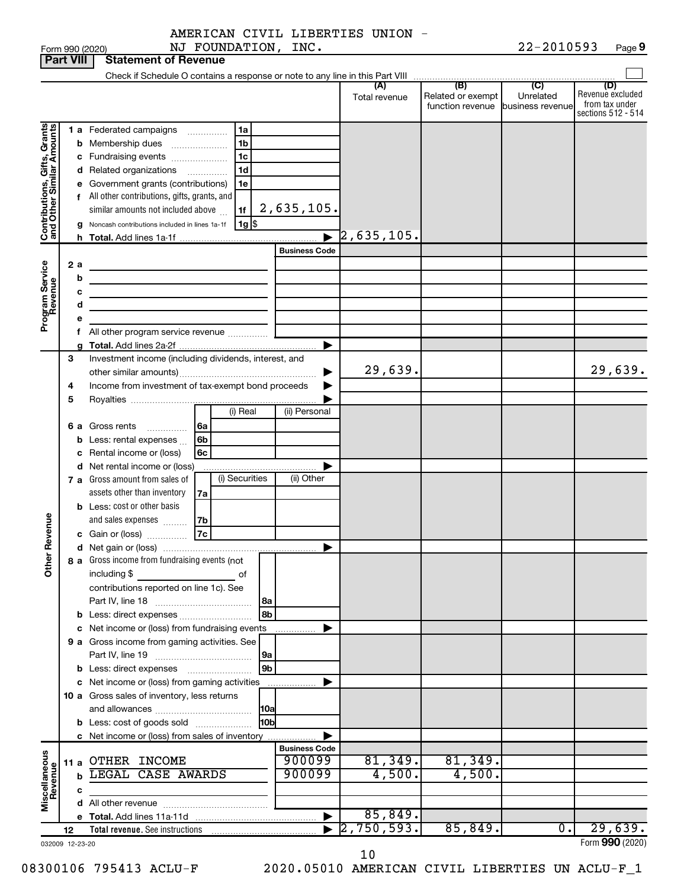Form 990 (2020) Page NJ FOUNDATION, INC. 22-2010593 22-2010593 Page 9

|                              | <b>Part VIII</b> | <b>Statement of Revenue</b>                                                       |                       |                          |                                                                 |                             |                                                                 |
|------------------------------|------------------|-----------------------------------------------------------------------------------|-----------------------|--------------------------|-----------------------------------------------------------------|-----------------------------|-----------------------------------------------------------------|
|                              |                  |                                                                                   |                       |                          |                                                                 |                             |                                                                 |
|                              |                  |                                                                                   |                       | (A)<br>Total revenue     | (B)<br>Related or exempt<br>function revenue   business revenue | $\overline{C}$<br>Unrelated | (D)<br>Revenue excluded<br>from tax under<br>sections 512 - 514 |
|                              |                  | 1 a Federated campaigns<br>1a<br>.                                                |                       |                          |                                                                 |                             |                                                                 |
|                              | b                | 1 <sub>b</sub><br>Membership dues                                                 |                       |                          |                                                                 |                             |                                                                 |
|                              |                  | 1 <sub>c</sub><br>c Fundraising events                                            |                       |                          |                                                                 |                             |                                                                 |
|                              |                  | 1 <sub>d</sub><br>d Related organizations<br>.                                    |                       |                          |                                                                 |                             |                                                                 |
|                              | е                | Government grants (contributions)<br>1e                                           |                       |                          |                                                                 |                             |                                                                 |
|                              |                  | f All other contributions, gifts, grants, and                                     |                       |                          |                                                                 |                             |                                                                 |
| Contributions, Gifts, Grants |                  | similar amounts not included above<br>1f                                          | 2,635,105.            |                          |                                                                 |                             |                                                                 |
|                              | a                | $1g$ \$<br>Noncash contributions included in lines 1a-1f                          |                       |                          |                                                                 |                             |                                                                 |
|                              |                  |                                                                                   | $\blacktriangleright$ | $\overline{2}$ ,635,105. |                                                                 |                             |                                                                 |
|                              |                  |                                                                                   | <b>Business Code</b>  |                          |                                                                 |                             |                                                                 |
|                              | 2 a              |                                                                                   |                       |                          |                                                                 |                             |                                                                 |
| Program Service<br>Revenue   | b                |                                                                                   |                       |                          |                                                                 |                             |                                                                 |
|                              | с<br>d           | the control of the control of the control of the control of the control of        |                       |                          |                                                                 |                             |                                                                 |
|                              |                  | the control of the control of the control of the control of                       |                       |                          |                                                                 |                             |                                                                 |
|                              |                  | f All other program service revenue                                               |                       |                          |                                                                 |                             |                                                                 |
|                              |                  |                                                                                   | ▶                     |                          |                                                                 |                             |                                                                 |
|                              | З                | Investment income (including dividends, interest, and                             |                       |                          |                                                                 |                             |                                                                 |
|                              |                  |                                                                                   |                       | 29,639.                  |                                                                 |                             | 29,639.                                                         |
|                              | 4                | Income from investment of tax-exempt bond proceeds                                |                       |                          |                                                                 |                             |                                                                 |
|                              | 5                |                                                                                   |                       |                          |                                                                 |                             |                                                                 |
|                              |                  | (i) Real                                                                          | (ii) Personal         |                          |                                                                 |                             |                                                                 |
|                              |                  | <b>6 a</b> Gross rents<br>6a<br>.                                                 |                       |                          |                                                                 |                             |                                                                 |
|                              | b                | Less: rental expenses<br>6b                                                       |                       |                          |                                                                 |                             |                                                                 |
|                              | с                | Rental income or (loss)<br>6c                                                     |                       |                          |                                                                 |                             |                                                                 |
|                              |                  | d Net rental income or (loss)<br>(i) Securities<br>7 a Gross amount from sales of | (ii) Other            |                          |                                                                 |                             |                                                                 |
|                              |                  | assets other than inventory<br>7a                                                 |                       |                          |                                                                 |                             |                                                                 |
|                              |                  | <b>b</b> Less: cost or other basis                                                |                       |                          |                                                                 |                             |                                                                 |
|                              |                  | and sales expenses<br>7b                                                          |                       |                          |                                                                 |                             |                                                                 |
| Revenue                      |                  | 7c<br>c Gain or (loss)                                                            |                       |                          |                                                                 |                             |                                                                 |
|                              |                  |                                                                                   | ▶                     |                          |                                                                 |                             |                                                                 |
|                              |                  | 8 a Gross income from fundraising events (not                                     |                       |                          |                                                                 |                             |                                                                 |
| $\check{\epsilon}$           |                  | including \$<br>οf                                                                |                       |                          |                                                                 |                             |                                                                 |
|                              |                  | contributions reported on line 1c). See                                           |                       |                          |                                                                 |                             |                                                                 |
|                              |                  | l 8a                                                                              |                       |                          |                                                                 |                             |                                                                 |
|                              |                  | 8b<br><b>b</b> Less: direct expenses <i>manually contained</i>                    |                       |                          |                                                                 |                             |                                                                 |
|                              |                  | c Net income or (loss) from fundraising events                                    |                       |                          |                                                                 |                             |                                                                 |
|                              |                  | 9 a Gross income from gaming activities. See<br> 9a                               |                       |                          |                                                                 |                             |                                                                 |
|                              |                  | 9 <sub>b</sub>                                                                    |                       |                          |                                                                 |                             |                                                                 |
|                              |                  | c Net income or (loss) from gaming activities                                     |                       |                          |                                                                 |                             |                                                                 |
|                              |                  | 10 a Gross sales of inventory, less returns                                       |                       |                          |                                                                 |                             |                                                                 |
|                              |                  | 10a                                                                               |                       |                          |                                                                 |                             |                                                                 |
|                              |                  | l10bl<br><b>b</b> Less: cost of goods sold                                        |                       |                          |                                                                 |                             |                                                                 |
|                              |                  | c Net income or (loss) from sales of inventory                                    |                       |                          |                                                                 |                             |                                                                 |
|                              |                  |                                                                                   | <b>Business Code</b>  |                          |                                                                 |                             |                                                                 |
|                              |                  | 11 a OTHER INCOME                                                                 | 900099                | 81,349.                  | 81,349.                                                         |                             |                                                                 |
| Miscellaneous<br>Revenue     | b                | LEGAL CASE AWARDS                                                                 | 900099                | 4,500.                   | 4,500.                                                          |                             |                                                                 |
|                              | с                |                                                                                   |                       |                          |                                                                 |                             |                                                                 |
|                              |                  |                                                                                   | ▶                     | 85,849.                  |                                                                 |                             |                                                                 |
|                              | 12               |                                                                                   |                       | 2,750,593.               | 85,849.                                                         | 0.                          | 29,639.                                                         |
|                              | 032009 12-23-20  |                                                                                   |                       |                          |                                                                 |                             | Form 990 (2020)                                                 |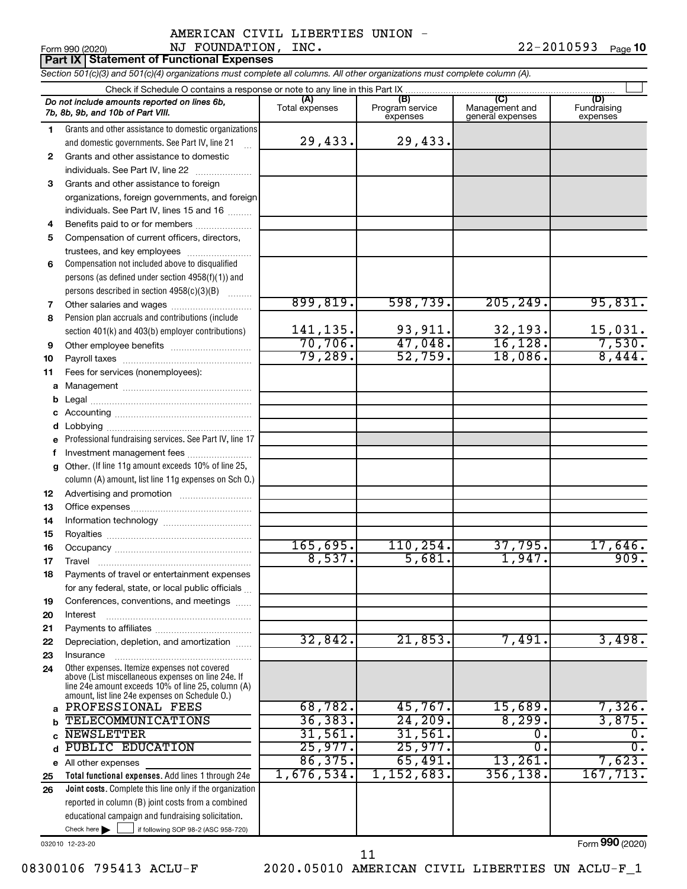Form 990 (2020)  $\blacksquare$  NJ  $\blacksquare$   $\blacksquare$   $\blacksquare$   $\blacksquare$   $\blacksquare$   $\blacksquare$   $\blacksquare$   $\blacksquare$   $\blacksquare$   $\blacksquare$   $\blacksquare$   $\blacksquare$   $\blacksquare$   $\blacksquare$   $\blacksquare$   $\blacksquare$   $\blacksquare$   $\blacksquare$   $\blacksquare$   $\blacksquare$   $\blacksquare$   $\blacksquare$   $\blacksquare$   $\blacksquare$   $\blacksquare$   $\blacksquare$   $\blacksquare$   $\blacksquare$ 22-2010593 Page 10

**Part IX Statement of Functional Expenses**

*Section 501(c)(3) and 501(c)(4) organizations must complete all columns. All other organizations must complete column (A).*

|              | Do not include amounts reported on lines 6b,<br>7b, 8b, 9b, and 10b of Part VIII. | (A)<br>Total expenses    | (B)<br>Program service<br>expenses | (C)<br>Management and<br>general expenses | (D)<br>Fundraising<br>expenses |  |  |  |  |  |
|--------------|-----------------------------------------------------------------------------------|--------------------------|------------------------------------|-------------------------------------------|--------------------------------|--|--|--|--|--|
| 1.           | Grants and other assistance to domestic organizations                             |                          |                                    |                                           |                                |  |  |  |  |  |
|              | and domestic governments. See Part IV, line 21                                    | 29,433.                  | 29,433.                            |                                           |                                |  |  |  |  |  |
| $\mathbf{2}$ | Grants and other assistance to domestic                                           |                          |                                    |                                           |                                |  |  |  |  |  |
|              | individuals. See Part IV, line 22                                                 |                          |                                    |                                           |                                |  |  |  |  |  |
| 3            | Grants and other assistance to foreign                                            |                          |                                    |                                           |                                |  |  |  |  |  |
|              | organizations, foreign governments, and foreign                                   |                          |                                    |                                           |                                |  |  |  |  |  |
|              | individuals. See Part IV, lines 15 and 16                                         |                          |                                    |                                           |                                |  |  |  |  |  |
| 4            | Benefits paid to or for members                                                   |                          |                                    |                                           |                                |  |  |  |  |  |
| 5            | Compensation of current officers, directors,                                      |                          |                                    |                                           |                                |  |  |  |  |  |
|              | trustees, and key employees                                                       |                          |                                    |                                           |                                |  |  |  |  |  |
| 6            | Compensation not included above to disqualified                                   |                          |                                    |                                           |                                |  |  |  |  |  |
|              | persons (as defined under section 4958(f)(1)) and                                 |                          |                                    |                                           |                                |  |  |  |  |  |
|              | persons described in section 4958(c)(3)(B)                                        |                          |                                    |                                           |                                |  |  |  |  |  |
| 7            | Other salaries and wages                                                          | 899,819.                 | 598,739.                           | 205, 249.                                 | 95,831.                        |  |  |  |  |  |
| 8            | Pension plan accruals and contributions (include                                  |                          |                                    |                                           |                                |  |  |  |  |  |
|              | section 401(k) and 403(b) employer contributions)                                 | $\frac{141,135}{70,706}$ | 93,911.                            | $\frac{32,193}{16,128}$                   | $\frac{15,031}{7,530}$         |  |  |  |  |  |
| 9            |                                                                                   |                          | 47,048.                            |                                           |                                |  |  |  |  |  |
| 10           |                                                                                   | 79,289.                  | 52,759.                            | 18,086.                                   | 8,444.                         |  |  |  |  |  |
| 11           | Fees for services (nonemployees):                                                 |                          |                                    |                                           |                                |  |  |  |  |  |
| a            |                                                                                   |                          |                                    |                                           |                                |  |  |  |  |  |
| b            |                                                                                   |                          |                                    |                                           |                                |  |  |  |  |  |
| с            |                                                                                   |                          |                                    |                                           |                                |  |  |  |  |  |
| d            |                                                                                   |                          |                                    |                                           |                                |  |  |  |  |  |
|              | Professional fundraising services. See Part IV, line 17                           |                          |                                    |                                           |                                |  |  |  |  |  |
| f            | Investment management fees                                                        |                          |                                    |                                           |                                |  |  |  |  |  |
| q            | Other. (If line 11g amount exceeds 10% of line 25,                                |                          |                                    |                                           |                                |  |  |  |  |  |
|              | column (A) amount, list line 11g expenses on Sch O.)                              |                          |                                    |                                           |                                |  |  |  |  |  |
| 12           |                                                                                   |                          |                                    |                                           |                                |  |  |  |  |  |
| 13           |                                                                                   |                          |                                    |                                           |                                |  |  |  |  |  |
| 14           |                                                                                   |                          |                                    |                                           |                                |  |  |  |  |  |
| 15           |                                                                                   |                          |                                    |                                           |                                |  |  |  |  |  |
| 16           |                                                                                   | 165,695.                 | 110, 254.                          | 37,795.                                   | 17,646.<br>909.                |  |  |  |  |  |
| 17           | Travel                                                                            | 8,537.                   | 5,681.                             | 1,947.                                    |                                |  |  |  |  |  |
| 18           | Payments of travel or entertainment expenses                                      |                          |                                    |                                           |                                |  |  |  |  |  |
|              | for any federal, state, or local public officials                                 |                          |                                    |                                           |                                |  |  |  |  |  |
| 19           | Conferences, conventions, and meetings                                            |                          |                                    |                                           |                                |  |  |  |  |  |
| 20           | Interest                                                                          |                          |                                    |                                           |                                |  |  |  |  |  |
| 21           |                                                                                   | 32,842.                  | 21,853.                            | 7,491.                                    | 3,498.                         |  |  |  |  |  |
| 22           | Depreciation, depletion, and amortization                                         |                          |                                    |                                           |                                |  |  |  |  |  |
| 23           | Insurance<br>Other expenses. Itemize expenses not covered                         |                          |                                    |                                           |                                |  |  |  |  |  |
| 24           | above (List miscellaneous expenses on line 24e. If                                |                          |                                    |                                           |                                |  |  |  |  |  |
|              | line 24e amount exceeds 10% of line 25, column (A)                                |                          |                                    |                                           |                                |  |  |  |  |  |
| a            | amount, list line 24e expenses on Schedule O.)<br>PROFESSIONAL FEES               | 68,782.                  | 45,767.                            | 15,689.                                   | 7,326.                         |  |  |  |  |  |
| b            | <b>TELECOMMUNICATIONS</b>                                                         | 36, 383.                 | 24, 209.                           | 8, 299.                                   | 3,875.                         |  |  |  |  |  |
| C            | <b>NEWSLETTER</b>                                                                 | 31,561.                  | 31,561.                            | 0.                                        | $\overline{0}$ .               |  |  |  |  |  |
| d            | <b>PUBLIC EDUCATION</b>                                                           | 25,977.                  | 25,977.                            | $\mathbf 0$ .                             | $\overline{\mathfrak{o}}$ .    |  |  |  |  |  |
|              | e All other expenses                                                              | 86,375.                  | 65,491.                            | 13,261.                                   | 7,623.                         |  |  |  |  |  |
| 25           | Total functional expenses. Add lines 1 through 24e                                | 1,676,534.               | 1,152,683.                         | 356, 138.                                 | 167, 713.                      |  |  |  |  |  |
| 26           | Joint costs. Complete this line only if the organization                          |                          |                                    |                                           |                                |  |  |  |  |  |
|              | reported in column (B) joint costs from a combined                                |                          |                                    |                                           |                                |  |  |  |  |  |
|              | educational campaign and fundraising solicitation.                                |                          |                                    |                                           |                                |  |  |  |  |  |
|              | Check here $\blacktriangleright$<br>if following SOP 98-2 (ASC 958-720)           |                          |                                    |                                           |                                |  |  |  |  |  |
|              |                                                                                   |                          |                                    |                                           |                                |  |  |  |  |  |

032010 12-23-20

Form (2020) **990**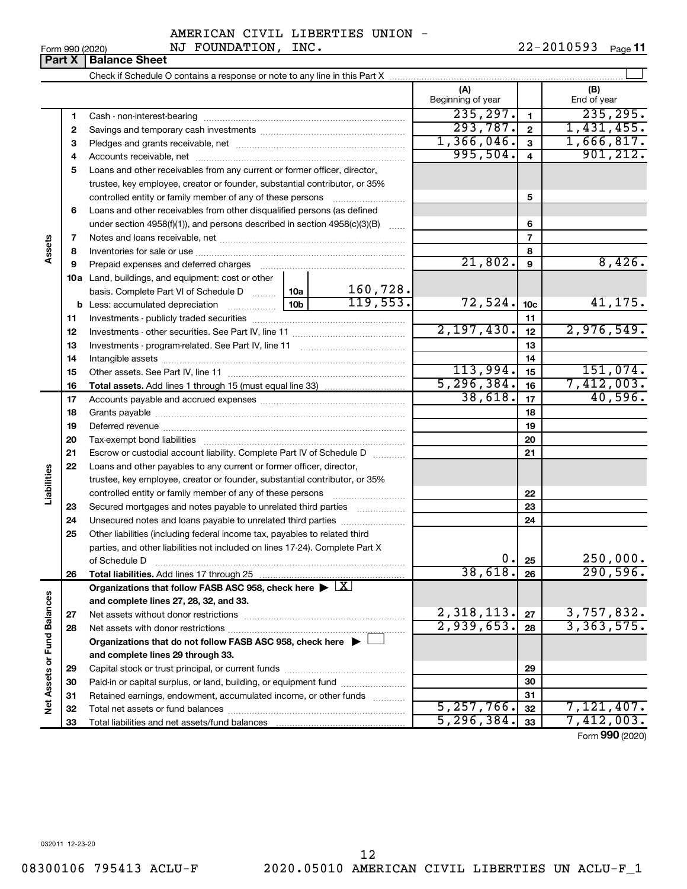**Part X** | Balance Sheet  $\perp$ Check if Schedule O contains a response or note to any line in this Part X **(A) (B)** Beginning of year  $\parallel$  | End of year  $235, 297.$  1 235, 295. **1 1** Cash - non-interest-bearing ~~~~~~~~~~~~~~~~~~~~~~~~~  $293,787.$  | 2 | 1,431,455. **2 2** Savings and temporary cash investments ~~~~~~~~~~~~~~~~~~  $1,366,046.$   $3$  1,666,817. **3 3** Pledges and grants receivable, net ~~~~~~~~~~~~~~~~~~~~~ 995,504. 4 901,212. **4 4** Accounts receivable, net ~~~~~~~~~~~~~~~~~~~~~~~~~~ **5** Loans and other receivables from any current or former officer, director, trustee, key employee, creator or founder, substantial contributor, or 35% controlled entity or family member of any of these persons ~~~~~~~~~ **5 6** Loans and other receivables from other disqualified persons (as defined under section 4958(f)(1)), and persons described in section  $4958(c)(3)(B)$  ...... **6 7 7** Notes and loans receivable, net ~~~~~~~~~~~~~~~~~~~~~~~ **Assets 8 8** Inventories for sale or use ~~~~~~~~~~~~~~~~~~~~~~~~~~ 21,802. 8,426. **9 9** Prepaid expenses and deferred charges ~~~~~~~~~~~~~~~~~~ **10 a** Land, buildings, and equipment: cost or other 160,728. basis. Complete Part VI of Schedule D  $\frac{1}{10}$  10a  $119,553.$  72,524.  $10c$  41,175. **10c b** Less: accumulated depreciation  $\ldots$  [10b **11 11** Investments - publicly traded securities ~~~~~~~~~~~~~~~~~~~ 2,197,430. 12 2,976,549. **12 12** Investments - other securities. See Part IV, line 11 ~~~~~~~~~~~~~~ **13 13** Investments - program-related. See Part IV, line 11 ~~~~~~~~~~~~~ **14 14** Intangible assets ~~~~~~~~~~~~~~~~~~~~~~~~~~~~~~ Other assets. See Part IV, line 11 ~~~~~~~~~~~~~~~~~~~~~~  $113,994.$   $15$  151,074. **15 15** 5,296,384. 7,412,003. **16 16 Total assets.**  Add lines 1 through 15 (must equal line 33)  $38,618.$   $17$   $40,596.$ **17 17** Accounts payable and accrued expenses ~~~~~~~~~~~~~~~~~~ **18 18** Grants payable ~~~~~~~~~~~~~~~~~~~~~~~~~~~~~~~ **19 19** Deferred revenue ~~~~~~~~~~~~~~~~~~~~~~~~~~~~~~ **20 20** Tax-exempt bond liabilities ~~~~~~~~~~~~~~~~~~~~~~~~~ **21 21** Escrow or custodial account liability. Complete Part IV of Schedule D ........... **22** Loans and other payables to any current or former officer, director, **Liabilities** trustee, key employee, creator or founder, substantial contributor, or 35% **22** controlled entity or family member of any of these persons ~~~~~~~~~ **23** Secured mortgages and notes payable to unrelated third parties  $\ldots$ ................. **23 24** Unsecured notes and loans payable to unrelated third parties ~~~~~~~~ **24 25** Other liabilities (including federal income tax, payables to related third parties, and other liabilities not included on lines 17-24). Complete Part X of Schedule D ~~~~~~~~~~~~~~~~~~~~~~~~~~~~~~~  $0. |25|$  250,000. **25** 38,618. 290,596. **26 26 Total liabilities.**  Add lines 17 through 25 Organizations that follow FASB ASC 958, check here  $\blacktriangleright \boxed{\text{X}}$ Net Assets or Fund Balances **Net Assets or Fund Balances and complete lines 27, 28, 32, and 33.**  $2,318,113. |z_7| 3,757,832.$ **27 27** Net assets without donor restrictions ~~~~~~~~~~~~~~~~~~~~ 2,939,653**. <sub>28</sub> 3**,363,575**. 28 28** Net assets with donor restrictions ~~~~~~~~~~~~~~~~~~~~~~ **Organizations that do not follow FASB ASC 958, check here** | † **and complete lines 29 through 33. 29 29** Capital stock or trust principal, or current funds ~~~~~~~~~~~~~~~ **30 30** Paid-in or capital surplus, or land, building, or equipment fund ....................... **31 31** Retained earnings, endowment, accumulated income, or other funds ............  $\overline{5,257,766.}$   $\overline{32}$  7,121,407. Total net assets or fund balances ~~~~~~~~~~~~~~~~~~~~~~ **32 32**  $7,412,003.$ **33** Total liabilities and net assets/fund balances **33**

Form (2020) **990**

032011 12-23-20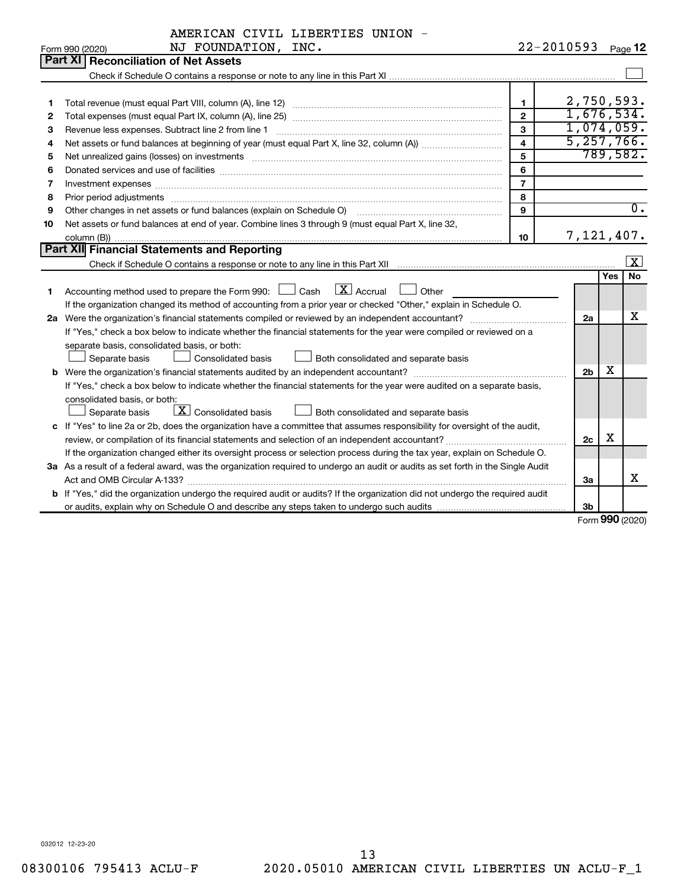|  | AMERICAN CIVIL LIBERTIES UNION |  |
|--|--------------------------------|--|
|  |                                |  |

|    | NJ FOUNDATION, INC.<br>Form 990 (2020)                                                                                          |                | 22-2010593               |            | Page 12          |  |
|----|---------------------------------------------------------------------------------------------------------------------------------|----------------|--------------------------|------------|------------------|--|
|    | <b>Part XI   Reconciliation of Net Assets</b>                                                                                   |                |                          |            |                  |  |
|    |                                                                                                                                 |                |                          |            |                  |  |
|    |                                                                                                                                 |                |                          |            |                  |  |
| 1  |                                                                                                                                 | $\mathbf{1}$   | 2,750,593.               |            |                  |  |
| 2  |                                                                                                                                 | $\overline{2}$ | 1,676,534.<br>1,074,059. |            |                  |  |
| з  | 3                                                                                                                               |                |                          |            |                  |  |
| 4  | 4                                                                                                                               |                |                          |            |                  |  |
| 5  |                                                                                                                                 | 5              |                          |            | 789,582.         |  |
| 6  | Donated services and use of facilities [[111] matter contracts and all the services and use of facilities [[11                  | 6              |                          |            |                  |  |
| 7  |                                                                                                                                 | $\overline{7}$ |                          |            |                  |  |
| 8  |                                                                                                                                 | 8              |                          |            |                  |  |
| 9  | Other changes in net assets or fund balances (explain on Schedule O)                                                            | 9              |                          |            | $\overline{0}$ . |  |
| 10 | Net assets or fund balances at end of year. Combine lines 3 through 9 (must equal Part X, line 32,                              |                |                          |            |                  |  |
|    |                                                                                                                                 | 10             | 7,121,407.               |            |                  |  |
|    | Part XII Financial Statements and Reporting                                                                                     |                |                          |            |                  |  |
|    |                                                                                                                                 |                |                          |            | X                |  |
|    |                                                                                                                                 |                |                          | <b>Yes</b> | <b>No</b>        |  |
| 1  | $\lfloor x \rfloor$ Accrual<br>Accounting method used to prepare the Form 990: [130] Cash<br>Other                              |                |                          |            |                  |  |
|    | If the organization changed its method of accounting from a prior year or checked "Other," explain in Schedule O.               |                |                          |            |                  |  |
|    |                                                                                                                                 |                | 2a                       |            | х                |  |
|    | If "Yes," check a box below to indicate whether the financial statements for the year were compiled or reviewed on a            |                |                          |            |                  |  |
|    | separate basis, consolidated basis, or both:                                                                                    |                |                          |            |                  |  |
|    | Consolidated basis<br>Both consolidated and separate basis<br>Separate basis                                                    |                |                          |            |                  |  |
|    |                                                                                                                                 |                | 2 <sub>b</sub>           | х          |                  |  |
|    | If "Yes," check a box below to indicate whether the financial statements for the year were audited on a separate basis,         |                |                          |            |                  |  |
|    | consolidated basis, or both:                                                                                                    |                |                          |            |                  |  |
|    | $\boxed{\mathbf{X}}$ Consolidated basis<br>Both consolidated and separate basis<br>Separate basis                               |                |                          |            |                  |  |
|    | c If "Yes" to line 2a or 2b, does the organization have a committee that assumes responsibility for oversight of the audit,     |                |                          |            |                  |  |
|    |                                                                                                                                 |                | 2c                       | X          |                  |  |
|    | If the organization changed either its oversight process or selection process during the tax year, explain on Schedule O.       |                |                          |            |                  |  |
|    | 3a As a result of a federal award, was the organization required to undergo an audit or audits as set forth in the Single Audit |                |                          |            |                  |  |
|    |                                                                                                                                 |                | За                       |            | x                |  |
|    | b If "Yes," did the organization undergo the required audit or audits? If the organization did not undergo the required audit   |                |                          |            |                  |  |
|    |                                                                                                                                 |                | Зb                       | $\sim$     |                  |  |

Form (2020) **990**

032012 12-23-20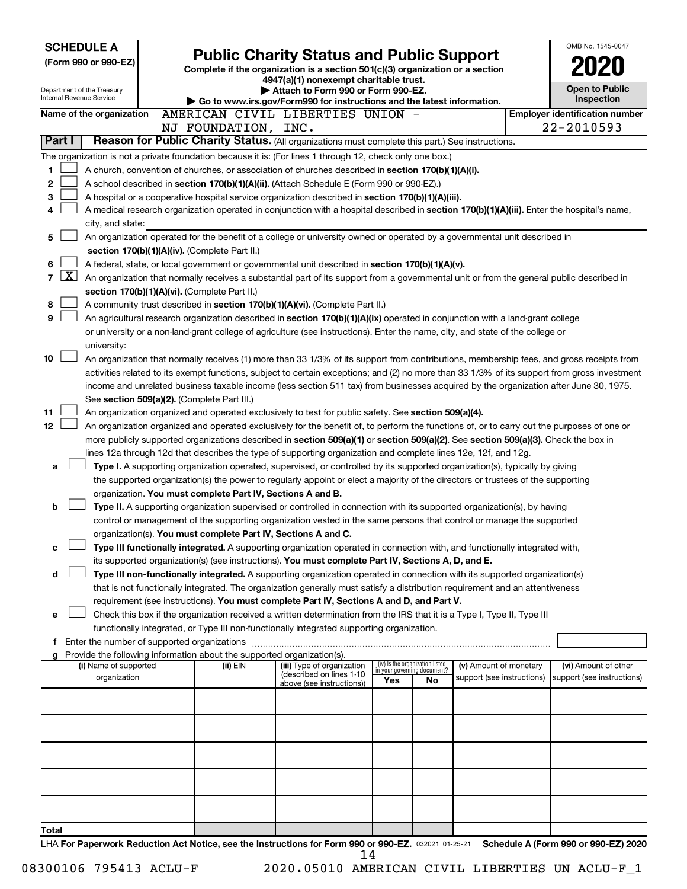| <b>SCHEDULE A</b><br>(Form 990 or 990-EZ)              | <b>Public Charity Status and Public Support</b><br>Complete if the organization is a section 501(c)(3) organization or a section<br>4947(a)(1) nonexempt charitable trust.                                                                                                            |                                                                                                              | OMB No. 1545-0047<br><b>Open to Public</b>                     |    |                            |  |                                       |  |  |  |
|--------------------------------------------------------|---------------------------------------------------------------------------------------------------------------------------------------------------------------------------------------------------------------------------------------------------------------------------------------|--------------------------------------------------------------------------------------------------------------|----------------------------------------------------------------|----|----------------------------|--|---------------------------------------|--|--|--|
| Department of the Treasury<br>Internal Revenue Service |                                                                                                                                                                                                                                                                                       | Attach to Form 990 or Form 990-EZ.<br>Go to www.irs.gov/Form990 for instructions and the latest information. |                                                                |    |                            |  | Inspection                            |  |  |  |
| Name of the organization                               | AMERICAN CIVIL LIBERTIES UNION -                                                                                                                                                                                                                                                      |                                                                                                              |                                                                |    |                            |  | <b>Employer identification number</b> |  |  |  |
|                                                        | NJ FOUNDATION, INC.                                                                                                                                                                                                                                                                   |                                                                                                              |                                                                |    |                            |  | 22-2010593                            |  |  |  |
| Part I                                                 | Reason for Public Charity Status. (All organizations must complete this part.) See instructions.                                                                                                                                                                                      |                                                                                                              |                                                                |    |                            |  |                                       |  |  |  |
|                                                        | The organization is not a private foundation because it is: (For lines 1 through 12, check only one box.)                                                                                                                                                                             |                                                                                                              |                                                                |    |                            |  |                                       |  |  |  |
| 1<br>2                                                 | A church, convention of churches, or association of churches described in section 170(b)(1)(A)(i).<br>A school described in section 170(b)(1)(A)(ii). (Attach Schedule E (Form 990 or 990-EZ).)                                                                                       |                                                                                                              |                                                                |    |                            |  |                                       |  |  |  |
| 3                                                      | A hospital or a cooperative hospital service organization described in section 170(b)(1)(A)(iii).                                                                                                                                                                                     |                                                                                                              |                                                                |    |                            |  |                                       |  |  |  |
| 4                                                      | A medical research organization operated in conjunction with a hospital described in section 170(b)(1)(A)(iii). Enter the hospital's name,                                                                                                                                            |                                                                                                              |                                                                |    |                            |  |                                       |  |  |  |
| city, and state:                                       |                                                                                                                                                                                                                                                                                       |                                                                                                              |                                                                |    |                            |  |                                       |  |  |  |
| 5                                                      | An organization operated for the benefit of a college or university owned or operated by a governmental unit described in                                                                                                                                                             |                                                                                                              |                                                                |    |                            |  |                                       |  |  |  |
|                                                        | section 170(b)(1)(A)(iv). (Complete Part II.)                                                                                                                                                                                                                                         |                                                                                                              |                                                                |    |                            |  |                                       |  |  |  |
| 6<br>$\mathbf{X}$<br>$\overline{7}$                    | A federal, state, or local government or governmental unit described in section 170(b)(1)(A)(v).<br>An organization that normally receives a substantial part of its support from a governmental unit or from the general public described in                                         |                                                                                                              |                                                                |    |                            |  |                                       |  |  |  |
|                                                        | section 170(b)(1)(A)(vi). (Complete Part II.)                                                                                                                                                                                                                                         |                                                                                                              |                                                                |    |                            |  |                                       |  |  |  |
| 8                                                      | A community trust described in section 170(b)(1)(A)(vi). (Complete Part II.)                                                                                                                                                                                                          |                                                                                                              |                                                                |    |                            |  |                                       |  |  |  |
| 9                                                      | An agricultural research organization described in section 170(b)(1)(A)(ix) operated in conjunction with a land-grant college                                                                                                                                                         |                                                                                                              |                                                                |    |                            |  |                                       |  |  |  |
|                                                        | or university or a non-land-grant college of agriculture (see instructions). Enter the name, city, and state of the college or                                                                                                                                                        |                                                                                                              |                                                                |    |                            |  |                                       |  |  |  |
| university:                                            |                                                                                                                                                                                                                                                                                       |                                                                                                              |                                                                |    |                            |  |                                       |  |  |  |
| 10                                                     | An organization that normally receives (1) more than 33 1/3% of its support from contributions, membership fees, and gross receipts from                                                                                                                                              |                                                                                                              |                                                                |    |                            |  |                                       |  |  |  |
|                                                        | activities related to its exempt functions, subject to certain exceptions; and (2) no more than 33 1/3% of its support from gross investment<br>income and unrelated business taxable income (less section 511 tax) from businesses acquired by the organization after June 30, 1975. |                                                                                                              |                                                                |    |                            |  |                                       |  |  |  |
|                                                        | See section 509(a)(2). (Complete Part III.)                                                                                                                                                                                                                                           |                                                                                                              |                                                                |    |                            |  |                                       |  |  |  |
| 11                                                     | An organization organized and operated exclusively to test for public safety. See section 509(a)(4).                                                                                                                                                                                  |                                                                                                              |                                                                |    |                            |  |                                       |  |  |  |
| 12                                                     | An organization organized and operated exclusively for the benefit of, to perform the functions of, or to carry out the purposes of one or                                                                                                                                            |                                                                                                              |                                                                |    |                            |  |                                       |  |  |  |
|                                                        | more publicly supported organizations described in section 509(a)(1) or section 509(a)(2). See section 509(a)(3). Check the box in                                                                                                                                                    |                                                                                                              |                                                                |    |                            |  |                                       |  |  |  |
| a                                                      | lines 12a through 12d that describes the type of supporting organization and complete lines 12e, 12f, and 12g.<br>Type I. A supporting organization operated, supervised, or controlled by its supported organization(s), typically by giving                                         |                                                                                                              |                                                                |    |                            |  |                                       |  |  |  |
|                                                        | the supported organization(s) the power to regularly appoint or elect a majority of the directors or trustees of the supporting                                                                                                                                                       |                                                                                                              |                                                                |    |                            |  |                                       |  |  |  |
|                                                        | organization. You must complete Part IV, Sections A and B.                                                                                                                                                                                                                            |                                                                                                              |                                                                |    |                            |  |                                       |  |  |  |
| b                                                      | Type II. A supporting organization supervised or controlled in connection with its supported organization(s), by having                                                                                                                                                               |                                                                                                              |                                                                |    |                            |  |                                       |  |  |  |
|                                                        | control or management of the supporting organization vested in the same persons that control or manage the supported                                                                                                                                                                  |                                                                                                              |                                                                |    |                            |  |                                       |  |  |  |
|                                                        | organization(s). You must complete Part IV, Sections A and C.                                                                                                                                                                                                                         |                                                                                                              |                                                                |    |                            |  |                                       |  |  |  |
| c                                                      | Type III functionally integrated. A supporting organization operated in connection with, and functionally integrated with,<br>its supported organization(s) (see instructions). You must complete Part IV, Sections A, D, and E.                                                      |                                                                                                              |                                                                |    |                            |  |                                       |  |  |  |
| d                                                      | Type III non-functionally integrated. A supporting organization operated in connection with its supported organization(s)                                                                                                                                                             |                                                                                                              |                                                                |    |                            |  |                                       |  |  |  |
|                                                        | that is not functionally integrated. The organization generally must satisfy a distribution requirement and an attentiveness                                                                                                                                                          |                                                                                                              |                                                                |    |                            |  |                                       |  |  |  |
|                                                        | requirement (see instructions). You must complete Part IV, Sections A and D, and Part V.                                                                                                                                                                                              |                                                                                                              |                                                                |    |                            |  |                                       |  |  |  |
| е                                                      | Check this box if the organization received a written determination from the IRS that it is a Type I, Type II, Type III                                                                                                                                                               |                                                                                                              |                                                                |    |                            |  |                                       |  |  |  |
| f Enter the number of supported organizations          | functionally integrated, or Type III non-functionally integrated supporting organization.                                                                                                                                                                                             |                                                                                                              |                                                                |    |                            |  |                                       |  |  |  |
|                                                        | g Provide the following information about the supported organization(s).                                                                                                                                                                                                              |                                                                                                              |                                                                |    |                            |  |                                       |  |  |  |
| (i) Name of supported                                  | (ii) EIN                                                                                                                                                                                                                                                                              | (iii) Type of organization                                                                                   | (iv) Is the organization listed<br>in your governing document? |    | (v) Amount of monetary     |  | (vi) Amount of other                  |  |  |  |
| organization                                           |                                                                                                                                                                                                                                                                                       | (described on lines 1-10<br>above (see instructions))                                                        | Yes                                                            | No | support (see instructions) |  | support (see instructions)            |  |  |  |
|                                                        |                                                                                                                                                                                                                                                                                       |                                                                                                              |                                                                |    |                            |  |                                       |  |  |  |
|                                                        |                                                                                                                                                                                                                                                                                       |                                                                                                              |                                                                |    |                            |  |                                       |  |  |  |
|                                                        |                                                                                                                                                                                                                                                                                       |                                                                                                              |                                                                |    |                            |  |                                       |  |  |  |
|                                                        |                                                                                                                                                                                                                                                                                       |                                                                                                              |                                                                |    |                            |  |                                       |  |  |  |
|                                                        |                                                                                                                                                                                                                                                                                       |                                                                                                              |                                                                |    |                            |  |                                       |  |  |  |
|                                                        |                                                                                                                                                                                                                                                                                       |                                                                                                              |                                                                |    |                            |  |                                       |  |  |  |
|                                                        |                                                                                                                                                                                                                                                                                       |                                                                                                              |                                                                |    |                            |  |                                       |  |  |  |
|                                                        |                                                                                                                                                                                                                                                                                       |                                                                                                              |                                                                |    |                            |  |                                       |  |  |  |
| Total                                                  |                                                                                                                                                                                                                                                                                       |                                                                                                              |                                                                |    |                            |  |                                       |  |  |  |
|                                                        | LHA For Paperwork Reduction Act Notice, see the Instructions for Form 990 or 990-FZ, 032021 01-25-21 Schedule A (Form 990 or 990-FZ) 2020                                                                                                                                             |                                                                                                              |                                                                |    |                            |  |                                       |  |  |  |

032021 01-25-21 **For Paperwork Reduction Act Notice, see the Instructions for Form 990 or 990-EZ. Schedule A (Form 990 or 990-EZ) 2020** LHA 14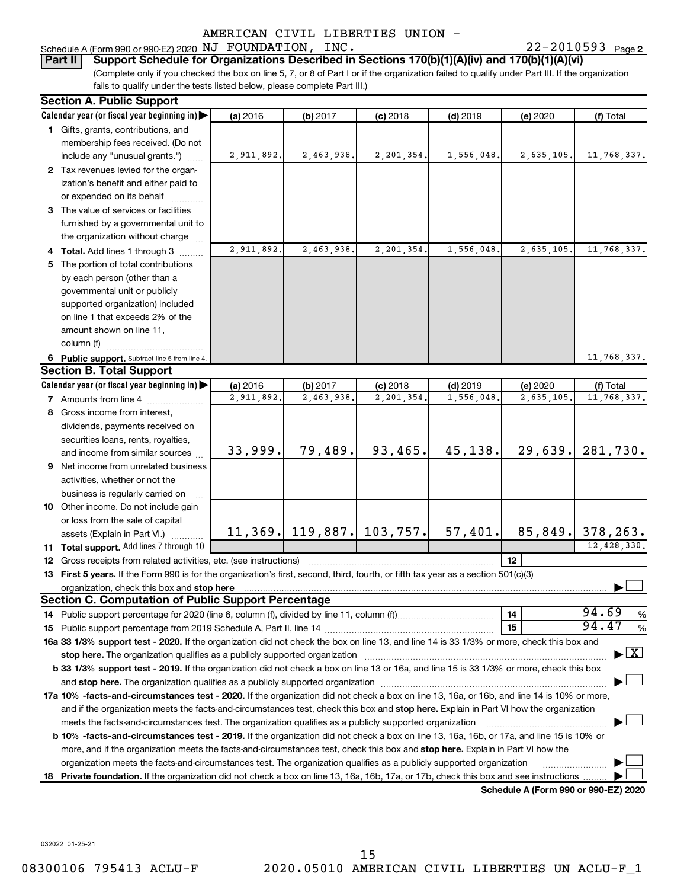22-2010593 Page 2 Schedule A (Form 990 or 990-EZ) 2020 Page NJ FOUNDATION, INC. 22-2010593

### **Part II Support Schedule for Organizations Described in Sections 170(b)(1)(A)(iv) and 170(b)(1)(A)(vi)**

(Complete only if you checked the box on line 5, 7, or 8 of Part I or if the organization failed to qualify under Part III. If the organization fails to qualify under the tests listed below, please complete Part III.)

| <b>Section A. Public Support</b>                                                                                                                                                                                              |            |            |                               |            |                                      |                                    |
|-------------------------------------------------------------------------------------------------------------------------------------------------------------------------------------------------------------------------------|------------|------------|-------------------------------|------------|--------------------------------------|------------------------------------|
| Calendar year (or fiscal year beginning in)                                                                                                                                                                                   | (a) 2016   | (b) 2017   | $(c)$ 2018                    | $(d)$ 2019 | (e) 2020                             | (f) Total                          |
| 1 Gifts, grants, contributions, and                                                                                                                                                                                           |            |            |                               |            |                                      |                                    |
| membership fees received. (Do not                                                                                                                                                                                             |            |            |                               |            |                                      |                                    |
| include any "unusual grants.")                                                                                                                                                                                                | 2,911,892. | 2,463,938. | 2,201,354.                    | 1,556,048. | 2,635,105.                           | 11,768,337.                        |
| 2 Tax revenues levied for the organ-                                                                                                                                                                                          |            |            |                               |            |                                      |                                    |
| ization's benefit and either paid to                                                                                                                                                                                          |            |            |                               |            |                                      |                                    |
| or expended on its behalf                                                                                                                                                                                                     |            |            |                               |            |                                      |                                    |
| 3 The value of services or facilities                                                                                                                                                                                         |            |            |                               |            |                                      |                                    |
| furnished by a governmental unit to                                                                                                                                                                                           |            |            |                               |            |                                      |                                    |
| the organization without charge                                                                                                                                                                                               |            |            |                               |            |                                      |                                    |
| 4 Total. Add lines 1 through 3                                                                                                                                                                                                | 2,911,892. | 2,463,938. | 2,201,354                     | 1,556,048  | 2,635,105.                           | 11,768,337.                        |
| 5 The portion of total contributions                                                                                                                                                                                          |            |            |                               |            |                                      |                                    |
| by each person (other than a                                                                                                                                                                                                  |            |            |                               |            |                                      |                                    |
| governmental unit or publicly                                                                                                                                                                                                 |            |            |                               |            |                                      |                                    |
| supported organization) included                                                                                                                                                                                              |            |            |                               |            |                                      |                                    |
| on line 1 that exceeds 2% of the                                                                                                                                                                                              |            |            |                               |            |                                      |                                    |
| amount shown on line 11,                                                                                                                                                                                                      |            |            |                               |            |                                      |                                    |
| column (f)                                                                                                                                                                                                                    |            |            |                               |            |                                      |                                    |
| 6 Public support. Subtract line 5 from line 4.                                                                                                                                                                                |            |            |                               |            |                                      | 11,768,337.                        |
| <b>Section B. Total Support</b>                                                                                                                                                                                               |            |            |                               |            |                                      |                                    |
| Calendar year (or fiscal year beginning in)                                                                                                                                                                                   | (a) 2016   | (b) 2017   | $(c)$ 2018                    | $(d)$ 2019 | (e) 2020                             | (f) Total                          |
| <b>7</b> Amounts from line 4                                                                                                                                                                                                  | 2,911,892  | 2,463,938. | 2,201,354                     | 1,556,048  | 2,635,105.                           | 11,768,337.                        |
| 8 Gross income from interest,                                                                                                                                                                                                 |            |            |                               |            |                                      |                                    |
| dividends, payments received on                                                                                                                                                                                               |            |            |                               |            |                                      |                                    |
| securities loans, rents, royalties,                                                                                                                                                                                           |            |            |                               |            |                                      |                                    |
| and income from similar sources                                                                                                                                                                                               | 33,999.    | 79,489.    | 93, 465.                      | 45,138.    | 29,639.                              | 281,730.                           |
| 9 Net income from unrelated business                                                                                                                                                                                          |            |            |                               |            |                                      |                                    |
| activities, whether or not the                                                                                                                                                                                                |            |            |                               |            |                                      |                                    |
| business is regularly carried on                                                                                                                                                                                              |            |            |                               |            |                                      |                                    |
| 10 Other income. Do not include gain                                                                                                                                                                                          |            |            |                               |            |                                      |                                    |
| or loss from the sale of capital                                                                                                                                                                                              |            |            |                               |            |                                      |                                    |
| assets (Explain in Part VI.)                                                                                                                                                                                                  |            |            | $11, 369$ , 119,887, 103,757. | 57,401.    | 85,849.                              | 378,263.                           |
| 11 Total support. Add lines 7 through 10                                                                                                                                                                                      |            |            |                               |            |                                      | 12,428,330.                        |
| <b>12</b> Gross receipts from related activities, etc. (see instructions)                                                                                                                                                     |            |            |                               |            | 12                                   |                                    |
| 13 First 5 years. If the Form 990 is for the organization's first, second, third, fourth, or fifth tax year as a section 501(c)(3)                                                                                            |            |            |                               |            |                                      |                                    |
|                                                                                                                                                                                                                               |            |            |                               |            |                                      |                                    |
| <b>Section C. Computation of Public Support Percentage</b>                                                                                                                                                                    |            |            |                               |            |                                      |                                    |
|                                                                                                                                                                                                                               |            |            |                               |            | 14                                   | 94.69<br>%                         |
|                                                                                                                                                                                                                               |            |            |                               |            | 15                                   | 94.47<br>%                         |
| 16a 33 1/3% support test - 2020. If the organization did not check the box on line 13, and line 14 is 33 1/3% or more, check this box and                                                                                     |            |            |                               |            |                                      |                                    |
| stop here. The organization qualifies as a publicly supported organization manufactured content and the organization manufactured and the state of the state of the state of the state of the state of the state of the state |            |            |                               |            |                                      | $\blacktriangleright$ $\mathbf{X}$ |
| b 33 1/3% support test - 2019. If the organization did not check a box on line 13 or 16a, and line 15 is 33 1/3% or more, check this box                                                                                      |            |            |                               |            |                                      |                                    |
|                                                                                                                                                                                                                               |            |            |                               |            |                                      |                                    |
| 17a 10% -facts-and-circumstances test - 2020. If the organization did not check a box on line 13, 16a, or 16b, and line 14 is 10% or more,                                                                                    |            |            |                               |            |                                      |                                    |
| and if the organization meets the facts-and-circumstances test, check this box and stop here. Explain in Part VI how the organization                                                                                         |            |            |                               |            |                                      |                                    |
| meets the facts-and-circumstances test. The organization qualifies as a publicly supported organization                                                                                                                       |            |            |                               |            |                                      |                                    |
| <b>b 10%</b> -facts-and-circumstances test - 2019. If the organization did not check a box on line 13, 16a, 16b, or 17a, and line 15 is 10% or                                                                                |            |            |                               |            |                                      |                                    |
| more, and if the organization meets the facts-and-circumstances test, check this box and stop here. Explain in Part VI how the                                                                                                |            |            |                               |            |                                      |                                    |
| organization meets the facts-and-circumstances test. The organization qualifies as a publicly supported organization                                                                                                          |            |            |                               |            |                                      |                                    |
| 18 Private foundation. If the organization did not check a box on line 13, 16a, 16b, 17a, or 17b, check this box and see instructions                                                                                         |            |            |                               |            |                                      |                                    |
|                                                                                                                                                                                                                               |            |            |                               |            | Schedule A (Form 990 or 990-F7) 2020 |                                    |

**Schedule A (Form 990 or 990-EZ) 2020**

032022 01-25-21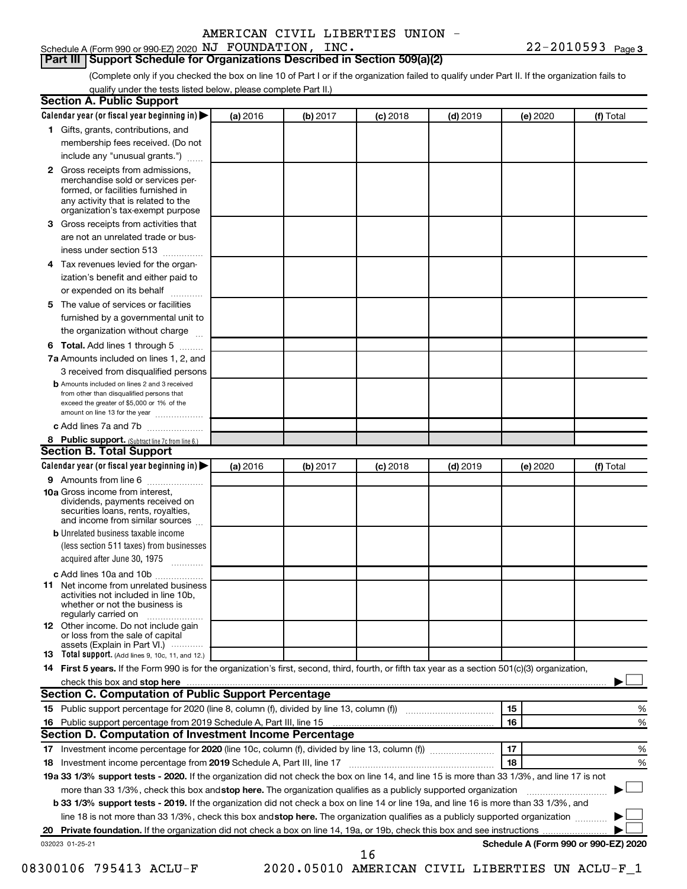# **Part III Support Schedule for Organizations Described in Section 509(a)(2)**

(Complete only if you checked the box on line 10 of Part I or if the organization failed to qualify under Part II. If the organization fails to qualify under the tests listed below, please complete Part II.)

| <b>Section A. Public Support</b>                                                                                                                                                                                               |          |          |            |            |          |                                      |
|--------------------------------------------------------------------------------------------------------------------------------------------------------------------------------------------------------------------------------|----------|----------|------------|------------|----------|--------------------------------------|
| Calendar year (or fiscal year beginning in)                                                                                                                                                                                    | (a) 2016 | (b) 2017 | $(c)$ 2018 | $(d)$ 2019 | (e) 2020 | (f) Total                            |
| 1 Gifts, grants, contributions, and                                                                                                                                                                                            |          |          |            |            |          |                                      |
| membership fees received. (Do not                                                                                                                                                                                              |          |          |            |            |          |                                      |
| include any "unusual grants.")                                                                                                                                                                                                 |          |          |            |            |          |                                      |
| 2 Gross receipts from admissions,<br>merchandise sold or services per-<br>formed, or facilities furnished in<br>any activity that is related to the<br>organization's tax-exempt purpose                                       |          |          |            |            |          |                                      |
| 3 Gross receipts from activities that                                                                                                                                                                                          |          |          |            |            |          |                                      |
| are not an unrelated trade or bus-                                                                                                                                                                                             |          |          |            |            |          |                                      |
| iness under section 513                                                                                                                                                                                                        |          |          |            |            |          |                                      |
| 4 Tax revenues levied for the organ-                                                                                                                                                                                           |          |          |            |            |          |                                      |
| ization's benefit and either paid to<br>or expended on its behalf                                                                                                                                                              |          |          |            |            |          |                                      |
| 5 The value of services or facilities                                                                                                                                                                                          |          |          |            |            |          |                                      |
| furnished by a governmental unit to                                                                                                                                                                                            |          |          |            |            |          |                                      |
| the organization without charge                                                                                                                                                                                                |          |          |            |            |          |                                      |
| 6 Total. Add lines 1 through 5                                                                                                                                                                                                 |          |          |            |            |          |                                      |
| 7a Amounts included on lines 1, 2, and                                                                                                                                                                                         |          |          |            |            |          |                                      |
| 3 received from disqualified persons                                                                                                                                                                                           |          |          |            |            |          |                                      |
| <b>b</b> Amounts included on lines 2 and 3 received<br>from other than disqualified persons that<br>exceed the greater of \$5,000 or 1% of the<br>amount on line 13 for the year                                               |          |          |            |            |          |                                      |
| c Add lines 7a and 7b                                                                                                                                                                                                          |          |          |            |            |          |                                      |
| 8 Public support. (Subtract line 7c from line 6.)                                                                                                                                                                              |          |          |            |            |          |                                      |
| <b>Section B. Total Support</b>                                                                                                                                                                                                |          |          |            |            |          |                                      |
| Calendar year (or fiscal year beginning in)                                                                                                                                                                                    | (a) 2016 | (b) 2017 | $(c)$ 2018 | $(d)$ 2019 | (e) 2020 | (f) Total                            |
| <b>9</b> Amounts from line 6                                                                                                                                                                                                   |          |          |            |            |          |                                      |
| <b>10a</b> Gross income from interest,<br>dividends, payments received on<br>securities loans, rents, royalties,<br>and income from similar sources                                                                            |          |          |            |            |          |                                      |
| <b>b</b> Unrelated business taxable income                                                                                                                                                                                     |          |          |            |            |          |                                      |
| (less section 511 taxes) from businesses                                                                                                                                                                                       |          |          |            |            |          |                                      |
| acquired after June 30, 1975<br>$\overline{\phantom{a}}$                                                                                                                                                                       |          |          |            |            |          |                                      |
| c Add lines 10a and 10b                                                                                                                                                                                                        |          |          |            |            |          |                                      |
| 11 Net income from unrelated business<br>activities not included in line 10b.<br>whether or not the business is<br>regularly carried on                                                                                        |          |          |            |            |          |                                      |
| <b>12</b> Other income. Do not include gain<br>or loss from the sale of capital                                                                                                                                                |          |          |            |            |          |                                      |
| assets (Explain in Part VI.) $\cdots$<br><b>13</b> Total support. (Add lines 9, 10c, 11, and 12.)                                                                                                                              |          |          |            |            |          |                                      |
| 14 First 5 years. If the Form 990 is for the organization's first, second, third, fourth, or fifth tax year as a section 501(c)(3) organization,                                                                               |          |          |            |            |          |                                      |
| check this box and stop here manufactured and stop here and stop here are manufactured and stop here and stop here and stop here and stop here and stop here and stop here and stop here are all the stop of the stop of the s |          |          |            |            |          |                                      |
| <b>Section C. Computation of Public Support Percentage</b>                                                                                                                                                                     |          |          |            |            |          |                                      |
|                                                                                                                                                                                                                                |          |          |            |            | 15       | ℅                                    |
| 16 Public support percentage from 2019 Schedule A, Part III, line 15                                                                                                                                                           |          |          |            |            | 16       | %                                    |
| Section D. Computation of Investment Income Percentage                                                                                                                                                                         |          |          |            |            |          |                                      |
|                                                                                                                                                                                                                                |          |          |            |            | 17       | %                                    |
| 18 Investment income percentage from 2019 Schedule A, Part III, line 17                                                                                                                                                        |          |          |            |            | 18       | %                                    |
| 19a 33 1/3% support tests - 2020. If the organization did not check the box on line 14, and line 15 is more than 33 1/3%, and line 17 is not                                                                                   |          |          |            |            |          |                                      |
| more than 33 1/3%, check this box and stop here. The organization qualifies as a publicly supported organization                                                                                                               |          |          |            |            |          |                                      |
| b 33 1/3% support tests - 2019. If the organization did not check a box on line 14 or line 19a, and line 16 is more than 33 1/3%, and                                                                                          |          |          |            |            |          |                                      |
| line 18 is not more than 33 1/3%, check this box and stop here. The organization qualifies as a publicly supported organization                                                                                                |          |          |            |            |          |                                      |
|                                                                                                                                                                                                                                |          |          |            |            |          |                                      |
| 032023 01-25-21                                                                                                                                                                                                                |          |          |            |            |          | Schedule A (Form 990 or 990-EZ) 2020 |
|                                                                                                                                                                                                                                |          |          | 16         |            |          |                                      |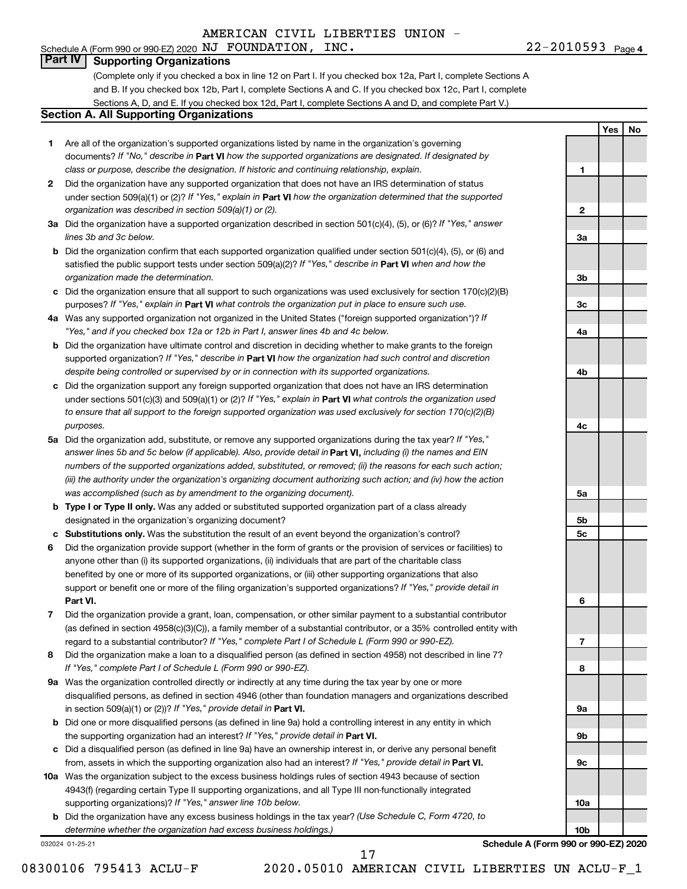Schedule A (Form 990 or 990-EZ) 2020 Page NJ FOUNDATION, INC. 22-2010593

**1**

**2**

**3a**

**3b**

**3c**

**4a**

**4b**

**4c**

**5a**

**5b 5c**

**6**

**7**

**8**

**9a**

**9b**

**9c**

**10a**

**10b**

**Yes No**

# **Part IV Supporting Organizations**

(Complete only if you checked a box in line 12 on Part I. If you checked box 12a, Part I, complete Sections A and B. If you checked box 12b, Part I, complete Sections A and C. If you checked box 12c, Part I, complete Sections A, D, and E. If you checked box 12d, Part I, complete Sections A and D, and complete Part V.)

# **Section A. All Supporting Organizations**

- **1** Are all of the organization's supported organizations listed by name in the organization's governing documents? If "No," describe in Part VI how the supported organizations are designated. If designated by *class or purpose, describe the designation. If historic and continuing relationship, explain.*
- **2** Did the organization have any supported organization that does not have an IRS determination of status under section 509(a)(1) or (2)? If "Yes," explain in Part **VI** how the organization determined that the supported *organization was described in section 509(a)(1) or (2).*
- **3a** Did the organization have a supported organization described in section 501(c)(4), (5), or (6)? If "Yes," answer *lines 3b and 3c below.*
- **b** Did the organization confirm that each supported organization qualified under section 501(c)(4), (5), or (6) and satisfied the public support tests under section 509(a)(2)? If "Yes," describe in Part VI when and how the *organization made the determination.*
- **c** Did the organization ensure that all support to such organizations was used exclusively for section 170(c)(2)(B) purposes? If "Yes," explain in Part VI what controls the organization put in place to ensure such use.
- **4 a** *If* Was any supported organization not organized in the United States ("foreign supported organization")? *"Yes," and if you checked box 12a or 12b in Part I, answer lines 4b and 4c below.*
- **b** Did the organization have ultimate control and discretion in deciding whether to make grants to the foreign supported organization? If "Yes," describe in Part VI how the organization had such control and discretion *despite being controlled or supervised by or in connection with its supported organizations.*
- **c** Did the organization support any foreign supported organization that does not have an IRS determination under sections 501(c)(3) and 509(a)(1) or (2)? If "Yes," explain in Part VI what controls the organization used *to ensure that all support to the foreign supported organization was used exclusively for section 170(c)(2)(B) purposes.*
- **5a** Did the organization add, substitute, or remove any supported organizations during the tax year? If "Yes," answer lines 5b and 5c below (if applicable). Also, provide detail in **Part VI,** including (i) the names and EIN *numbers of the supported organizations added, substituted, or removed; (ii) the reasons for each such action; (iii) the authority under the organization's organizing document authorizing such action; and (iv) how the action was accomplished (such as by amendment to the organizing document).*
- **b** Type I or Type II only. Was any added or substituted supported organization part of a class already designated in the organization's organizing document?
- **c Substitutions only.**  Was the substitution the result of an event beyond the organization's control?
- **6** Did the organization provide support (whether in the form of grants or the provision of services or facilities) to **Part VI.** support or benefit one or more of the filing organization's supported organizations? If "Yes," provide detail in anyone other than (i) its supported organizations, (ii) individuals that are part of the charitable class benefited by one or more of its supported organizations, or (iii) other supporting organizations that also
- **7** Did the organization provide a grant, loan, compensation, or other similar payment to a substantial contributor regard to a substantial contributor? If "Yes," complete Part I of Schedule L (Form 990 or 990-EZ). (as defined in section 4958(c)(3)(C)), a family member of a substantial contributor, or a 35% controlled entity with
- **8** Did the organization make a loan to a disqualified person (as defined in section 4958) not described in line 7? *If "Yes," complete Part I of Schedule L (Form 990 or 990-EZ).*
- **9 a** Was the organization controlled directly or indirectly at any time during the tax year by one or more in section 509(a)(1) or (2))? If "Yes," provide detail in **Part VI.** disqualified persons, as defined in section 4946 (other than foundation managers and organizations described
- **b** Did one or more disqualified persons (as defined in line 9a) hold a controlling interest in any entity in which the supporting organization had an interest? If "Yes," provide detail in Part VI.
- **c** Did a disqualified person (as defined in line 9a) have an ownership interest in, or derive any personal benefit from, assets in which the supporting organization also had an interest? If "Yes," provide detail in Part VI.
- **10 a** Was the organization subject to the excess business holdings rules of section 4943 because of section supporting organizations)? If "Yes," answer line 10b below. 4943(f) (regarding certain Type II supporting organizations, and all Type III non-functionally integrated
	- **b** Did the organization have any excess business holdings in the tax year? (Use Schedule C, Form 4720, to *determine whether the organization had excess business holdings.)*

032024 01-25-21

**Schedule A (Form 990 or 990-EZ) 2020**

08300106 795413 ACLU-F 2020.05010 AMERICAN CIVIL LIBERTIES UN ACLU-F\_1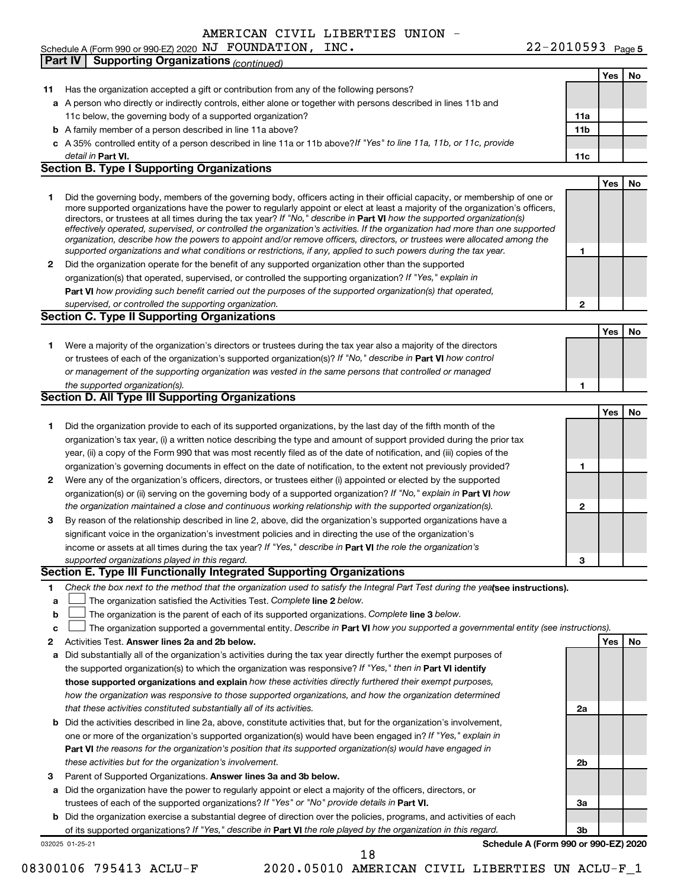Schedule A (Form 990 or 990-EZ) 2020 Page NJ FOUNDATION, INC. 22-2010593 **Part IV Supporting Organizations** *(continued)*

|    |                                                                                                                                                                                                                                              |                 | Yes | No |
|----|----------------------------------------------------------------------------------------------------------------------------------------------------------------------------------------------------------------------------------------------|-----------------|-----|----|
| 11 | Has the organization accepted a gift or contribution from any of the following persons?                                                                                                                                                      |                 |     |    |
|    | a A person who directly or indirectly controls, either alone or together with persons described in lines 11b and                                                                                                                             |                 |     |    |
|    | 11c below, the governing body of a supported organization?                                                                                                                                                                                   | 11a             |     |    |
|    | <b>b</b> A family member of a person described in line 11a above?                                                                                                                                                                            | 11 <sub>b</sub> |     |    |
|    | c A 35% controlled entity of a person described in line 11a or 11b above?If "Yes" to line 11a, 11b, or 11c, provide                                                                                                                          |                 |     |    |
|    | detail in Part VI.                                                                                                                                                                                                                           | 11c             |     |    |
|    | <b>Section B. Type I Supporting Organizations</b>                                                                                                                                                                                            |                 |     |    |
|    |                                                                                                                                                                                                                                              |                 | Yes | No |
| 1  | Did the governing body, members of the governing body, officers acting in their official capacity, or membership of one or                                                                                                                   |                 |     |    |
|    | more supported organizations have the power to regularly appoint or elect at least a majority of the organization's officers,                                                                                                                |                 |     |    |
|    | directors, or trustees at all times during the tax year? If "No," describe in Part VI how the supported organization(s)                                                                                                                      |                 |     |    |
|    | effectively operated, supervised, or controlled the organization's activities. If the organization had more than one supported                                                                                                               |                 |     |    |
|    | organization, describe how the powers to appoint and/or remove officers, directors, or trustees were allocated among the<br>supported organizations and what conditions or restrictions, if any, applied to such powers during the tax year. | 1               |     |    |
| 2  | Did the organization operate for the benefit of any supported organization other than the supported                                                                                                                                          |                 |     |    |
|    |                                                                                                                                                                                                                                              |                 |     |    |
|    | organization(s) that operated, supervised, or controlled the supporting organization? If "Yes," explain in                                                                                                                                   |                 |     |    |
|    | Part VI how providing such benefit carried out the purposes of the supported organization(s) that operated,                                                                                                                                  |                 |     |    |
|    | supervised, or controlled the supporting organization.                                                                                                                                                                                       | $\mathbf{2}$    |     |    |
|    | <b>Section C. Type II Supporting Organizations</b>                                                                                                                                                                                           |                 |     |    |
|    |                                                                                                                                                                                                                                              |                 | Yes | No |
| 1. | Were a majority of the organization's directors or trustees during the tax year also a majority of the directors                                                                                                                             |                 |     |    |
|    | or trustees of each of the organization's supported organization(s)? If "No," describe in Part VI how control                                                                                                                                |                 |     |    |
|    | or management of the supporting organization was vested in the same persons that controlled or managed                                                                                                                                       |                 |     |    |
|    | the supported organization(s).                                                                                                                                                                                                               | 1               |     |    |
|    | <b>Section D. All Type III Supporting Organizations</b>                                                                                                                                                                                      |                 |     |    |
|    |                                                                                                                                                                                                                                              |                 | Yes | No |
| 1  | Did the organization provide to each of its supported organizations, by the last day of the fifth month of the                                                                                                                               |                 |     |    |
|    | organization's tax year, (i) a written notice describing the type and amount of support provided during the prior tax                                                                                                                        |                 |     |    |
|    | year, (ii) a copy of the Form 990 that was most recently filed as of the date of notification, and (iii) copies of the                                                                                                                       |                 |     |    |
|    | organization's governing documents in effect on the date of notification, to the extent not previously provided?                                                                                                                             | 1               |     |    |
| 2  | Were any of the organization's officers, directors, or trustees either (i) appointed or elected by the supported                                                                                                                             |                 |     |    |
|    | organization(s) or (ii) serving on the governing body of a supported organization? If "No," explain in Part VI how                                                                                                                           |                 |     |    |
|    | the organization maintained a close and continuous working relationship with the supported organization(s).                                                                                                                                  | $\mathbf{2}$    |     |    |
| 3  | By reason of the relationship described in line 2, above, did the organization's supported organizations have a                                                                                                                              |                 |     |    |
|    | significant voice in the organization's investment policies and in directing the use of the organization's                                                                                                                                   |                 |     |    |
|    | income or assets at all times during the tax year? If "Yes," describe in Part VI the role the organization's                                                                                                                                 |                 |     |    |
|    | supported organizations played in this regard.                                                                                                                                                                                               | 3               |     |    |
|    | Section E. Type III Functionally Integrated Supporting Organizations                                                                                                                                                                         |                 |     |    |
| 1  | Check the box next to the method that the organization used to satisfy the Integral Part Test during the yealsee instructions).                                                                                                              |                 |     |    |
| а  | The organization satisfied the Activities Test. Complete line 2 below.                                                                                                                                                                       |                 |     |    |
| b  | The organization is the parent of each of its supported organizations. Complete line 3 below.                                                                                                                                                |                 |     |    |
| c  | The organization supported a governmental entity. Describe in Part VI how you supported a governmental entity (see instructions).                                                                                                            |                 |     |    |
| 2  | Activities Test. Answer lines 2a and 2b below.                                                                                                                                                                                               |                 | Yes | No |
| а  | Did substantially all of the organization's activities during the tax year directly further the exempt purposes of                                                                                                                           |                 |     |    |
|    | the supported organization(s) to which the organization was responsive? If "Yes," then in Part VI identify                                                                                                                                   |                 |     |    |
|    | those supported organizations and explain how these activities directly furthered their exempt purposes,                                                                                                                                     |                 |     |    |
|    | how the organization was responsive to those supported organizations, and how the organization determined                                                                                                                                    |                 |     |    |
|    | that these activities constituted substantially all of its activities.                                                                                                                                                                       | 2a              |     |    |
|    |                                                                                                                                                                                                                                              |                 |     |    |
| b  | Did the activities described in line 2a, above, constitute activities that, but for the organization's involvement,                                                                                                                          |                 |     |    |
|    | one or more of the organization's supported organization(s) would have been engaged in? If "Yes," explain in                                                                                                                                 |                 |     |    |
|    | Part VI the reasons for the organization's position that its supported organization(s) would have engaged in                                                                                                                                 |                 |     |    |
|    | these activities but for the organization's involvement.                                                                                                                                                                                     | 2b              |     |    |
| 3  | Parent of Supported Organizations. Answer lines 3a and 3b below.                                                                                                                                                                             |                 |     |    |
| а  | Did the organization have the power to regularly appoint or elect a majority of the officers, directors, or                                                                                                                                  |                 |     |    |
|    | trustees of each of the supported organizations? If "Yes" or "No" provide details in Part VI.                                                                                                                                                | За              |     |    |
|    | <b>b</b> Did the organization exercise a substantial degree of direction over the policies, programs, and activities of each                                                                                                                 |                 |     |    |
|    | of its supported organizations? If "Yes," describe in Part VI the role played by the organization in this regard.                                                                                                                            | 3b              |     |    |
|    | Schedule A (Form 990 or 990-EZ) 2020<br>032025 01-25-21                                                                                                                                                                                      |                 |     |    |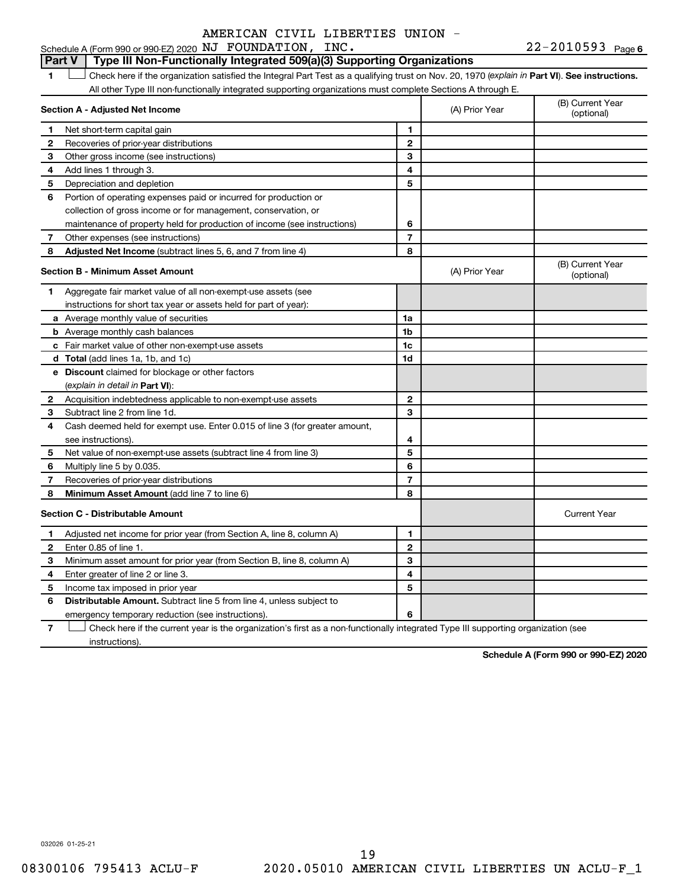## **Part V Type III Non-Functionally Integrated 509(a)(3) Supporting Organizations**

1 **Letter See instructions.** Check here if the organization satisfied the Integral Part Test as a qualifying trust on Nov. 20, 1970 (*explain in* Part **VI**). See instructions. All other Type III non-functionally integrated supporting organizations must complete Sections A through E.

|              | Section A - Adjusted Net Income                                             |                | (A) Prior Year | (B) Current Year<br>(optional) |
|--------------|-----------------------------------------------------------------------------|----------------|----------------|--------------------------------|
| 1            | Net short-term capital gain                                                 | 1              |                |                                |
| 2            | Recoveries of prior-year distributions                                      | $\mathbf{2}$   |                |                                |
| З            | Other gross income (see instructions)                                       | 3              |                |                                |
| 4            | Add lines 1 through 3.                                                      | 4              |                |                                |
| 5            | Depreciation and depletion                                                  | 5              |                |                                |
| 6            | Portion of operating expenses paid or incurred for production or            |                |                |                                |
|              | collection of gross income or for management, conservation, or              |                |                |                                |
|              | maintenance of property held for production of income (see instructions)    | 6              |                |                                |
| 7            | Other expenses (see instructions)                                           | $\overline{7}$ |                |                                |
| 8            | Adjusted Net Income (subtract lines 5, 6, and 7 from line 4)                | 8              |                |                                |
|              | <b>Section B - Minimum Asset Amount</b>                                     |                | (A) Prior Year | (B) Current Year<br>(optional) |
| 1            | Aggregate fair market value of all non-exempt-use assets (see               |                |                |                                |
|              | instructions for short tax year or assets held for part of year):           |                |                |                                |
|              | a Average monthly value of securities                                       | 1a             |                |                                |
|              | <b>b</b> Average monthly cash balances                                      | 1b             |                |                                |
|              | c Fair market value of other non-exempt-use assets                          | 1c             |                |                                |
|              | d Total (add lines 1a, 1b, and 1c)                                          | 1d             |                |                                |
|              | e Discount claimed for blockage or other factors                            |                |                |                                |
|              | (explain in detail in <b>Part VI</b> ):                                     |                |                |                                |
| $\mathbf{2}$ | Acquisition indebtedness applicable to non-exempt-use assets                | $\mathbf{2}$   |                |                                |
| 3            | Subtract line 2 from line 1d.                                               | 3              |                |                                |
| 4            | Cash deemed held for exempt use. Enter 0.015 of line 3 (for greater amount, |                |                |                                |
|              | see instructions).                                                          | 4              |                |                                |
| 5            | Net value of non-exempt-use assets (subtract line 4 from line 3)            | 5              |                |                                |
| 6            | Multiply line 5 by 0.035.                                                   | 6              |                |                                |
| 7            | Recoveries of prior-year distributions                                      | $\overline{7}$ |                |                                |
| 8            | Minimum Asset Amount (add line 7 to line 6)                                 | 8              |                |                                |
|              | <b>Section C - Distributable Amount</b>                                     |                |                | <b>Current Year</b>            |
| 1            | Adjusted net income for prior year (from Section A, line 8, column A)       | 1              |                |                                |
| $\mathbf{2}$ | Enter 0.85 of line 1.                                                       | $\mathbf{2}$   |                |                                |
| З            | Minimum asset amount for prior year (from Section B, line 8, column A)      | 3              |                |                                |
| 4            | Enter greater of line 2 or line 3.                                          | 4              |                |                                |
| 5            | Income tax imposed in prior year                                            | 5              |                |                                |
| 6            | <b>Distributable Amount.</b> Subtract line 5 from line 4, unless subject to |                |                |                                |
|              | emergency temporary reduction (see instructions).                           | 6              |                |                                |
|              |                                                                             |                |                |                                |

**7** Check here if the current year is the organization's first as a non-functionally integrated Type III supporting organization (see † instructions).

**Schedule A (Form 990 or 990-EZ) 2020**

032026 01-25-21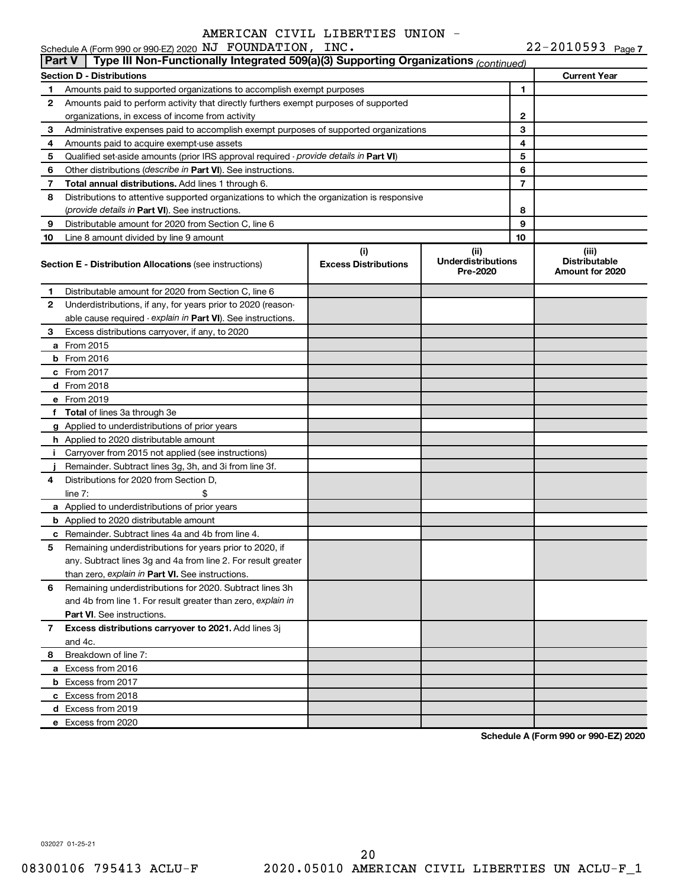|               | Schedule A (Form 990 or 990-EZ) 2020 NJ FOUNDATION, INC.                                   |                                    |                                               |                | $22 - 2010593$ Page 7                            |
|---------------|--------------------------------------------------------------------------------------------|------------------------------------|-----------------------------------------------|----------------|--------------------------------------------------|
| <b>Part V</b> | Type III Non-Functionally Integrated 509(a)(3) Supporting Organizations (continued)        |                                    |                                               |                |                                                  |
|               | Section D - Distributions                                                                  |                                    |                                               |                | <b>Current Year</b>                              |
| 1             | Amounts paid to supported organizations to accomplish exempt purposes                      |                                    |                                               | 1              |                                                  |
| 2             | Amounts paid to perform activity that directly furthers exempt purposes of supported       |                                    |                                               |                |                                                  |
|               | organizations, in excess of income from activity                                           |                                    |                                               | $\mathbf{2}$   |                                                  |
| 3             | Administrative expenses paid to accomplish exempt purposes of supported organizations      |                                    |                                               | 3              |                                                  |
| 4             | Amounts paid to acquire exempt-use assets                                                  |                                    | 4                                             |                |                                                  |
| 5             | Qualified set-aside amounts (prior IRS approval required - provide details in Part VI)     |                                    |                                               | 5              |                                                  |
| 6             | Other distributions (describe in Part VI). See instructions.                               |                                    |                                               | 6              |                                                  |
| 7             | Total annual distributions. Add lines 1 through 6.                                         |                                    |                                               | $\overline{7}$ |                                                  |
| 8             | Distributions to attentive supported organizations to which the organization is responsive |                                    |                                               |                |                                                  |
|               | <i>(provide details in Part VI). See instructions.</i>                                     |                                    |                                               | 8              |                                                  |
| 9             | Distributable amount for 2020 from Section C, line 6                                       |                                    |                                               | 9              |                                                  |
| 10            | Line 8 amount divided by line 9 amount                                                     |                                    |                                               | 10             |                                                  |
|               | <b>Section E - Distribution Allocations (see instructions)</b>                             | (i)<br><b>Excess Distributions</b> | (ii)<br><b>Underdistributions</b><br>Pre-2020 |                | (iii)<br><b>Distributable</b><br>Amount for 2020 |
| 1             | Distributable amount for 2020 from Section C, line 6                                       |                                    |                                               |                |                                                  |
| 2             | Underdistributions, if any, for years prior to 2020 (reason-                               |                                    |                                               |                |                                                  |
|               | able cause required - explain in Part VI). See instructions.                               |                                    |                                               |                |                                                  |
| 3             | Excess distributions carryover, if any, to 2020                                            |                                    |                                               |                |                                                  |
|               | a From 2015                                                                                |                                    |                                               |                |                                                  |
|               | $b$ From 2016                                                                              |                                    |                                               |                |                                                  |
|               | c From 2017                                                                                |                                    |                                               |                |                                                  |
|               | <b>d</b> From 2018                                                                         |                                    |                                               |                |                                                  |
|               | e From 2019                                                                                |                                    |                                               |                |                                                  |
|               | f Total of lines 3a through 3e                                                             |                                    |                                               |                |                                                  |
|               | g Applied to underdistributions of prior years                                             |                                    |                                               |                |                                                  |
|               | <b>h</b> Applied to 2020 distributable amount                                              |                                    |                                               |                |                                                  |
| Ť.            | Carryover from 2015 not applied (see instructions)                                         |                                    |                                               |                |                                                  |
|               | Remainder. Subtract lines 3g, 3h, and 3i from line 3f.                                     |                                    |                                               |                |                                                  |
| 4             | Distributions for 2020 from Section D,                                                     |                                    |                                               |                |                                                  |
|               | line $7:$                                                                                  |                                    |                                               |                |                                                  |
|               | a Applied to underdistributions of prior years                                             |                                    |                                               |                |                                                  |
|               | <b>b</b> Applied to 2020 distributable amount                                              |                                    |                                               |                |                                                  |
|               | c Remainder. Subtract lines 4a and 4b from line 4.                                         |                                    |                                               |                |                                                  |
|               | 5 Remaining underdistributions for years prior to 2020, if                                 |                                    |                                               |                |                                                  |
|               | any. Subtract lines 3g and 4a from line 2. For result greater                              |                                    |                                               |                |                                                  |
|               | than zero, explain in Part VI. See instructions.                                           |                                    |                                               |                |                                                  |
| 6             | Remaining underdistributions for 2020. Subtract lines 3h                                   |                                    |                                               |                |                                                  |
|               | and 4b from line 1. For result greater than zero, explain in                               |                                    |                                               |                |                                                  |
|               | <b>Part VI.</b> See instructions.                                                          |                                    |                                               |                |                                                  |
| 7             | Excess distributions carryover to 2021. Add lines 3j                                       |                                    |                                               |                |                                                  |
|               | and 4c.                                                                                    |                                    |                                               |                |                                                  |
| 8             | Breakdown of line 7:                                                                       |                                    |                                               |                |                                                  |
|               | a Excess from 2016                                                                         |                                    |                                               |                |                                                  |
|               | <b>b</b> Excess from 2017                                                                  |                                    |                                               |                |                                                  |
|               | c Excess from 2018                                                                         |                                    |                                               |                |                                                  |
|               | d Excess from 2019                                                                         |                                    |                                               |                |                                                  |
|               | e Excess from 2020                                                                         |                                    |                                               |                |                                                  |

**Schedule A (Form 990 or 990-EZ) 2020**

032027 01-25-21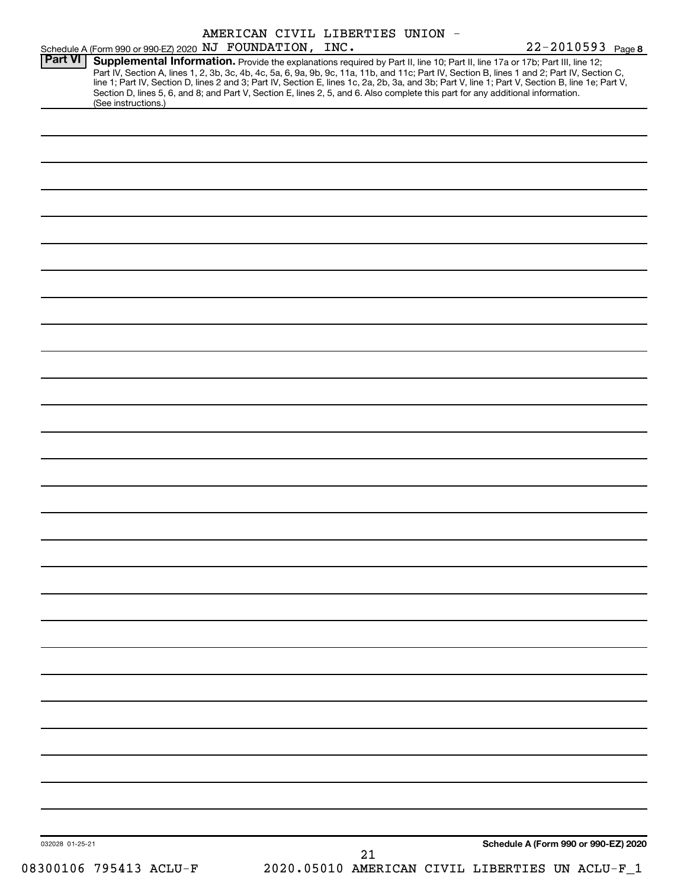|                 | Schedule A (Form 990 or 990-EZ) 2020 NJ FOUNDATION, INC. |  | AMERICAN CIVIL LIBERTIES UNION - | 22-2010593 Page 8                                                                                                                                                                                                                                                                                                                                                                                                                                                                                                                                                    |
|-----------------|----------------------------------------------------------|--|----------------------------------|----------------------------------------------------------------------------------------------------------------------------------------------------------------------------------------------------------------------------------------------------------------------------------------------------------------------------------------------------------------------------------------------------------------------------------------------------------------------------------------------------------------------------------------------------------------------|
| <b>Part VI</b>  | (See instructions.)                                      |  |                                  | Supplemental Information. Provide the explanations required by Part II, line 10; Part II, line 17a or 17b; Part III, line 12;<br>Part IV, Section A, lines 1, 2, 3b, 3c, 4b, 4c, 5a, 6, 9a, 9b, 9c, 11a, 11b, and 11c; Part IV, Section B, lines 1 and 2; Part IV, Section C,<br>line 1; Part IV, Section D, lines 2 and 3; Part IV, Section E, lines 1c, 2a, 2b, 3a, and 3b; Part V, line 1; Part V, Section B, line 1e; Part V,<br>Section D, lines 5, 6, and 8; and Part V, Section E, lines 2, 5, and 6. Also complete this part for any additional information. |
|                 |                                                          |  |                                  |                                                                                                                                                                                                                                                                                                                                                                                                                                                                                                                                                                      |
|                 |                                                          |  |                                  |                                                                                                                                                                                                                                                                                                                                                                                                                                                                                                                                                                      |
|                 |                                                          |  |                                  |                                                                                                                                                                                                                                                                                                                                                                                                                                                                                                                                                                      |
|                 |                                                          |  |                                  |                                                                                                                                                                                                                                                                                                                                                                                                                                                                                                                                                                      |
|                 |                                                          |  |                                  |                                                                                                                                                                                                                                                                                                                                                                                                                                                                                                                                                                      |
|                 |                                                          |  |                                  |                                                                                                                                                                                                                                                                                                                                                                                                                                                                                                                                                                      |
|                 |                                                          |  |                                  |                                                                                                                                                                                                                                                                                                                                                                                                                                                                                                                                                                      |
|                 |                                                          |  |                                  |                                                                                                                                                                                                                                                                                                                                                                                                                                                                                                                                                                      |
|                 |                                                          |  |                                  |                                                                                                                                                                                                                                                                                                                                                                                                                                                                                                                                                                      |
|                 |                                                          |  |                                  |                                                                                                                                                                                                                                                                                                                                                                                                                                                                                                                                                                      |
|                 |                                                          |  |                                  |                                                                                                                                                                                                                                                                                                                                                                                                                                                                                                                                                                      |
|                 |                                                          |  |                                  |                                                                                                                                                                                                                                                                                                                                                                                                                                                                                                                                                                      |
|                 |                                                          |  |                                  |                                                                                                                                                                                                                                                                                                                                                                                                                                                                                                                                                                      |
|                 |                                                          |  |                                  |                                                                                                                                                                                                                                                                                                                                                                                                                                                                                                                                                                      |
|                 |                                                          |  |                                  |                                                                                                                                                                                                                                                                                                                                                                                                                                                                                                                                                                      |
|                 |                                                          |  |                                  |                                                                                                                                                                                                                                                                                                                                                                                                                                                                                                                                                                      |
|                 |                                                          |  |                                  |                                                                                                                                                                                                                                                                                                                                                                                                                                                                                                                                                                      |
|                 |                                                          |  |                                  |                                                                                                                                                                                                                                                                                                                                                                                                                                                                                                                                                                      |
|                 |                                                          |  |                                  |                                                                                                                                                                                                                                                                                                                                                                                                                                                                                                                                                                      |
|                 |                                                          |  |                                  |                                                                                                                                                                                                                                                                                                                                                                                                                                                                                                                                                                      |
|                 |                                                          |  |                                  |                                                                                                                                                                                                                                                                                                                                                                                                                                                                                                                                                                      |
|                 |                                                          |  |                                  |                                                                                                                                                                                                                                                                                                                                                                                                                                                                                                                                                                      |
|                 |                                                          |  |                                  |                                                                                                                                                                                                                                                                                                                                                                                                                                                                                                                                                                      |
|                 |                                                          |  |                                  |                                                                                                                                                                                                                                                                                                                                                                                                                                                                                                                                                                      |
|                 |                                                          |  |                                  |                                                                                                                                                                                                                                                                                                                                                                                                                                                                                                                                                                      |
| 032028 01-25-21 | 08300106 795413 ACLU-F                                   |  | 21                               | Schedule A (Form 990 or 990-EZ) 2020<br>2020.05010 AMERICAN CIVIL LIBERTIES UN ACLU-F_1                                                                                                                                                                                                                                                                                                                                                                                                                                                                              |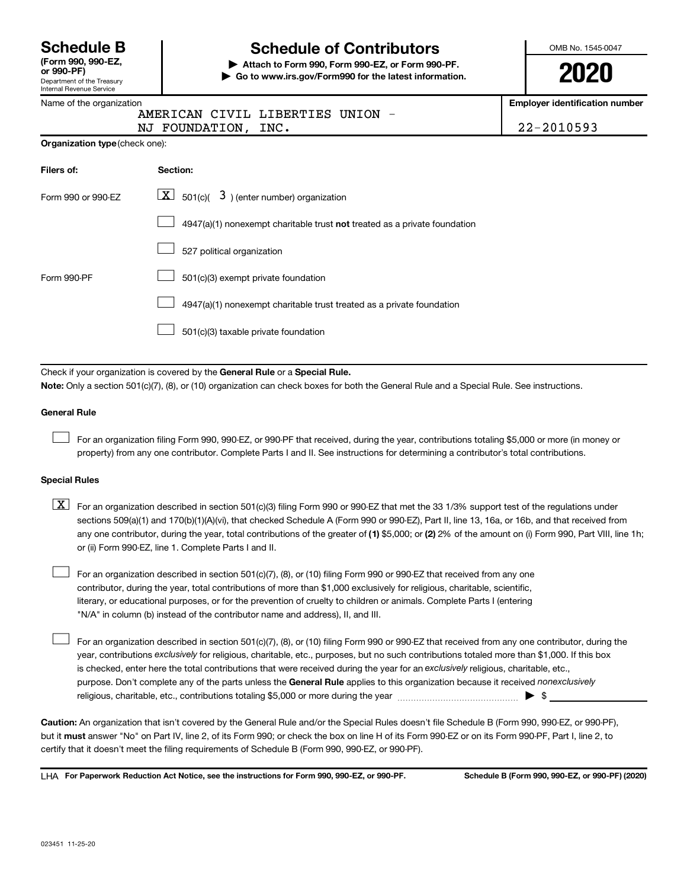| <b>Schedule B</b> |  |  |
|-------------------|--|--|
|                   |  |  |

Department of the Treasury Internal Revenue Service **(Form 990, 990-EZ,**

# **Schedule of Contributors**

**or 990-PF) | Attach to Form 990, Form 990-EZ, or Form 990-PF. | Go to www.irs.gov/Form990 for the latest information.** OMB No. 1545-0047

**2020**

**Employer identification number**

| וונסווומו ווכעסוועכ טכו עוט    |                                                                                                                                                                                                                                                                                  |                                     |  |  |  |  |  |
|--------------------------------|----------------------------------------------------------------------------------------------------------------------------------------------------------------------------------------------------------------------------------------------------------------------------------|-------------------------------------|--|--|--|--|--|
| Name of the organization       |                                                                                                                                                                                                                                                                                  | <b>Employer identification numb</b> |  |  |  |  |  |
|                                | AMERICAN CIVIL LIBERTIES UNION<br>NJ FOUNDATION,<br>INC.                                                                                                                                                                                                                         | 22-2010593                          |  |  |  |  |  |
| Organization type (check one): |                                                                                                                                                                                                                                                                                  |                                     |  |  |  |  |  |
| Filers of:                     | Section:                                                                                                                                                                                                                                                                         |                                     |  |  |  |  |  |
| Form 990 or 990-EZ             |                                                                                                                                                                                                                                                                                  |                                     |  |  |  |  |  |
|                                | 4947(a)(1) nonexempt charitable trust not treated as a private foundation                                                                                                                                                                                                        |                                     |  |  |  |  |  |
|                                | 527 political organization                                                                                                                                                                                                                                                       |                                     |  |  |  |  |  |
| Form 990-PF                    | 501(c)(3) exempt private foundation                                                                                                                                                                                                                                              |                                     |  |  |  |  |  |
|                                | 4947(a)(1) nonexempt charitable trust treated as a private foundation                                                                                                                                                                                                            |                                     |  |  |  |  |  |
|                                | 501(c)(3) taxable private foundation                                                                                                                                                                                                                                             |                                     |  |  |  |  |  |
|                                |                                                                                                                                                                                                                                                                                  |                                     |  |  |  |  |  |
|                                | Check if your organization is covered by the General Rule or a Special Rule.                                                                                                                                                                                                     |                                     |  |  |  |  |  |
|                                | Note: Only a section 501(c)(7), (8), or (10) organization can check boxes for both the General Rule and a Special Rule. See instructions.                                                                                                                                        |                                     |  |  |  |  |  |
| <b>General Rule</b>            |                                                                                                                                                                                                                                                                                  |                                     |  |  |  |  |  |
|                                | For an organization filing Form 990, 990-EZ, or 990-PF that received, during the year, contributions totaling \$5,000 or more (in money or<br>property) from any one contributor. Complete Parts I and II. See instructions for determining a contributor's total contributions. |                                     |  |  |  |  |  |
| <b>Special Rules</b>           |                                                                                                                                                                                                                                                                                  |                                     |  |  |  |  |  |

| $X$ For an organization described in section 501(c)(3) filing Form 990 or 990-EZ that met the 33 1/3% support test of the regulations under           |
|-------------------------------------------------------------------------------------------------------------------------------------------------------|
| sections 509(a)(1) and 170(b)(1)(A)(vi), that checked Schedule A (Form 990 or 990-EZ), Part II, line 13, 16a, or 16b, and that received from          |
| any one contributor, during the year, total contributions of the greater of (1) \$5,000; or (2) 2% of the amount on (i) Form 990, Part VIII, line 1h; |
| or (ii) Form 990-EZ, line 1. Complete Parts I and II.                                                                                                 |

For an organization described in section 501(c)(7), (8), or (10) filing Form 990 or 990-EZ that received from any one contributor, during the year, total contributions of more than \$1,000 exclusively for religious, charitable, scientific, literary, or educational purposes, or for the prevention of cruelty to children or animals. Complete Parts I (entering "N/A" in column (b) instead of the contributor name and address), II, and III.  $\Box$ 

purpose. Don't complete any of the parts unless the General Rule applies to this organization because it received nonexclusively year, contributions exclusively for religious, charitable, etc., purposes, but no such contributions totaled more than \$1,000. If this box is checked, enter here the total contributions that were received during the year for an exclusively religious, charitable, etc., For an organization described in section 501(c)(7), (8), or (10) filing Form 990 or 990-EZ that received from any one contributor, during the religious, charitable, etc., contributions totaling \$5,000 or more during the year  $~\ldots\ldots\ldots\ldots\ldots\ldots\ldots\ldots\ldots\blacktriangleright~$ \$

**Caution:**  An organization that isn't covered by the General Rule and/or the Special Rules doesn't file Schedule B (Form 990, 990-EZ, or 990-PF),  **must** but it answer "No" on Part IV, line 2, of its Form 990; or check the box on line H of its Form 990-EZ or on its Form 990-PF, Part I, line 2, to certify that it doesn't meet the filing requirements of Schedule B (Form 990, 990-EZ, or 990-PF).

**For Paperwork Reduction Act Notice, see the instructions for Form 990, 990-EZ, or 990-PF. Schedule B (Form 990, 990-EZ, or 990-PF) (2020)** LHA

 $\Box$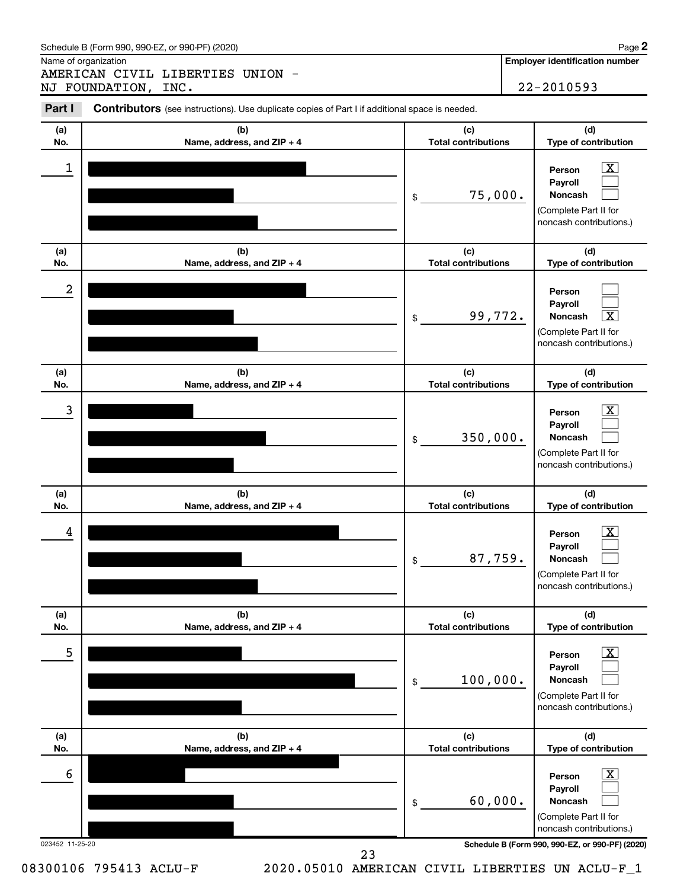Name of organization

AMERICAN CIVIL LIBERTIES UNION - NJ FOUNDATION, INC. 22-2010593

**Employer identification number**

| Part I          | <b>Contributors</b> (see instructions). Use duplicate copies of Part I if additional space is needed. |                                   |                                                                                                                 |
|-----------------|-------------------------------------------------------------------------------------------------------|-----------------------------------|-----------------------------------------------------------------------------------------------------------------|
| (a)<br>No.      | (b)<br>Name, address, and ZIP + 4                                                                     | (c)<br><b>Total contributions</b> | (d)<br>Type of contribution                                                                                     |
| 1               |                                                                                                       | 75,000.<br>\$                     | $\overline{\mathbf{X}}$<br>Person<br>Payroll<br>Noncash<br>(Complete Part II for<br>noncash contributions.)     |
| (a)<br>No.      | (b)<br>Name, address, and ZIP + 4                                                                     | (c)<br><b>Total contributions</b> | (d)<br>Type of contribution                                                                                     |
| 2               |                                                                                                       | 99,772.<br>\$                     | Person<br>Payroll<br>$\overline{\mathbf{x}}$<br>Noncash<br>(Complete Part II for<br>noncash contributions.)     |
| (a)<br>No.      | (b)<br>Name, address, and ZIP + 4                                                                     | (c)<br><b>Total contributions</b> | (d)<br>Type of contribution                                                                                     |
| 3               |                                                                                                       | 350,000.<br>\$                    | $\mathbf{X}$<br>Person<br>Payroll<br>Noncash<br>(Complete Part II for<br>noncash contributions.)                |
| (a)<br>No.      | (b)<br>Name, address, and ZIP + 4                                                                     | (c)<br><b>Total contributions</b> | (d)<br>Type of contribution                                                                                     |
| 4               |                                                                                                       | 87,759.<br>\$                     | $\mathbf{X}$<br>Person<br>Payroll<br>Noncash<br>(Complete Part II for<br>noncash contributions.)                |
| (a)<br>No.      | (b)<br>Name, address, and ZIP + 4                                                                     | (c)<br><b>Total contributions</b> | (d)<br>Type of contribution                                                                                     |
| 5               |                                                                                                       | 100,000.<br>\$                    | $\boxed{\mathbf{X}}$<br>Person<br>Payroll<br><b>Noncash</b><br>(Complete Part II for<br>noncash contributions.) |
| (a)<br>No.      | (b)<br>Name, address, and ZIP + 4                                                                     | (c)<br><b>Total contributions</b> | (d)<br>Type of contribution                                                                                     |
| 6               |                                                                                                       | 60,000.<br>\$                     | $\boxed{\mathbf{X}}$<br>Person<br>Payroll<br><b>Noncash</b><br>(Complete Part II for                            |
| 023452 11-25-20 |                                                                                                       |                                   | noncash contributions.)<br>Schedule B (Form 990, 990-EZ, or 990-PF) (2020)                                      |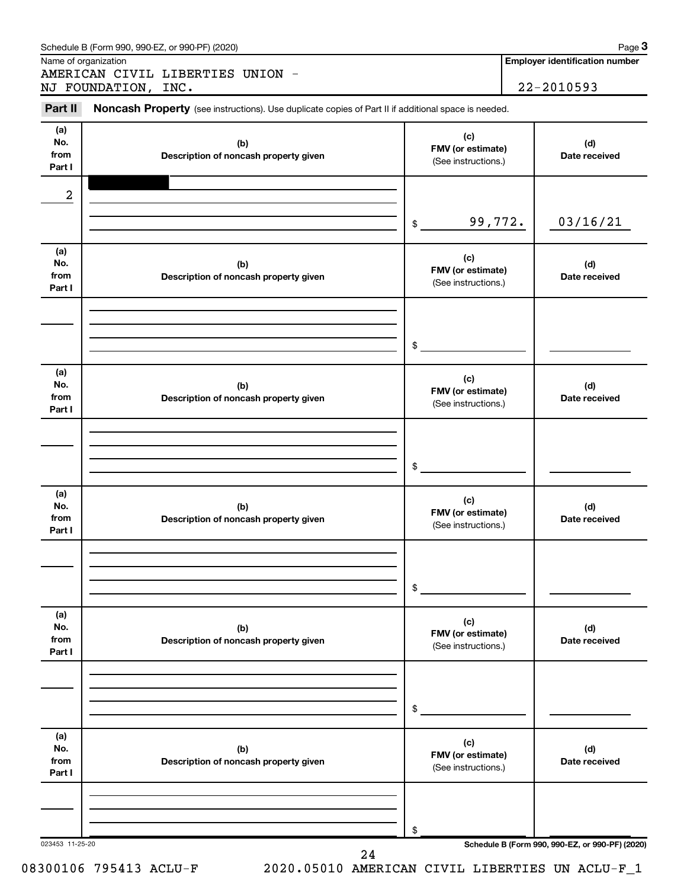|                              |                      | Schedule B (Form 990, 990-EZ, or 990-PF) (2020)                                                     |           |                                                 | Page 3<br><b>Employer identification number</b> |
|------------------------------|----------------------|-----------------------------------------------------------------------------------------------------|-----------|-------------------------------------------------|-------------------------------------------------|
|                              | Name of organization | AMERICAN CIVIL LIBERTIES UNION -                                                                    |           |                                                 |                                                 |
|                              | NJ FOUNDATION, INC.  |                                                                                                     |           |                                                 | 22-2010593                                      |
| Part II                      |                      | Noncash Property (see instructions). Use duplicate copies of Part II if additional space is needed. |           |                                                 |                                                 |
| (a)<br>No.<br>from<br>Part I |                      | (b)<br>Description of noncash property given                                                        |           | (c)<br>FMV (or estimate)<br>(See instructions.) | (d)<br>Date received                            |
| 2                            |                      |                                                                                                     |           |                                                 |                                                 |
|                              |                      |                                                                                                     | $$\circ$$ | 99,772.                                         | 03/16/21                                        |
| (a)<br>No.<br>from<br>Part I |                      | (b)<br>Description of noncash property given                                                        |           | (c)<br>FMV (or estimate)<br>(See instructions.) | (d)<br>Date received                            |
|                              |                      |                                                                                                     |           |                                                 |                                                 |
|                              |                      |                                                                                                     | \$        |                                                 |                                                 |
| (a)<br>No.<br>from<br>Part I |                      | (b)<br>Description of noncash property given                                                        |           | (c)<br>FMV (or estimate)<br>(See instructions.) | (d)<br>Date received                            |
|                              |                      |                                                                                                     |           |                                                 |                                                 |
|                              |                      |                                                                                                     | \$        |                                                 |                                                 |
| (a)<br>No.<br>from<br>Part I |                      | (b)<br>Description of noncash property given                                                        |           | (c)<br>FMV (or estimate)<br>(See instructions.) | (d)<br>Date received                            |
|                              |                      |                                                                                                     |           |                                                 |                                                 |
|                              |                      |                                                                                                     | \$        |                                                 |                                                 |
| (a)<br>No.<br>from<br>Part I |                      | (b)<br>Description of noncash property given                                                        |           | (c)<br>FMV (or estimate)<br>(See instructions.) | (d)<br>Date received                            |
|                              |                      |                                                                                                     |           |                                                 |                                                 |
|                              |                      |                                                                                                     | \$        |                                                 |                                                 |
| (a)<br>No.<br>from<br>Part I |                      | (b)<br>Description of noncash property given                                                        |           | (c)<br>FMV (or estimate)<br>(See instructions.) | (d)<br>Date received                            |
|                              |                      |                                                                                                     |           |                                                 |                                                 |
|                              |                      |                                                                                                     | \$        |                                                 |                                                 |
| 023453 11-25-20              |                      | 24                                                                                                  |           |                                                 | Schedule B (Form 990, 990-EZ, or 990-PF) (2020) |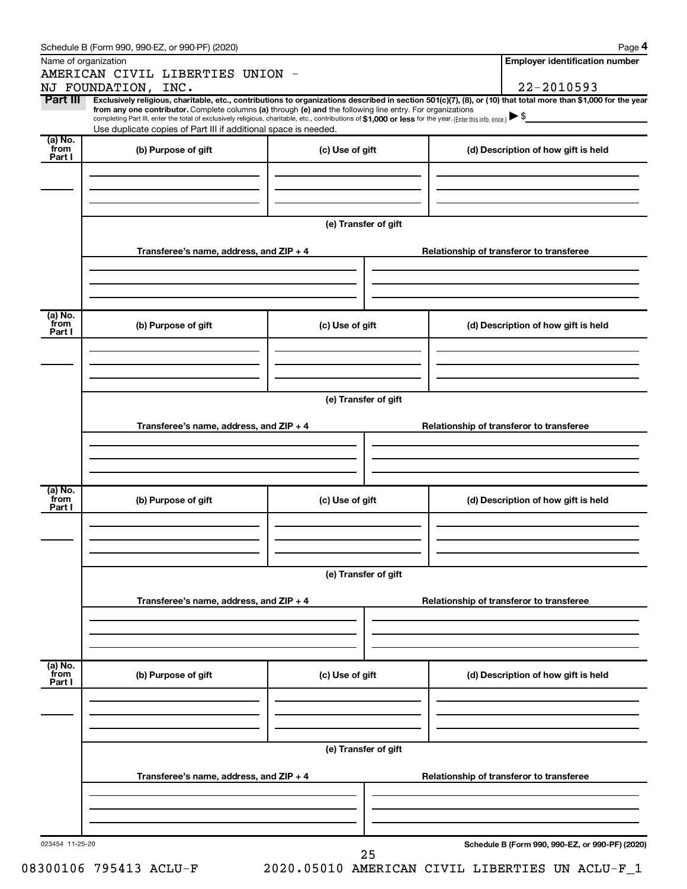|                 | Schedule B (Form 990, 990-EZ, or 990-PF) (2020)                                                                                                                                                                             |                                          | Page 4                                                                                                                                                                       |  |  |  |  |  |
|-----------------|-----------------------------------------------------------------------------------------------------------------------------------------------------------------------------------------------------------------------------|------------------------------------------|------------------------------------------------------------------------------------------------------------------------------------------------------------------------------|--|--|--|--|--|
|                 | Name of organization                                                                                                                                                                                                        |                                          | <b>Employer identification number</b>                                                                                                                                        |  |  |  |  |  |
|                 | AMERICAN CIVIL LIBERTIES UNION -                                                                                                                                                                                            |                                          |                                                                                                                                                                              |  |  |  |  |  |
| Part III        | NJ FOUNDATION, INC.                                                                                                                                                                                                         |                                          | 22-2010593<br>Exclusively religious, charitable, etc., contributions to organizations described in section 501(c)(7), (8), or (10) that total more than \$1,000 for the year |  |  |  |  |  |
|                 | from any one contributor. Complete columns (a) through (e) and the following line entry. For organizations                                                                                                                  |                                          |                                                                                                                                                                              |  |  |  |  |  |
|                 | completing Part III, enter the total of exclusively religious, charitable, etc., contributions of \$1,000 or less for the year. (Enter this info. once.)<br>Use duplicate copies of Part III if additional space is needed. |                                          |                                                                                                                                                                              |  |  |  |  |  |
| (a) No.<br>from | (b) Purpose of gift                                                                                                                                                                                                         | (c) Use of gift                          |                                                                                                                                                                              |  |  |  |  |  |
| Part I          |                                                                                                                                                                                                                             |                                          | (d) Description of how gift is held                                                                                                                                          |  |  |  |  |  |
|                 |                                                                                                                                                                                                                             |                                          |                                                                                                                                                                              |  |  |  |  |  |
|                 |                                                                                                                                                                                                                             |                                          |                                                                                                                                                                              |  |  |  |  |  |
|                 |                                                                                                                                                                                                                             |                                          |                                                                                                                                                                              |  |  |  |  |  |
|                 |                                                                                                                                                                                                                             | (e) Transfer of gift                     |                                                                                                                                                                              |  |  |  |  |  |
|                 |                                                                                                                                                                                                                             |                                          |                                                                                                                                                                              |  |  |  |  |  |
|                 | Transferee's name, address, and ZIP + 4                                                                                                                                                                                     |                                          | Relationship of transferor to transferee                                                                                                                                     |  |  |  |  |  |
|                 |                                                                                                                                                                                                                             |                                          |                                                                                                                                                                              |  |  |  |  |  |
|                 |                                                                                                                                                                                                                             |                                          |                                                                                                                                                                              |  |  |  |  |  |
|                 |                                                                                                                                                                                                                             |                                          |                                                                                                                                                                              |  |  |  |  |  |
| (a) No.<br>from | (b) Purpose of gift                                                                                                                                                                                                         | (c) Use of gift                          | (d) Description of how gift is held                                                                                                                                          |  |  |  |  |  |
| Part I          |                                                                                                                                                                                                                             |                                          |                                                                                                                                                                              |  |  |  |  |  |
|                 |                                                                                                                                                                                                                             |                                          |                                                                                                                                                                              |  |  |  |  |  |
|                 |                                                                                                                                                                                                                             |                                          |                                                                                                                                                                              |  |  |  |  |  |
|                 |                                                                                                                                                                                                                             |                                          |                                                                                                                                                                              |  |  |  |  |  |
|                 |                                                                                                                                                                                                                             | (e) Transfer of gift                     |                                                                                                                                                                              |  |  |  |  |  |
|                 |                                                                                                                                                                                                                             |                                          |                                                                                                                                                                              |  |  |  |  |  |
|                 | Transferee's name, address, and ZIP + 4                                                                                                                                                                                     |                                          | Relationship of transferor to transferee                                                                                                                                     |  |  |  |  |  |
|                 |                                                                                                                                                                                                                             |                                          |                                                                                                                                                                              |  |  |  |  |  |
|                 |                                                                                                                                                                                                                             |                                          |                                                                                                                                                                              |  |  |  |  |  |
| (a) No.         |                                                                                                                                                                                                                             |                                          |                                                                                                                                                                              |  |  |  |  |  |
| from<br>Part I  | (b) Purpose of gift                                                                                                                                                                                                         | (c) Use of gift                          | (d) Description of how gift is held                                                                                                                                          |  |  |  |  |  |
|                 |                                                                                                                                                                                                                             |                                          |                                                                                                                                                                              |  |  |  |  |  |
|                 |                                                                                                                                                                                                                             |                                          |                                                                                                                                                                              |  |  |  |  |  |
|                 |                                                                                                                                                                                                                             |                                          |                                                                                                                                                                              |  |  |  |  |  |
|                 |                                                                                                                                                                                                                             |                                          |                                                                                                                                                                              |  |  |  |  |  |
|                 | (e) Transfer of gift                                                                                                                                                                                                        |                                          |                                                                                                                                                                              |  |  |  |  |  |
|                 | Transferee's name, address, and ZIP + 4                                                                                                                                                                                     | Relationship of transferor to transferee |                                                                                                                                                                              |  |  |  |  |  |
|                 |                                                                                                                                                                                                                             |                                          |                                                                                                                                                                              |  |  |  |  |  |
|                 |                                                                                                                                                                                                                             |                                          |                                                                                                                                                                              |  |  |  |  |  |
|                 |                                                                                                                                                                                                                             |                                          |                                                                                                                                                                              |  |  |  |  |  |
| (a) No.         |                                                                                                                                                                                                                             |                                          |                                                                                                                                                                              |  |  |  |  |  |
| from<br>Part I  | (b) Purpose of gift                                                                                                                                                                                                         | (c) Use of gift                          | (d) Description of how gift is held                                                                                                                                          |  |  |  |  |  |
|                 |                                                                                                                                                                                                                             |                                          |                                                                                                                                                                              |  |  |  |  |  |
|                 |                                                                                                                                                                                                                             |                                          |                                                                                                                                                                              |  |  |  |  |  |
|                 |                                                                                                                                                                                                                             |                                          |                                                                                                                                                                              |  |  |  |  |  |
|                 | (e) Transfer of gift                                                                                                                                                                                                        |                                          |                                                                                                                                                                              |  |  |  |  |  |
|                 |                                                                                                                                                                                                                             |                                          |                                                                                                                                                                              |  |  |  |  |  |
|                 | Transferee's name, address, and ZIP + 4                                                                                                                                                                                     |                                          | Relationship of transferor to transferee                                                                                                                                     |  |  |  |  |  |
|                 |                                                                                                                                                                                                                             |                                          |                                                                                                                                                                              |  |  |  |  |  |
|                 |                                                                                                                                                                                                                             |                                          |                                                                                                                                                                              |  |  |  |  |  |
|                 |                                                                                                                                                                                                                             |                                          |                                                                                                                                                                              |  |  |  |  |  |
| 023454 11-25-20 |                                                                                                                                                                                                                             |                                          | Schedule B (Form 990, 990-EZ, or 990-PF) (2020)                                                                                                                              |  |  |  |  |  |
|                 |                                                                                                                                                                                                                             | 25                                       |                                                                                                                                                                              |  |  |  |  |  |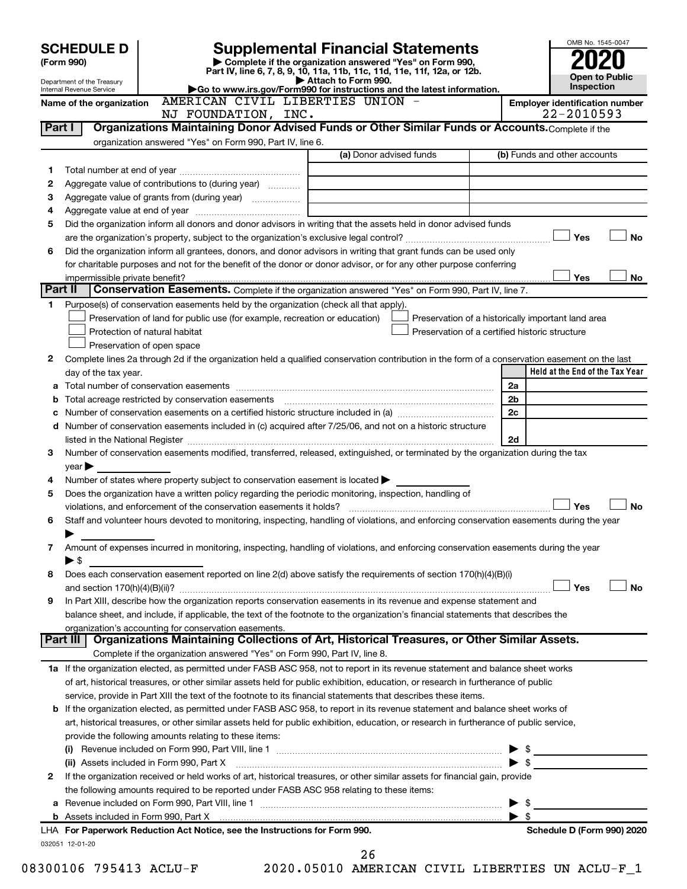| <b>SCHEDULE D</b><br>(Form 990) |                                                        |                                                                                                        | <b>Supplemental Financial Statements</b>                                                                                                       |                                                    | OMB No. 1545-0047                          |  |  |  |
|---------------------------------|--------------------------------------------------------|--------------------------------------------------------------------------------------------------------|------------------------------------------------------------------------------------------------------------------------------------------------|----------------------------------------------------|--------------------------------------------|--|--|--|
|                                 |                                                        |                                                                                                        | Complete if the organization answered "Yes" on Form 990,<br>Part IV, line 6, 7, 8, 9, 10, 11a, 11b, 11c, 11d, 11e, 11f, 12a, or 12b.           |                                                    |                                            |  |  |  |
|                                 | Department of the Treasury<br>Internal Revenue Service |                                                                                                        | Attach to Form 990.<br>Go to www.irs.gov/Form990 for instructions and the latest information.                                                  |                                                    | <b>Open to Public</b><br><b>Inspection</b> |  |  |  |
|                                 | Name of the organization                               | AMERICAN CIVIL LIBERTIES UNION -                                                                       |                                                                                                                                                |                                                    | <b>Employer identification number</b>      |  |  |  |
|                                 |                                                        | NJ FOUNDATION, INC.                                                                                    |                                                                                                                                                |                                                    | 22-2010593                                 |  |  |  |
| Part I                          |                                                        |                                                                                                        | Organizations Maintaining Donor Advised Funds or Other Similar Funds or Accounts. Complete if the                                              |                                                    |                                            |  |  |  |
|                                 |                                                        | organization answered "Yes" on Form 990, Part IV, line 6.                                              |                                                                                                                                                |                                                    |                                            |  |  |  |
|                                 |                                                        |                                                                                                        | (a) Donor advised funds                                                                                                                        |                                                    | (b) Funds and other accounts               |  |  |  |
| 1                               |                                                        |                                                                                                        |                                                                                                                                                |                                                    |                                            |  |  |  |
| 2                               |                                                        | Aggregate value of contributions to (during year)                                                      |                                                                                                                                                |                                                    |                                            |  |  |  |
| 3                               |                                                        | Aggregate value of grants from (during year)                                                           |                                                                                                                                                |                                                    |                                            |  |  |  |
| 4<br>5                          |                                                        |                                                                                                        | Did the organization inform all donors and donor advisors in writing that the assets held in donor advised funds                               |                                                    |                                            |  |  |  |
|                                 |                                                        |                                                                                                        |                                                                                                                                                |                                                    | Yes<br><b>No</b>                           |  |  |  |
| 6                               |                                                        |                                                                                                        | Did the organization inform all grantees, donors, and donor advisors in writing that grant funds can be used only                              |                                                    |                                            |  |  |  |
|                                 |                                                        |                                                                                                        | for charitable purposes and not for the benefit of the donor or donor advisor, or for any other purpose conferring                             |                                                    |                                            |  |  |  |
|                                 | impermissible private benefit?                         |                                                                                                        |                                                                                                                                                |                                                    | Yes<br>No                                  |  |  |  |
| Part II                         |                                                        |                                                                                                        | Conservation Easements. Complete if the organization answered "Yes" on Form 990, Part IV, line 7.                                              |                                                    |                                            |  |  |  |
| 1.                              |                                                        | Purpose(s) of conservation easements held by the organization (check all that apply).                  |                                                                                                                                                |                                                    |                                            |  |  |  |
|                                 |                                                        | Preservation of land for public use (for example, recreation or education)                             |                                                                                                                                                | Preservation of a historically important land area |                                            |  |  |  |
|                                 |                                                        | Protection of natural habitat                                                                          |                                                                                                                                                | Preservation of a certified historic structure     |                                            |  |  |  |
|                                 |                                                        | Preservation of open space                                                                             |                                                                                                                                                |                                                    |                                            |  |  |  |
| 2                               |                                                        |                                                                                                        | Complete lines 2a through 2d if the organization held a qualified conservation contribution in the form of a conservation easement on the last |                                                    |                                            |  |  |  |
|                                 | day of the tax year.                                   |                                                                                                        |                                                                                                                                                |                                                    | Held at the End of the Tax Year            |  |  |  |
| а                               |                                                        |                                                                                                        |                                                                                                                                                | 2a<br>2b                                           |                                            |  |  |  |
| b<br>с                          |                                                        |                                                                                                        |                                                                                                                                                | 2c                                                 |                                            |  |  |  |
| d                               |                                                        |                                                                                                        | Number of conservation easements included in (c) acquired after 7/25/06, and not on a historic structure                                       |                                                    |                                            |  |  |  |
|                                 |                                                        |                                                                                                        |                                                                                                                                                | 2d                                                 |                                            |  |  |  |
| 3                               |                                                        |                                                                                                        | Number of conservation easements modified, transferred, released, extinguished, or terminated by the organization during the tax               |                                                    |                                            |  |  |  |
|                                 | year                                                   |                                                                                                        |                                                                                                                                                |                                                    |                                            |  |  |  |
| 4                               |                                                        | Number of states where property subject to conservation easement is located $\blacktriangleright$      |                                                                                                                                                |                                                    |                                            |  |  |  |
| 5                               |                                                        | Does the organization have a written policy regarding the periodic monitoring, inspection, handling of |                                                                                                                                                |                                                    |                                            |  |  |  |
|                                 |                                                        |                                                                                                        |                                                                                                                                                |                                                    | Yes<br><b>No</b>                           |  |  |  |
| 6                               |                                                        |                                                                                                        | Staff and volunteer hours devoted to monitoring, inspecting, handling of violations, and enforcing conservation easements during the year      |                                                    |                                            |  |  |  |
|                                 |                                                        |                                                                                                        |                                                                                                                                                |                                                    |                                            |  |  |  |
| 7                               |                                                        |                                                                                                        | Amount of expenses incurred in monitoring, inspecting, handling of violations, and enforcing conservation easements during the year            |                                                    |                                            |  |  |  |
|                                 | $\blacktriangleright$ \$                               |                                                                                                        |                                                                                                                                                |                                                    |                                            |  |  |  |
| 8                               |                                                        |                                                                                                        | Does each conservation easement reported on line 2(d) above satisfy the requirements of section 170(h)(4)(B)(i)                                |                                                    | Yes<br>No                                  |  |  |  |
| 9                               |                                                        |                                                                                                        | In Part XIII, describe how the organization reports conservation easements in its revenue and expense statement and                            |                                                    |                                            |  |  |  |
|                                 |                                                        |                                                                                                        | balance sheet, and include, if applicable, the text of the footnote to the organization's financial statements that describes the              |                                                    |                                            |  |  |  |
|                                 |                                                        | organization's accounting for conservation easements.                                                  |                                                                                                                                                |                                                    |                                            |  |  |  |
|                                 | Part III                                               |                                                                                                        | Organizations Maintaining Collections of Art, Historical Treasures, or Other Similar Assets.                                                   |                                                    |                                            |  |  |  |
|                                 |                                                        | Complete if the organization answered "Yes" on Form 990, Part IV, line 8.                              |                                                                                                                                                |                                                    |                                            |  |  |  |
|                                 |                                                        |                                                                                                        | 1a If the organization elected, as permitted under FASB ASC 958, not to report in its revenue statement and balance sheet works                |                                                    |                                            |  |  |  |
|                                 |                                                        |                                                                                                        | of art, historical treasures, or other similar assets held for public exhibition, education, or research in furtherance of public              |                                                    |                                            |  |  |  |
|                                 |                                                        |                                                                                                        | service, provide in Part XIII the text of the footnote to its financial statements that describes these items.                                 |                                                    |                                            |  |  |  |
|                                 |                                                        |                                                                                                        | <b>b</b> If the organization elected, as permitted under FASB ASC 958, to report in its revenue statement and balance sheet works of           |                                                    |                                            |  |  |  |
|                                 |                                                        |                                                                                                        | art, historical treasures, or other similar assets held for public exhibition, education, or research in furtherance of public service,        |                                                    |                                            |  |  |  |
|                                 |                                                        | provide the following amounts relating to these items:                                                 |                                                                                                                                                |                                                    |                                            |  |  |  |
|                                 |                                                        |                                                                                                        |                                                                                                                                                | SS.                                                |                                            |  |  |  |
|                                 |                                                        | (ii) Assets included in Form 990, Part X                                                               |                                                                                                                                                | \$                                                 |                                            |  |  |  |
| 2                               |                                                        |                                                                                                        | If the organization received or held works of art, historical treasures, or other similar assets for financial gain, provide                   |                                                    |                                            |  |  |  |
|                                 |                                                        | the following amounts required to be reported under FASB ASC 958 relating to these items:              |                                                                                                                                                | \$                                                 |                                            |  |  |  |
|                                 |                                                        |                                                                                                        |                                                                                                                                                | \$                                                 |                                            |  |  |  |
|                                 |                                                        | LHA For Paperwork Reduction Act Notice, see the Instructions for Form 990.                             |                                                                                                                                                |                                                    | Schedule D (Form 990) 2020                 |  |  |  |
|                                 | 032051 12-01-20                                        |                                                                                                        |                                                                                                                                                |                                                    |                                            |  |  |  |
|                                 | 26                                                     |                                                                                                        |                                                                                                                                                |                                                    |                                            |  |  |  |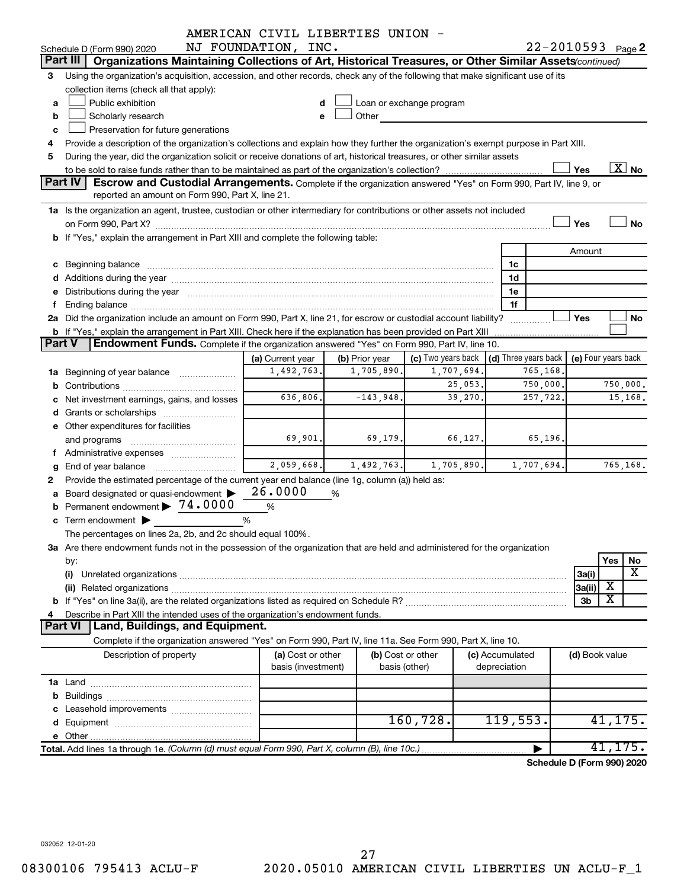|               |                                                                                                                                                                                                                                | AMERICAN CIVIL LIBERTIES UNION - |                |             |                                                         |          |                 |                            |                     |          |                          |
|---------------|--------------------------------------------------------------------------------------------------------------------------------------------------------------------------------------------------------------------------------|----------------------------------|----------------|-------------|---------------------------------------------------------|----------|-----------------|----------------------------|---------------------|----------|--------------------------|
|               | Schedule D (Form 990) 2020                                                                                                                                                                                                     | NJ FOUNDATION, INC.              |                |             |                                                         |          |                 | $22 - 2010593$ Page 2      |                     |          |                          |
|               | Part III<br>Organizations Maintaining Collections of Art, Historical Treasures, or Other Similar Assets (continued)                                                                                                            |                                  |                |             |                                                         |          |                 |                            |                     |          |                          |
| 3             | Using the organization's acquisition, accession, and other records, check any of the following that make significant use of its                                                                                                |                                  |                |             |                                                         |          |                 |                            |                     |          |                          |
|               | collection items (check all that apply):                                                                                                                                                                                       |                                  |                |             |                                                         |          |                 |                            |                     |          |                          |
| a             | Public exhibition                                                                                                                                                                                                              |                                  | d              |             | Loan or exchange program                                |          |                 |                            |                     |          |                          |
| b             | Scholarly research                                                                                                                                                                                                             |                                  | Other<br>e     |             |                                                         |          |                 |                            |                     |          |                          |
| c             | Preservation for future generations                                                                                                                                                                                            |                                  |                |             |                                                         |          |                 |                            |                     |          |                          |
| 4             | Provide a description of the organization's collections and explain how they further the organization's exempt purpose in Part XIII.                                                                                           |                                  |                |             |                                                         |          |                 |                            |                     |          |                          |
| 5             | During the year, did the organization solicit or receive donations of art, historical treasures, or other similar assets                                                                                                       |                                  |                |             |                                                         |          |                 |                            |                     |          |                          |
|               |                                                                                                                                                                                                                                |                                  |                |             |                                                         |          |                 |                            | Yes                 |          | $\overline{\text{X}}$ No |
|               | Part IV<br>Escrow and Custodial Arrangements. Complete if the organization answered "Yes" on Form 990, Part IV, line 9, or                                                                                                     |                                  |                |             |                                                         |          |                 |                            |                     |          |                          |
|               | reported an amount on Form 990, Part X, line 21.                                                                                                                                                                               |                                  |                |             |                                                         |          |                 |                            |                     |          |                          |
|               | 1a Is the organization an agent, trustee, custodian or other intermediary for contributions or other assets not included                                                                                                       |                                  |                |             |                                                         |          |                 |                            |                     |          |                          |
|               |                                                                                                                                                                                                                                |                                  |                |             |                                                         |          |                 |                            | Yes                 |          | No                       |
|               | b If "Yes," explain the arrangement in Part XIII and complete the following table:                                                                                                                                             |                                  |                |             |                                                         |          |                 |                            |                     |          |                          |
|               |                                                                                                                                                                                                                                |                                  |                |             |                                                         |          |                 |                            | Amount              |          |                          |
|               |                                                                                                                                                                                                                                |                                  |                |             |                                                         |          | 1c              |                            |                     |          |                          |
|               |                                                                                                                                                                                                                                |                                  |                |             |                                                         |          | 1d              |                            |                     |          |                          |
|               | Distributions during the year manufactured and an according to the state of the state of the state of the state of the state of the state of the state of the state of the state of the state of the state of the state of the |                                  |                |             |                                                         |          | 1e              |                            |                     |          |                          |
|               | 2a Did the organization include an amount on Form 990, Part X, line 21, for escrow or custodial account liability?                                                                                                             |                                  |                |             |                                                         |          | 1f              |                            | Yes                 |          | No                       |
|               | <b>b</b> If "Yes," explain the arrangement in Part XIII. Check here if the explanation has been provided on Part XIII                                                                                                          |                                  |                |             |                                                         |          |                 |                            |                     |          |                          |
| <b>Part V</b> | Endowment Funds. Complete if the organization answered "Yes" on Form 990, Part IV, line 10.                                                                                                                                    |                                  |                |             |                                                         |          |                 |                            |                     |          |                          |
|               |                                                                                                                                                                                                                                | (a) Current year                 | (b) Prior year |             | (c) Two years back $\vert$ (d) Three years back $\vert$ |          |                 |                            | (e) Four years back |          |                          |
|               | <b>1a</b> Beginning of year balance                                                                                                                                                                                            | 1,492,763.                       |                | 1,705,890.  | 1,707,694.                                              |          |                 | 765,168.                   |                     |          |                          |
|               |                                                                                                                                                                                                                                |                                  |                |             |                                                         | 25,053.  |                 | 750,000.                   |                     |          | 750,000.                 |
|               | Net investment earnings, gains, and losses                                                                                                                                                                                     | 636,806.                         |                | $-143,948.$ |                                                         | 39,270.  |                 | 257,722.                   |                     |          | 15,168.                  |
|               |                                                                                                                                                                                                                                |                                  |                |             |                                                         |          |                 |                            |                     |          |                          |
|               | e Other expenditures for facilities                                                                                                                                                                                            |                                  |                |             |                                                         |          |                 |                            |                     |          |                          |
|               | and programs                                                                                                                                                                                                                   | 69,901.                          |                | 69, 179.    |                                                         | 66, 127. |                 | 65,196.                    |                     |          |                          |
|               | f Administrative expenses                                                                                                                                                                                                      |                                  |                |             |                                                         |          |                 |                            |                     |          |                          |
| g             | End of year balance                                                                                                                                                                                                            | 2,059,668.                       |                | 1,492,763.  | 1,705,890.                                              |          |                 | 1,707,694.                 |                     |          | 765,168.                 |
| 2             | Provide the estimated percentage of the current year end balance (line 1g, column (a)) held as:                                                                                                                                |                                  |                |             |                                                         |          |                 |                            |                     |          |                          |
|               | a Board designated or quasi-endowment                                                                                                                                                                                          | 26.0000                          | %              |             |                                                         |          |                 |                            |                     |          |                          |
|               | Permanent endowment > 74.0000                                                                                                                                                                                                  | $\%$                             |                |             |                                                         |          |                 |                            |                     |          |                          |
|               | <b>c</b> Term endowment $\blacktriangleright$                                                                                                                                                                                  | %                                |                |             |                                                         |          |                 |                            |                     |          |                          |
|               | The percentages on lines 2a, 2b, and 2c should equal 100%.                                                                                                                                                                     |                                  |                |             |                                                         |          |                 |                            |                     |          |                          |
|               | 3a Are there endowment funds not in the possession of the organization that are held and administered for the organization                                                                                                     |                                  |                |             |                                                         |          |                 |                            |                     |          |                          |
|               | by:                                                                                                                                                                                                                            |                                  |                |             |                                                         |          |                 |                            |                     | Yes      | No                       |
|               | (i)                                                                                                                                                                                                                            |                                  |                |             |                                                         |          |                 |                            | 3a(i)               |          | х                        |
|               |                                                                                                                                                                                                                                |                                  |                |             |                                                         |          |                 |                            | 3a(ii)              | х        |                          |
|               |                                                                                                                                                                                                                                |                                  |                |             |                                                         |          |                 |                            | 3b                  | х        |                          |
| 4             | Describe in Part XIII the intended uses of the organization's endowment funds.                                                                                                                                                 |                                  |                |             |                                                         |          |                 |                            |                     |          |                          |
|               | Land, Buildings, and Equipment.<br>Part VI                                                                                                                                                                                     |                                  |                |             |                                                         |          |                 |                            |                     |          |                          |
|               | Complete if the organization answered "Yes" on Form 990, Part IV, line 11a. See Form 990, Part X, line 10.                                                                                                                     |                                  |                |             |                                                         |          |                 |                            |                     |          |                          |
|               | Description of property                                                                                                                                                                                                        | (a) Cost or other                |                |             | (b) Cost or other                                       |          | (c) Accumulated |                            | (d) Book value      |          |                          |
|               |                                                                                                                                                                                                                                | basis (investment)               |                |             | basis (other)                                           |          | depreciation    |                            |                     |          |                          |
|               |                                                                                                                                                                                                                                |                                  |                |             |                                                         |          |                 |                            |                     |          |                          |
| b             |                                                                                                                                                                                                                                |                                  |                |             |                                                         |          |                 |                            |                     |          |                          |
|               |                                                                                                                                                                                                                                |                                  |                |             |                                                         |          |                 |                            |                     |          |                          |
|               |                                                                                                                                                                                                                                |                                  |                |             | 160, 728.                                               |          | 119,553.        |                            |                     | 41, 175. |                          |
|               |                                                                                                                                                                                                                                |                                  |                |             |                                                         |          |                 |                            |                     |          |                          |
|               | Total. Add lines 1a through 1e. (Column (d) must equal Form 990, Part X, column (B), line 10c.)                                                                                                                                |                                  |                |             |                                                         |          |                 |                            |                     | 41, 175. |                          |
|               |                                                                                                                                                                                                                                |                                  |                |             |                                                         |          |                 | Schedule D (Form 990) 2020 |                     |          |                          |

032052 12-01-20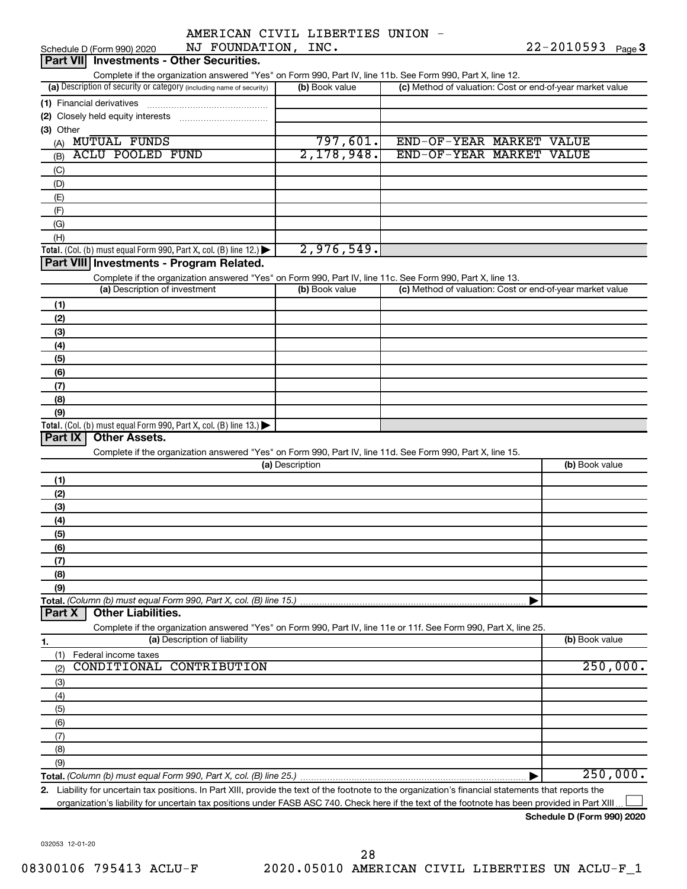|  | AMERICAN CIVIL LIBERTIES UNION |  |
|--|--------------------------------|--|
|  |                                |  |

| NJ FOUNDATION, INC.<br>Schedule D (Form 990) 2020                                                                                                                                  | 22-2010593 Page 3 |                                                           |                |
|------------------------------------------------------------------------------------------------------------------------------------------------------------------------------------|-------------------|-----------------------------------------------------------|----------------|
| <b>Investments - Other Securities.</b><br>Part VIII                                                                                                                                |                   |                                                           |                |
| Complete if the organization answered "Yes" on Form 990, Part IV, line 11b. See Form 990, Part X, line 12.<br>(a) Description of security or category (including name of security) | (b) Book value    | (c) Method of valuation: Cost or end-of-year market value |                |
| (1) Financial derivatives                                                                                                                                                          |                   |                                                           |                |
| (2) Closely held equity interests                                                                                                                                                  |                   |                                                           |                |
| (3) Other                                                                                                                                                                          |                   |                                                           |                |
| <b>MUTUAL FUNDS</b><br>(A)                                                                                                                                                         | 797,601.          | END-OF-YEAR MARKET VALUE                                  |                |
| <b>ACLU POOLED FUND</b><br>(B)                                                                                                                                                     | 2,178,948.        | END-OF-YEAR MARKET VALUE                                  |                |
| (C)                                                                                                                                                                                |                   |                                                           |                |
| (D)                                                                                                                                                                                |                   |                                                           |                |
| (E)                                                                                                                                                                                |                   |                                                           |                |
| (F)                                                                                                                                                                                |                   |                                                           |                |
| (G)                                                                                                                                                                                |                   |                                                           |                |
| (H)                                                                                                                                                                                | 2,976,549.        |                                                           |                |
| Total. (Col. (b) must equal Form 990, Part X, col. (B) line 12.) $\blacktriangleright$<br>Part VIII Investments - Program Related.                                                 |                   |                                                           |                |
| Complete if the organization answered "Yes" on Form 990, Part IV, line 11c. See Form 990, Part X, line 13.                                                                         |                   |                                                           |                |
| (a) Description of investment                                                                                                                                                      | (b) Book value    | (c) Method of valuation: Cost or end-of-year market value |                |
| (1)                                                                                                                                                                                |                   |                                                           |                |
| (2)                                                                                                                                                                                |                   |                                                           |                |
| (3)                                                                                                                                                                                |                   |                                                           |                |
| (4)                                                                                                                                                                                |                   |                                                           |                |
| (5)                                                                                                                                                                                |                   |                                                           |                |
| (6)                                                                                                                                                                                |                   |                                                           |                |
| (7)                                                                                                                                                                                |                   |                                                           |                |
| (8)                                                                                                                                                                                |                   |                                                           |                |
| (9)                                                                                                                                                                                |                   |                                                           |                |
| Total. (Col. (b) must equal Form 990, Part X, col. (B) line 13.) $\blacktriangleright$                                                                                             |                   |                                                           |                |
| <b>Other Assets.</b><br>Part IX                                                                                                                                                    |                   |                                                           |                |
| Complete if the organization answered "Yes" on Form 990, Part IV, line 11d. See Form 990, Part X, line 15.                                                                         | (a) Description   |                                                           | (b) Book value |
| (1)                                                                                                                                                                                |                   |                                                           |                |
| (2)                                                                                                                                                                                |                   |                                                           |                |
| (3)                                                                                                                                                                                |                   |                                                           |                |
| (4)                                                                                                                                                                                |                   |                                                           |                |
| (5)                                                                                                                                                                                |                   |                                                           |                |
| (6)                                                                                                                                                                                |                   |                                                           |                |
| (7)                                                                                                                                                                                |                   |                                                           |                |
| (8)                                                                                                                                                                                |                   |                                                           |                |
| (9)                                                                                                                                                                                |                   |                                                           |                |
| Total. (Column (b) must equal Form 990, Part X, col. (B) line 15.)                                                                                                                 |                   |                                                           |                |
| <b>Other Liabilities.</b><br>Part X                                                                                                                                                |                   |                                                           |                |
| Complete if the organization answered "Yes" on Form 990, Part IV, line 11e or 11f. See Form 990, Part X, line 25.<br>(a) Description of liability                                  |                   |                                                           | (b) Book value |
| 1.<br>Federal income taxes<br>(1)                                                                                                                                                  |                   |                                                           |                |
| CONDITIONAL<br><b>CONTRIBUTION</b><br>(2)                                                                                                                                          |                   |                                                           | 250,000.       |
| (3)                                                                                                                                                                                |                   |                                                           |                |
| (4)                                                                                                                                                                                |                   |                                                           |                |
| (5)                                                                                                                                                                                |                   |                                                           |                |
| (6)                                                                                                                                                                                |                   |                                                           |                |
| (7)                                                                                                                                                                                |                   |                                                           |                |
| (8)                                                                                                                                                                                |                   |                                                           |                |
| (9)                                                                                                                                                                                |                   |                                                           |                |
|                                                                                                                                                                                    |                   |                                                           | 250,000.       |
| 2. Liability for uncertain tax positions. In Part XIII, provide the text of the footnote to the organization's financial statements that reports the                               |                   |                                                           |                |

organization's liability for uncertain tax positions under FASB ASC 740. Check here if the text of the footnote has been provided in Part XIII...

**Schedule D (Form 990) 2020**

032053 12-01-20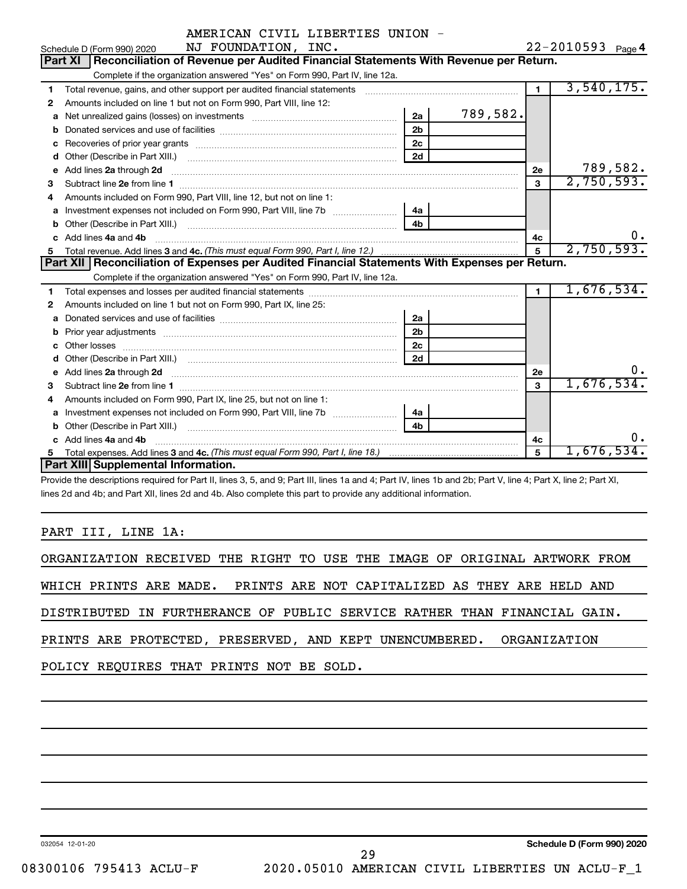|  | AMERICAN CIVIL LIBERTIES UNION |  |
|--|--------------------------------|--|
|  |                                |  |

|    | Schedule D (Form 990) 2020 $NJ$ $FOUNDATION$ , $INC$ .                                                                                                                                                                                                                                   |                |                |                | $22 - 2010593$ Page 4 |
|----|------------------------------------------------------------------------------------------------------------------------------------------------------------------------------------------------------------------------------------------------------------------------------------------|----------------|----------------|----------------|-----------------------|
|    | Reconciliation of Revenue per Audited Financial Statements With Revenue per Return.<br><b>Part XI</b>                                                                                                                                                                                    |                |                |                |                       |
|    | Complete if the organization answered "Yes" on Form 990, Part IV, line 12a.                                                                                                                                                                                                              |                |                |                |                       |
| 1  | Total revenue, gains, and other support per audited financial statements                                                                                                                                                                                                                 |                |                | $\blacksquare$ | 3,540,175.            |
| 2  | Amounts included on line 1 but not on Form 990, Part VIII, line 12:                                                                                                                                                                                                                      |                |                |                |                       |
| a  | Net unrealized gains (losses) on investments [111] [11] Net unrealized gains (losses) on investments [11] [11]                                                                                                                                                                           | 2a             | 789,582.       |                |                       |
| b  |                                                                                                                                                                                                                                                                                          | 2 <sub>b</sub> |                |                |                       |
| C  |                                                                                                                                                                                                                                                                                          | 2c             |                |                |                       |
| d  |                                                                                                                                                                                                                                                                                          | 2d             |                |                |                       |
| e  | Add lines 2a through 2d                                                                                                                                                                                                                                                                  |                |                | 2e             | 789,582.              |
| 3  |                                                                                                                                                                                                                                                                                          |                |                | 3              | 2,750,593.            |
| 4  | Amounts included on Form 990, Part VIII, line 12, but not on line 1:                                                                                                                                                                                                                     |                |                |                |                       |
| a  |                                                                                                                                                                                                                                                                                          | 4a             |                |                |                       |
| b  |                                                                                                                                                                                                                                                                                          | 4 <sub>b</sub> |                |                |                       |
|    | Add lines 4a and 4b                                                                                                                                                                                                                                                                      |                |                | 4c             | 0.                    |
|    |                                                                                                                                                                                                                                                                                          |                | $\overline{5}$ | 2,750,593.     |                       |
| 5. |                                                                                                                                                                                                                                                                                          |                |                |                |                       |
|    | Part XII   Reconciliation of Expenses per Audited Financial Statements With Expenses per Return.                                                                                                                                                                                         |                |                |                |                       |
|    | Complete if the organization answered "Yes" on Form 990, Part IV, line 12a.                                                                                                                                                                                                              |                |                |                |                       |
| 1. |                                                                                                                                                                                                                                                                                          |                |                | $\blacksquare$ | 1,676,534.            |
| 2  | Amounts included on line 1 but not on Form 990, Part IX, line 25:                                                                                                                                                                                                                        |                |                |                |                       |
| a  |                                                                                                                                                                                                                                                                                          | 2a             |                |                |                       |
| b  |                                                                                                                                                                                                                                                                                          | 2 <sub>b</sub> |                |                |                       |
| с  |                                                                                                                                                                                                                                                                                          | 2 <sub>c</sub> |                |                |                       |
|    |                                                                                                                                                                                                                                                                                          | 2d             |                |                |                       |
| e  |                                                                                                                                                                                                                                                                                          |                |                | 2е             | ο.                    |
| 3  | Add lines 2a through 2d <b>[10]</b> [20] <b>All (20)</b> [20] [20] <b>All (20)</b> [30] <b>All (20)</b> [30] <b>All (20)</b> [30] <b>All (20)</b> [30] <b>All (20)</b> [30] <b>All (20)</b> [30] <b>All (20)</b> [30] <b>All (20)</b> [30] <b>All (20)</b> [30] <b>All (20) All (20)</b> |                |                | 3              | 1,676,534.            |
| 4  | Amounts included on Form 990, Part IX, line 25, but not on line 1:                                                                                                                                                                                                                       |                |                |                |                       |
| a  |                                                                                                                                                                                                                                                                                          | 4a             |                |                |                       |
|    |                                                                                                                                                                                                                                                                                          | 4 <sub>b</sub> |                |                |                       |
|    | c Add lines 4a and 4b                                                                                                                                                                                                                                                                    |                |                | 4c             | 0.                    |
| 5. | Part XIII Supplemental Information.                                                                                                                                                                                                                                                      |                |                | 5              | 1,676,534.            |

Provide the descriptions required for Part II, lines 3, 5, and 9; Part III, lines 1a and 4; Part IV, lines 1b and 2b; Part V, line 4; Part X, line 2; Part XI, lines 2d and 4b; and Part XII, lines 2d and 4b. Also complete this part to provide any additional information.

# PART III, LINE 1A:

|                                                                          |  |  |  |  |  |  | ORGANIZATION RECEIVED THE RIGHT TO USE THE IMAGE OF ORIGINAL ARTWORK FROM |  |
|--------------------------------------------------------------------------|--|--|--|--|--|--|---------------------------------------------------------------------------|--|
| WHICH PRINTS ARE MADE. PRINTS ARE NOT CAPITALIZED AS THEY ARE HELD AND   |  |  |  |  |  |  |                                                                           |  |
| DISTRIBUTED IN FURTHERANCE OF PUBLIC SERVICE RATHER THAN FINANCIAL GAIN. |  |  |  |  |  |  |                                                                           |  |
| PRINTS ARE PROTECTED, PRESERVED, AND KEPT UNENCUMBERED. ORGANIZATION     |  |  |  |  |  |  |                                                                           |  |
| POLICY REQUIRES THAT PRINTS NOT BE SOLD.                                 |  |  |  |  |  |  |                                                                           |  |
|                                                                          |  |  |  |  |  |  |                                                                           |  |

032054 12-01-20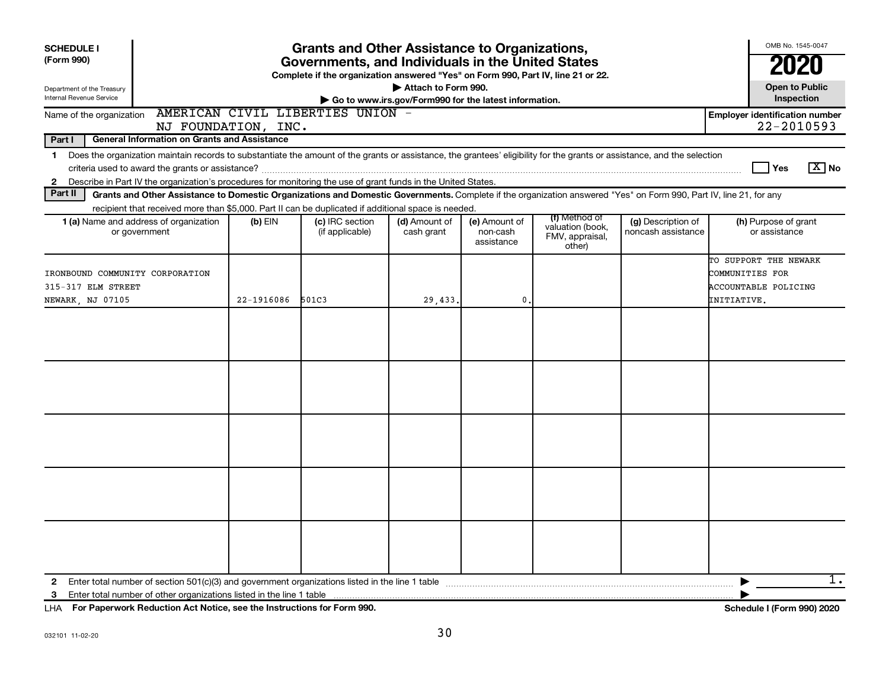| <b>SCHEDULE I</b><br>(Form 990)<br>Department of the Treasury<br><b>Internal Revenue Service</b>                                                                                                                                                                                                                         | OMB No. 1545-0047<br>2020<br><b>Open to Public</b><br>Inspection |                                    |                             |                                         |                                                                |                                          |                                                                                 |
|--------------------------------------------------------------------------------------------------------------------------------------------------------------------------------------------------------------------------------------------------------------------------------------------------------------------------|------------------------------------------------------------------|------------------------------------|-----------------------------|-----------------------------------------|----------------------------------------------------------------|------------------------------------------|---------------------------------------------------------------------------------|
| Name of the organization                                                                                                                                                                                                                                                                                                 |                                                                  | AMERICAN CIVIL LIBERTIES UNION -   |                             |                                         |                                                                |                                          | <b>Employer identification number</b>                                           |
| NJ FOUNDATION, INC.<br>Part I<br><b>General Information on Grants and Assistance</b>                                                                                                                                                                                                                                     |                                                                  |                                    |                             |                                         |                                                                |                                          | 22-2010593                                                                      |
| Does the organization maintain records to substantiate the amount of the grants or assistance, the grantees' eligibility for the grants or assistance, and the selection<br>$\mathbf 1$<br>Describe in Part IV the organization's procedures for monitoring the use of grant funds in the United States.<br>$\mathbf{2}$ |                                                                  |                                    |                             |                                         |                                                                |                                          | $\boxed{\text{X}}$ No<br>Yes                                                    |
| Part II<br>Grants and Other Assistance to Domestic Organizations and Domestic Governments. Complete if the organization answered "Yes" on Form 990, Part IV, line 21, for any                                                                                                                                            |                                                                  |                                    |                             |                                         |                                                                |                                          |                                                                                 |
| recipient that received more than \$5,000. Part II can be duplicated if additional space is needed.<br>1 (a) Name and address of organization<br>or government                                                                                                                                                           | $(b)$ EIN                                                        | (c) IRC section<br>(if applicable) | (d) Amount of<br>cash grant | (e) Amount of<br>non-cash<br>assistance | (f) Method of<br>valuation (book,<br>FMV, appraisal,<br>other) | (g) Description of<br>noncash assistance | (h) Purpose of grant<br>or assistance                                           |
| IRONBOUND COMMUNITY CORPORATION<br>315-317 ELM STREET<br>NEWARK, NJ 07105                                                                                                                                                                                                                                                | 22-1916086                                                       | 501C3                              | 29,433.                     | 0.                                      |                                                                |                                          | TO SUPPORT THE NEWARK<br>COMMUNITIES FOR<br>ACCOUNTABLE POLICING<br>INITIATIVE. |
|                                                                                                                                                                                                                                                                                                                          |                                                                  |                                    |                             |                                         |                                                                |                                          |                                                                                 |
|                                                                                                                                                                                                                                                                                                                          |                                                                  |                                    |                             |                                         |                                                                |                                          |                                                                                 |
|                                                                                                                                                                                                                                                                                                                          |                                                                  |                                    |                             |                                         |                                                                |                                          |                                                                                 |
|                                                                                                                                                                                                                                                                                                                          |                                                                  |                                    |                             |                                         |                                                                |                                          |                                                                                 |
|                                                                                                                                                                                                                                                                                                                          |                                                                  |                                    |                             |                                         |                                                                |                                          |                                                                                 |
| 2                                                                                                                                                                                                                                                                                                                        |                                                                  |                                    |                             |                                         |                                                                |                                          | 1.                                                                              |

**For Paperwork Reduction Act Notice, see the Instructions for Form 990. Schedule I (Form 990) 2020** LHA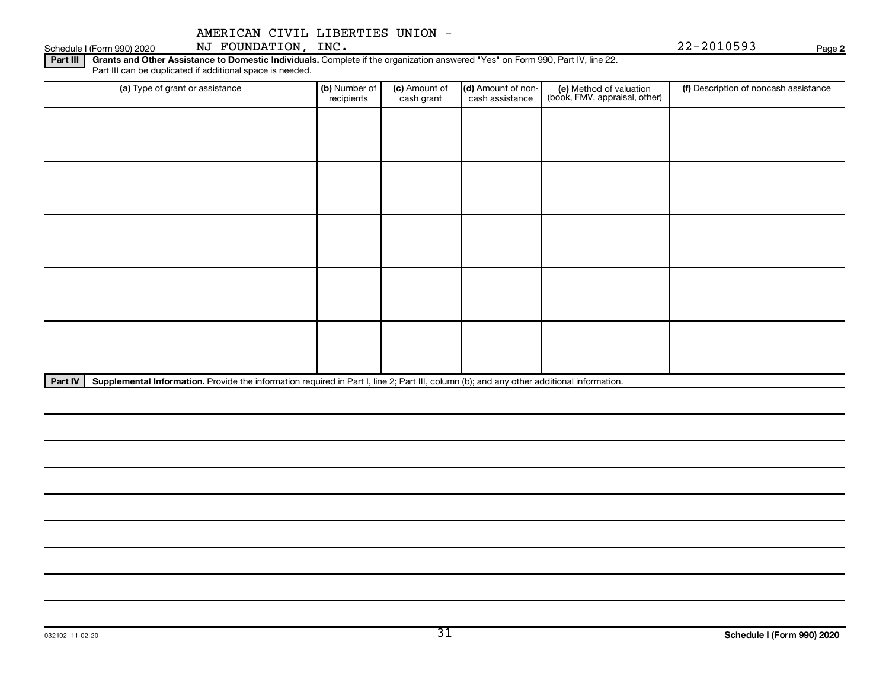Schedule I (Form 990) 2020 Page NJ FOUNDATION, INC. 22-2010593

**2**

Part III | Grants and Other Assistance to Domestic Individuals. Complete if the organization answered "Yes" on Form 990, Part IV, line 22. Part III can be duplicated if additional space is needed.

| (a) Type of grant or assistance | (b) Number of<br>recipients | (c) Amount of<br>cash grant | (d) Amount of non-<br>cash assistance | (e) Method of valuation<br>(book, FMV, appraisal, other) | (f) Description of noncash assistance |
|---------------------------------|-----------------------------|-----------------------------|---------------------------------------|----------------------------------------------------------|---------------------------------------|
|                                 |                             |                             |                                       |                                                          |                                       |
|                                 |                             |                             |                                       |                                                          |                                       |
|                                 |                             |                             |                                       |                                                          |                                       |
|                                 |                             |                             |                                       |                                                          |                                       |
|                                 |                             |                             |                                       |                                                          |                                       |
|                                 |                             |                             |                                       |                                                          |                                       |
|                                 |                             |                             |                                       |                                                          |                                       |
|                                 |                             |                             |                                       |                                                          |                                       |
|                                 |                             |                             |                                       |                                                          |                                       |
|                                 |                             |                             |                                       |                                                          |                                       |

Part IV | Supplemental Information. Provide the information required in Part I, line 2; Part III, column (b); and any other additional information.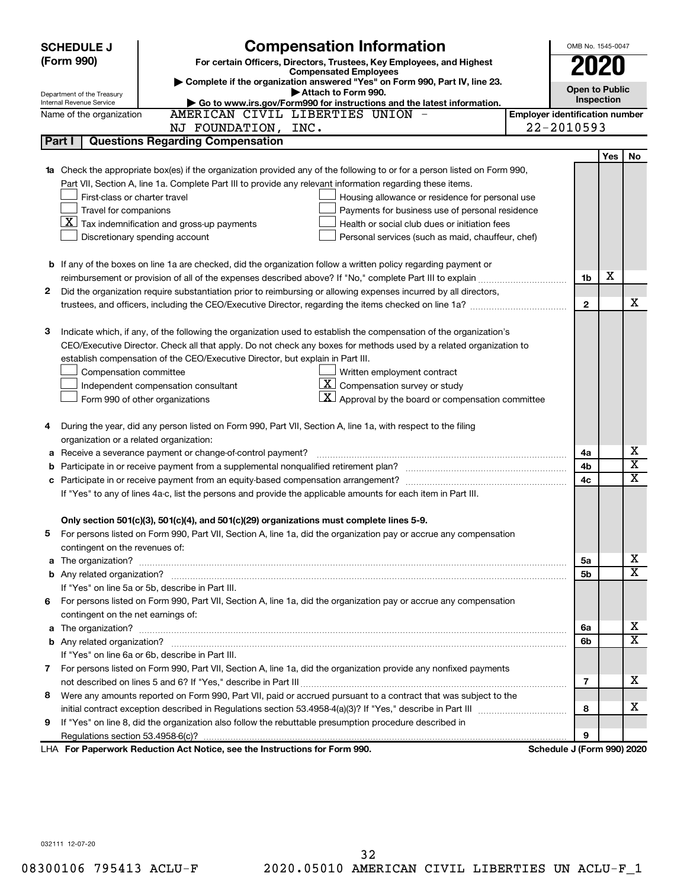|   | <b>SCHEDULE J</b>                       | <b>Compensation Information</b>                                                                                            |                                       | OMB No. 1545-0047          |     |                         |
|---|-----------------------------------------|----------------------------------------------------------------------------------------------------------------------------|---------------------------------------|----------------------------|-----|-------------------------|
|   | (Form 990)                              | For certain Officers, Directors, Trustees, Key Employees, and Highest                                                      |                                       | 2020                       |     |                         |
|   |                                         | <b>Compensated Employees</b><br>Complete if the organization answered "Yes" on Form 990, Part IV, line 23.                 |                                       |                            |     |                         |
|   | Department of the Treasury              | Attach to Form 990.                                                                                                        |                                       | <b>Open to Public</b>      |     |                         |
|   | Internal Revenue Service                | Go to www.irs.gov/Form990 for instructions and the latest information.                                                     |                                       | Inspection                 |     |                         |
|   | Name of the organization                | AMERICAN CIVIL LIBERTIES UNION                                                                                             | <b>Employer identification number</b> |                            |     |                         |
|   |                                         | NJ FOUNDATION, INC.                                                                                                        |                                       | 22-2010593                 |     |                         |
|   | Part I                                  | <b>Questions Regarding Compensation</b>                                                                                    |                                       |                            |     |                         |
|   |                                         |                                                                                                                            |                                       |                            | Yes | No                      |
|   |                                         | Check the appropriate box(es) if the organization provided any of the following to or for a person listed on Form 990,     |                                       |                            |     |                         |
|   |                                         | Part VII, Section A, line 1a. Complete Part III to provide any relevant information regarding these items.                 |                                       |                            |     |                         |
|   | First-class or charter travel           | Housing allowance or residence for personal use                                                                            |                                       |                            |     |                         |
|   | Travel for companions                   | Payments for business use of personal residence                                                                            |                                       |                            |     |                         |
|   |                                         | $\lfloor \underline{X} \rfloor$ Tax indemnification and gross-up payments<br>Health or social club dues or initiation fees |                                       |                            |     |                         |
|   |                                         | Discretionary spending account<br>Personal services (such as maid, chauffeur, chef)                                        |                                       |                            |     |                         |
|   |                                         | <b>b</b> If any of the boxes on line 1a are checked, did the organization follow a written policy regarding payment or     |                                       |                            |     |                         |
|   |                                         |                                                                                                                            |                                       | 1b                         | X   |                         |
| 2 |                                         | Did the organization require substantiation prior to reimbursing or allowing expenses incurred by all directors,           |                                       |                            |     |                         |
|   |                                         |                                                                                                                            |                                       | $\mathbf{2}$               |     | x                       |
|   |                                         |                                                                                                                            |                                       |                            |     |                         |
| з |                                         | Indicate which, if any, of the following the organization used to establish the compensation of the organization's         |                                       |                            |     |                         |
|   |                                         | CEO/Executive Director. Check all that apply. Do not check any boxes for methods used by a related organization to         |                                       |                            |     |                         |
|   |                                         | establish compensation of the CEO/Executive Director, but explain in Part III.                                             |                                       |                            |     |                         |
|   | Compensation committee                  | Written employment contract                                                                                                |                                       |                            |     |                         |
|   |                                         | $ \mathbf{X} $ Compensation survey or study<br>Independent compensation consultant                                         |                                       |                            |     |                         |
|   |                                         | $ \mathbf{X} $ Approval by the board or compensation committee<br>Form 990 of other organizations                          |                                       |                            |     |                         |
|   |                                         |                                                                                                                            |                                       |                            |     |                         |
| 4 |                                         | During the year, did any person listed on Form 990, Part VII, Section A, line 1a, with respect to the filing               |                                       |                            |     |                         |
|   | organization or a related organization: |                                                                                                                            |                                       |                            |     |                         |
| а |                                         | Receive a severance payment or change-of-control payment?                                                                  |                                       | 4a                         |     | х                       |
| b |                                         |                                                                                                                            |                                       | 4b                         |     | $\overline{\textbf{x}}$ |
|   |                                         |                                                                                                                            |                                       | 4c                         |     | $\mathbf x$             |
|   |                                         | If "Yes" to any of lines 4a-c, list the persons and provide the applicable amounts for each item in Part III.              |                                       |                            |     |                         |
|   |                                         |                                                                                                                            |                                       |                            |     |                         |
|   |                                         | Only section 501(c)(3), 501(c)(4), and 501(c)(29) organizations must complete lines 5-9.                                   |                                       |                            |     |                         |
|   |                                         | For persons listed on Form 990, Part VII, Section A, line 1a, did the organization pay or accrue any compensation          |                                       |                            |     |                         |
|   | contingent on the revenues of:          |                                                                                                                            |                                       |                            |     |                         |
| a |                                         |                                                                                                                            |                                       | 5a                         |     | x                       |
|   |                                         |                                                                                                                            |                                       | 5b                         |     | X                       |
|   |                                         | If "Yes" on line 5a or 5b, describe in Part III.                                                                           |                                       |                            |     |                         |
|   |                                         | 6 For persons listed on Form 990, Part VII, Section A, line 1a, did the organization pay or accrue any compensation        |                                       |                            |     |                         |
|   | contingent on the net earnings of:      |                                                                                                                            |                                       |                            |     |                         |
| a |                                         |                                                                                                                            |                                       | 6a                         |     | x                       |
|   |                                         |                                                                                                                            |                                       | 6b                         |     | $\overline{\mathbf{X}}$ |
|   |                                         | If "Yes" on line 6a or 6b, describe in Part III.                                                                           |                                       |                            |     |                         |
|   |                                         | 7 For persons listed on Form 990, Part VII, Section A, line 1a, did the organization provide any nonfixed payments         |                                       |                            |     |                         |
|   |                                         |                                                                                                                            |                                       | 7                          |     | x                       |
| 8 |                                         | Were any amounts reported on Form 990, Part VII, paid or accrued pursuant to a contract that was subject to the            |                                       |                            |     |                         |
|   |                                         |                                                                                                                            |                                       | 8                          |     | x                       |
| 9 |                                         | If "Yes" on line 8, did the organization also follow the rebuttable presumption procedure described in                     |                                       |                            |     |                         |
|   |                                         |                                                                                                                            |                                       | 9                          |     |                         |
|   |                                         | LHA For Paperwork Reduction Act Notice, see the Instructions for Form 990.                                                 |                                       | Schedule J (Form 990) 2020 |     |                         |

032111 12-07-20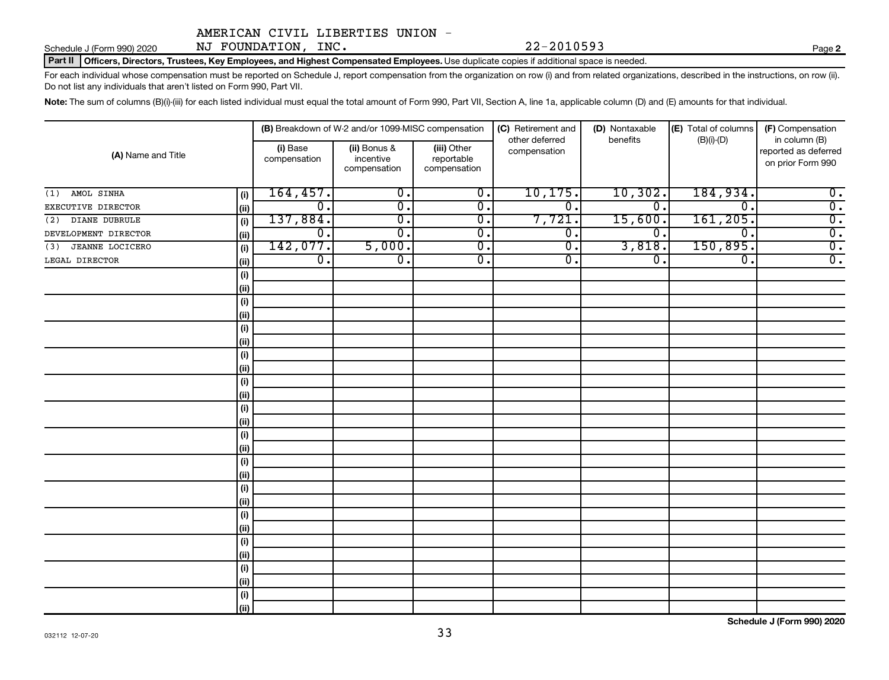# Schedule J (Form 990) 2020 MJ FOUNDATION, INC.  $22-2010593$  Page Page

Part II | Officers, Directors, Trustees, Key Employees, and Highest Compensated Employees. Use duplicate copies if additional space is needed.

For each individual whose compensation must be reported on Schedule J, report compensation from the organization on row (i) and from related organizations, described in the instructions, on row (ii). Do not list any individuals that aren't listed on Form 990, Part VII.

Note: The sum of columns (B)(i)-(iii) for each listed individual must equal the total amount of Form 990, Part VII, Section A, line 1a, applicable column (D) and (E) amounts for that individual.

|                               |      |                          | (B) Breakdown of W-2 and/or 1099-MISC compensation |                                           | (C) Retirement and<br>other deferred | (D) Nontaxable<br>benefits  | (E) Total of columns<br>$(B)(i)-(D)$ | (F) Compensation<br>in column (B)         |
|-------------------------------|------|--------------------------|----------------------------------------------------|-------------------------------------------|--------------------------------------|-----------------------------|--------------------------------------|-------------------------------------------|
| (A) Name and Title            |      | (i) Base<br>compensation | (ii) Bonus &<br>incentive<br>compensation          | (iii) Other<br>reportable<br>compensation | compensation                         |                             |                                      | reported as deferred<br>on prior Form 990 |
| AMOL SINHA<br>(1)             | (i)  | 164, 457.                | $\overline{0}$ .                                   | $\overline{0}$ .                          | 10, 175.                             | 10,302.                     | 184,934.                             | $\overline{0}$ .                          |
| EXECUTIVE DIRECTOR            | (ii) | $\overline{0}$ .         | $\overline{0}$ .                                   | $\overline{\mathbf{0}}$ .                 | σ.                                   | $\overline{\mathfrak{o}}$ . | $\mathbf 0$                          | $\overline{0}$ .                          |
| DIANE DUBRULE<br>(2)          | (i)  | 137,884.                 | $\overline{0}$ .                                   | $\overline{0}$ .                          | 7,721.                               | 15,600.                     | 161, 205.                            | $\overline{0}$ .                          |
| DEVELOPMENT DIRECTOR          | (ii) | $\overline{0}$ .         | $\overline{\mathfrak{o}}$ .                        | $\overline{0}$ .                          | $\overline{0}$ .                     | 0.                          | $\overline{0}$ .                     | $\overline{0}$ .                          |
| <b>JEANNE LOCICERO</b><br>(3) | (i)  | 142,077.                 | 5,000.                                             | $\overline{0}$ .                          | σ.                                   | 3,818.                      | 150,895.                             | $\overline{0}$ .                          |
| LEGAL DIRECTOR                | (ii) | $\overline{0}$ .         | $\overline{\mathfrak{o}}$ .                        | $\overline{\mathbf{0}}$ .                 | σ.                                   | $\overline{0}$ .            | $\overline{0}$ .                     | $\overline{0}$ .                          |
|                               | (i)  |                          |                                                    |                                           |                                      |                             |                                      |                                           |
|                               | (ii) |                          |                                                    |                                           |                                      |                             |                                      |                                           |
|                               | (i)  |                          |                                                    |                                           |                                      |                             |                                      |                                           |
|                               | (ii) |                          |                                                    |                                           |                                      |                             |                                      |                                           |
|                               | (i)  |                          |                                                    |                                           |                                      |                             |                                      |                                           |
|                               | (ii) |                          |                                                    |                                           |                                      |                             |                                      |                                           |
|                               | (i)  |                          |                                                    |                                           |                                      |                             |                                      |                                           |
|                               | (ii) |                          |                                                    |                                           |                                      |                             |                                      |                                           |
|                               | (i)  |                          |                                                    |                                           |                                      |                             |                                      |                                           |
|                               | (ii) |                          |                                                    |                                           |                                      |                             |                                      |                                           |
|                               | (i)  |                          |                                                    |                                           |                                      |                             |                                      |                                           |
|                               | (ii) |                          |                                                    |                                           |                                      |                             |                                      |                                           |
|                               | (i)  |                          |                                                    |                                           |                                      |                             |                                      |                                           |
|                               | (ii) |                          |                                                    |                                           |                                      |                             |                                      |                                           |
|                               | (i)  |                          |                                                    |                                           |                                      |                             |                                      |                                           |
|                               | (ii) |                          |                                                    |                                           |                                      |                             |                                      |                                           |
|                               | (i)  |                          |                                                    |                                           |                                      |                             |                                      |                                           |
|                               | (ii) |                          |                                                    |                                           |                                      |                             |                                      |                                           |
|                               | (i)  |                          |                                                    |                                           |                                      |                             |                                      |                                           |
|                               | (ii) |                          |                                                    |                                           |                                      |                             |                                      |                                           |
|                               | (i)  |                          |                                                    |                                           |                                      |                             |                                      |                                           |
|                               | (ii) |                          |                                                    |                                           |                                      |                             |                                      |                                           |
|                               | (i)  |                          |                                                    |                                           |                                      |                             |                                      |                                           |
|                               | (ii) |                          |                                                    |                                           |                                      |                             |                                      |                                           |
|                               | (i)  |                          |                                                    |                                           |                                      |                             |                                      |                                           |
|                               | (ii) |                          |                                                    |                                           |                                      |                             |                                      |                                           |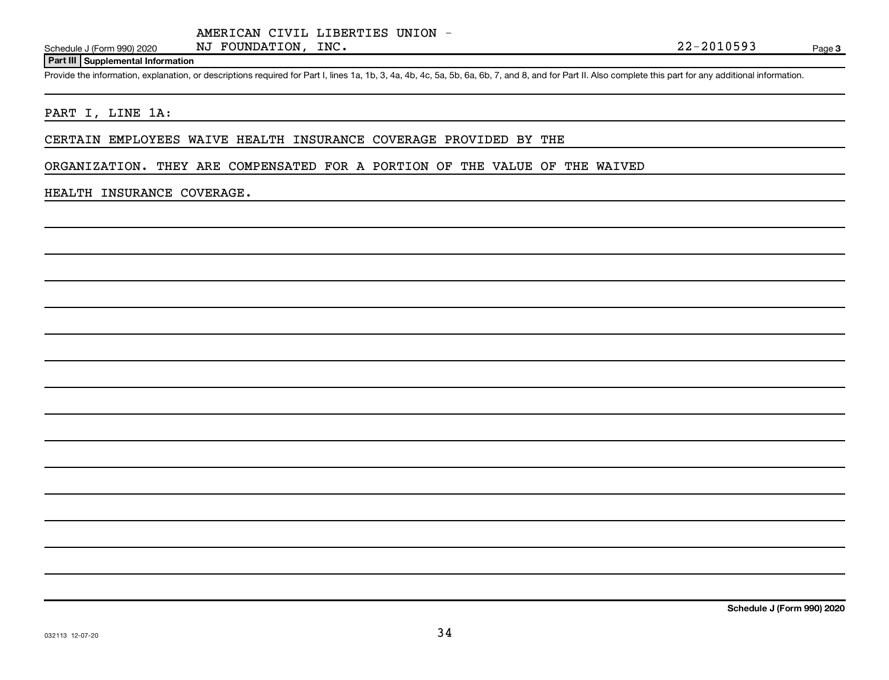#### **Part III Supplemental Information**

Provide the information, explanation, or descriptions required for Part I, lines 1a, 1b, 3, 4a, 4b, 4c, 5a, 5b, 6a, 6b, 7, and 8, and for Part II. Also complete this part for any additional information.

## PART I, LINE 1A:

### CERTAIN EMPLOYEES WAIVE HEALTH INSURANCE COVERAGE PROVIDED BY THE

ORGANIZATION. THEY ARE COMPENSATED FOR A PORTION OF THE VALUE OF THE WAIVED

#### HEALTH INSURANCE COVERAGE.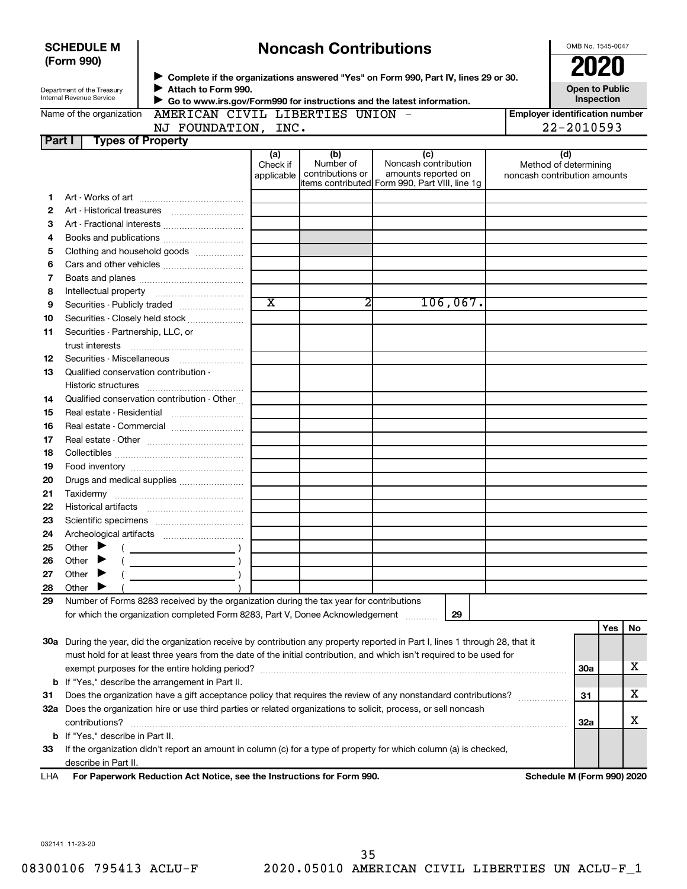| <b>Noncash Contributions</b><br><b>SCHEDULE M</b> |                                         |                                                                                                                                |                               |                                      |                                                                                                      |          |                                       | OMB No. 1545-0047            |     |    |
|---------------------------------------------------|-----------------------------------------|--------------------------------------------------------------------------------------------------------------------------------|-------------------------------|--------------------------------------|------------------------------------------------------------------------------------------------------|----------|---------------------------------------|------------------------------|-----|----|
|                                                   | (Form 990)                              |                                                                                                                                |                               |                                      |                                                                                                      |          |                                       | 2020                         |     |    |
|                                                   | Department of the Treasury              | > Complete if the organizations answered "Yes" on Form 990, Part IV, lines 29 or 30.<br>Attach to Form 990.                    |                               |                                      |                                                                                                      |          |                                       | <b>Open to Public</b>        |     |    |
|                                                   | Internal Revenue Service                | Go to www.irs.gov/Form990 for instructions and the latest information.                                                         |                               |                                      |                                                                                                      |          |                                       | Inspection                   |     |    |
|                                                   | Name of the organization                | AMERICAN CIVIL LIBERTIES UNION -                                                                                               |                               |                                      |                                                                                                      |          | <b>Employer identification number</b> |                              |     |    |
|                                                   |                                         | NJ FOUNDATION, INC.                                                                                                            |                               |                                      |                                                                                                      |          |                                       | 22-2010593                   |     |    |
| Part I                                            | <b>Types of Property</b>                |                                                                                                                                |                               |                                      |                                                                                                      |          |                                       |                              |     |    |
|                                                   |                                         |                                                                                                                                | (a)<br>Check if<br>applicable | (b)<br>Number of<br>contributions or | (c)<br>Noncash contribution<br>amounts reported on<br>items contributed Form 990, Part VIII, line 1g |          | noncash contribution amounts          | (d)<br>Method of determining |     |    |
| 1                                                 |                                         |                                                                                                                                |                               |                                      |                                                                                                      |          |                                       |                              |     |    |
| 2                                                 |                                         |                                                                                                                                |                               |                                      |                                                                                                      |          |                                       |                              |     |    |
| З                                                 |                                         |                                                                                                                                |                               |                                      |                                                                                                      |          |                                       |                              |     |    |
| 4                                                 |                                         |                                                                                                                                |                               |                                      |                                                                                                      |          |                                       |                              |     |    |
| 5                                                 |                                         | Clothing and household goods                                                                                                   |                               |                                      |                                                                                                      |          |                                       |                              |     |    |
| 6                                                 |                                         |                                                                                                                                |                               |                                      |                                                                                                      |          |                                       |                              |     |    |
| 7                                                 |                                         |                                                                                                                                |                               |                                      |                                                                                                      |          |                                       |                              |     |    |
| 8                                                 |                                         |                                                                                                                                |                               |                                      |                                                                                                      |          |                                       |                              |     |    |
| 9                                                 |                                         |                                                                                                                                | $\overline{\texttt{x}}$       | 2                                    |                                                                                                      | 106,067. |                                       |                              |     |    |
| 10                                                |                                         | Securities - Closely held stock                                                                                                |                               |                                      |                                                                                                      |          |                                       |                              |     |    |
| 11                                                | Securities - Partnership, LLC, or       |                                                                                                                                |                               |                                      |                                                                                                      |          |                                       |                              |     |    |
|                                                   | trust interests                         |                                                                                                                                |                               |                                      |                                                                                                      |          |                                       |                              |     |    |
| 12                                                |                                         |                                                                                                                                |                               |                                      |                                                                                                      |          |                                       |                              |     |    |
| 13                                                | Qualified conservation contribution -   |                                                                                                                                |                               |                                      |                                                                                                      |          |                                       |                              |     |    |
|                                                   |                                         |                                                                                                                                |                               |                                      |                                                                                                      |          |                                       |                              |     |    |
| 14                                                |                                         | Qualified conservation contribution - Other                                                                                    |                               |                                      |                                                                                                      |          |                                       |                              |     |    |
| 15                                                |                                         |                                                                                                                                |                               |                                      |                                                                                                      |          |                                       |                              |     |    |
| 16                                                |                                         |                                                                                                                                |                               |                                      |                                                                                                      |          |                                       |                              |     |    |
| 17                                                |                                         |                                                                                                                                |                               |                                      |                                                                                                      |          |                                       |                              |     |    |
| 18                                                |                                         |                                                                                                                                |                               |                                      |                                                                                                      |          |                                       |                              |     |    |
| 19                                                |                                         |                                                                                                                                |                               |                                      |                                                                                                      |          |                                       |                              |     |    |
| 20                                                |                                         | Drugs and medical supplies                                                                                                     |                               |                                      |                                                                                                      |          |                                       |                              |     |    |
| 21                                                |                                         |                                                                                                                                |                               |                                      |                                                                                                      |          |                                       |                              |     |    |
| 22                                                |                                         |                                                                                                                                |                               |                                      |                                                                                                      |          |                                       |                              |     |    |
| 23                                                |                                         |                                                                                                                                |                               |                                      |                                                                                                      |          |                                       |                              |     |    |
| 24                                                |                                         |                                                                                                                                |                               |                                      |                                                                                                      |          |                                       |                              |     |    |
| 25                                                | Other                                   |                                                                                                                                |                               |                                      |                                                                                                      |          |                                       |                              |     |    |
| 26<br>27                                          | Other<br>Other                          |                                                                                                                                |                               |                                      |                                                                                                      |          |                                       |                              |     |    |
| 28                                                | Other                                   |                                                                                                                                |                               |                                      |                                                                                                      |          |                                       |                              |     |    |
| 29                                                |                                         | Number of Forms 8283 received by the organization during the tax year for contributions                                        |                               |                                      |                                                                                                      |          |                                       |                              |     |    |
|                                                   |                                         | for which the organization completed Form 8283, Part V, Donee Acknowledgement                                                  |                               |                                      |                                                                                                      | 29       |                                       |                              |     |    |
|                                                   |                                         |                                                                                                                                |                               |                                      |                                                                                                      |          |                                       |                              | Yes | No |
|                                                   |                                         | 30a During the year, did the organization receive by contribution any property reported in Part I, lines 1 through 28, that it |                               |                                      |                                                                                                      |          |                                       |                              |     |    |
|                                                   |                                         | must hold for at least three years from the date of the initial contribution, and which isn't required to be used for          |                               |                                      |                                                                                                      |          |                                       |                              |     |    |
|                                                   |                                         |                                                                                                                                |                               |                                      |                                                                                                      |          |                                       | 30a                          |     | x  |
|                                                   |                                         | <b>b</b> If "Yes," describe the arrangement in Part II.                                                                        |                               |                                      |                                                                                                      |          |                                       |                              |     |    |
| 31                                                |                                         | Does the organization have a gift acceptance policy that requires the review of any nonstandard contributions?                 |                               |                                      |                                                                                                      |          |                                       | 31                           |     | х  |
|                                                   |                                         | 32a Does the organization hire or use third parties or related organizations to solicit, process, or sell noncash              |                               |                                      |                                                                                                      |          |                                       |                              |     |    |
|                                                   | contributions?                          |                                                                                                                                |                               |                                      |                                                                                                      |          |                                       | <b>32a</b>                   |     | x  |
|                                                   | <b>b</b> If "Yes," describe in Part II. |                                                                                                                                |                               |                                      |                                                                                                      |          |                                       |                              |     |    |
| 33                                                |                                         | If the organization didn't report an amount in column (c) for a type of property for which column (a) is checked,              |                               |                                      |                                                                                                      |          |                                       |                              |     |    |
|                                                   | describe in Part II.                    |                                                                                                                                |                               |                                      |                                                                                                      |          |                                       |                              |     |    |
|                                                   |                                         |                                                                                                                                |                               |                                      |                                                                                                      |          |                                       |                              |     |    |

**For Paperwork Reduction Act Notice, see the Instructions for Form 990. Schedule M (Form 990) 2020** LHA

032141 11-23-20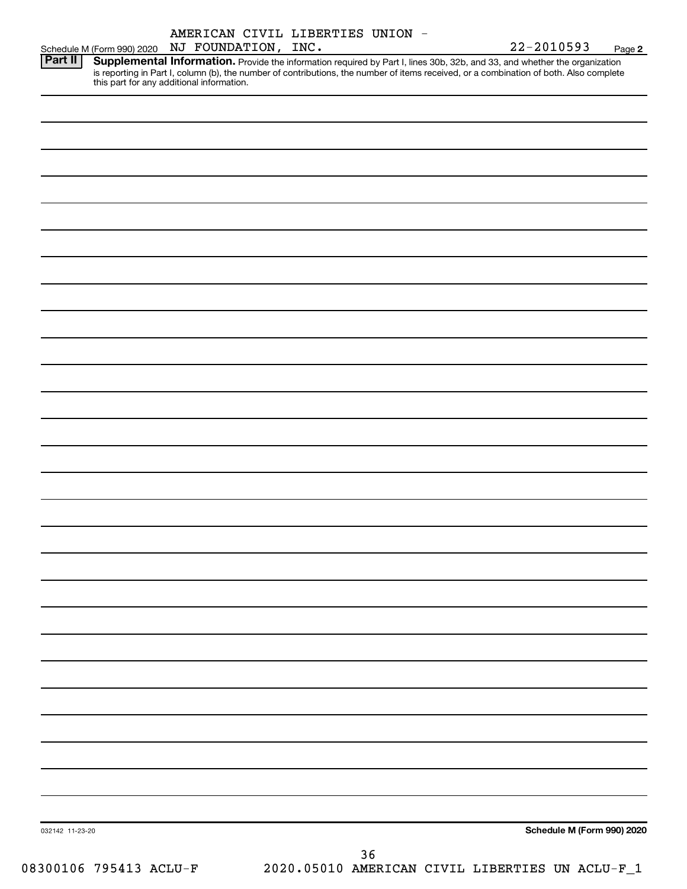|                                                                                                                                                                                                                                                                                                                              |  |  |                     | AMERICAN CIVIL LIBERTIES UNION |  |  |                |      |
|------------------------------------------------------------------------------------------------------------------------------------------------------------------------------------------------------------------------------------------------------------------------------------------------------------------------------|--|--|---------------------|--------------------------------|--|--|----------------|------|
| Schedule M (Form 990) 2020                                                                                                                                                                                                                                                                                                   |  |  | NJ FOUNDATION, INC. |                                |  |  | $22 - 2010593$ | Page |
| Part II<br>Supplemental Information. Provide the information required by Part I, lines 30b, 32b, and 33, and whether the organization<br>is reporting in Part I, column (b), the number of contributions, the number of items received, or a combination of both. Also complete<br>this part for any additional information. |  |  |                     |                                |  |  |                |      |
|                                                                                                                                                                                                                                                                                                                              |  |  |                     |                                |  |  |                |      |
|                                                                                                                                                                                                                                                                                                                              |  |  |                     |                                |  |  |                |      |

**2**

032142 11-23-20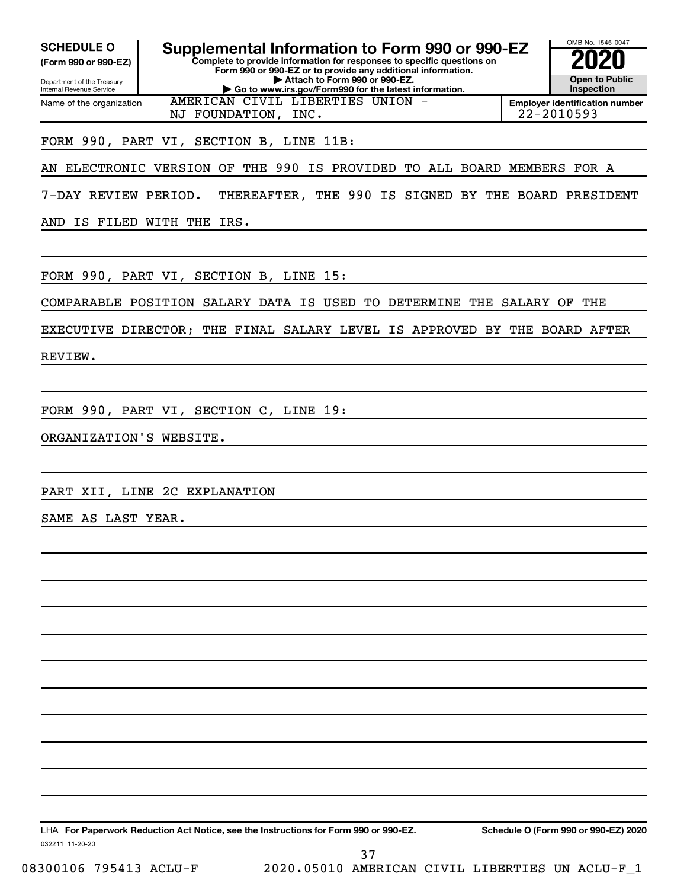| <b>SCHEDULE O</b><br>(Form 990 or 990-EZ)                     | Supplemental Information to Form 990 or 990-EZ<br>Complete to provide information for responses to specific questions on | OMB No. 1545-0047                     |
|---------------------------------------------------------------|--------------------------------------------------------------------------------------------------------------------------|---------------------------------------|
|                                                               | Form 990 or 990-EZ or to provide any additional information.                                                             |                                       |
| Department of the Treasury<br><b>Internal Revenue Service</b> | Attach to Form 990 or 990-EZ.<br>Go to www.irs.gov/Form990 for the latest information.                                   | <b>Open to Public</b><br>Inspection   |
| Name of the organization                                      | AMERICAN CIVIL LIBERTIES UNION -                                                                                         | <b>Employer identification number</b> |
|                                                               | NJ FOUNDATION, INC.                                                                                                      | 22-2010593                            |
|                                                               | FORM 990, PART VI, SECTION B, LINE 11B:                                                                                  |                                       |
| AN                                                            | THE 990 IS PROVIDED TO ALL BOARD MEMBERS FOR A<br>ELECTRONIC VERSION OF                                                  |                                       |
| 7-DAY REVIEW PERIOD.                                          | THEREAFTER, THE 990 IS SIGNED BY THE BOARD PRESIDENT                                                                     |                                       |
| IS FILED WITH THE<br>AND                                      | IRS.                                                                                                                     |                                       |
|                                                               | FORM 990, PART VI, SECTION B, LINE 15:                                                                                   |                                       |
|                                                               | COMPARABLE POSITION SALARY DATA IS USED TO DETERMINE THE SALARY OF THE                                                   |                                       |
|                                                               | EXECUTIVE DIRECTOR; THE FINAL SALARY LEVEL IS APPROVED BY                                                                | THE BOARD AFTER                       |
| REVIEW.                                                       |                                                                                                                          |                                       |
|                                                               | FORM 990, PART VI, SECTION C, LINE 19:                                                                                   |                                       |
| ORGANIZATION'S WEBSITE.                                       |                                                                                                                          |                                       |
|                                                               |                                                                                                                          |                                       |
|                                                               | PART XII, LINE 2C EXPLANATION                                                                                            |                                       |
| SAME AS LAST YEAR.                                            |                                                                                                                          |                                       |
|                                                               |                                                                                                                          |                                       |
|                                                               |                                                                                                                          |                                       |
|                                                               |                                                                                                                          |                                       |
|                                                               |                                                                                                                          |                                       |
|                                                               |                                                                                                                          |                                       |
|                                                               |                                                                                                                          |                                       |
|                                                               |                                                                                                                          |                                       |
|                                                               |                                                                                                                          |                                       |
|                                                               |                                                                                                                          |                                       |
|                                                               | LHA For Paperwork Reduction Act Notice, see the Instructions for Form 990 or 990-EZ.                                     | Schedule O (Form 990 or 990-EZ) 2020  |

032211 11-20-20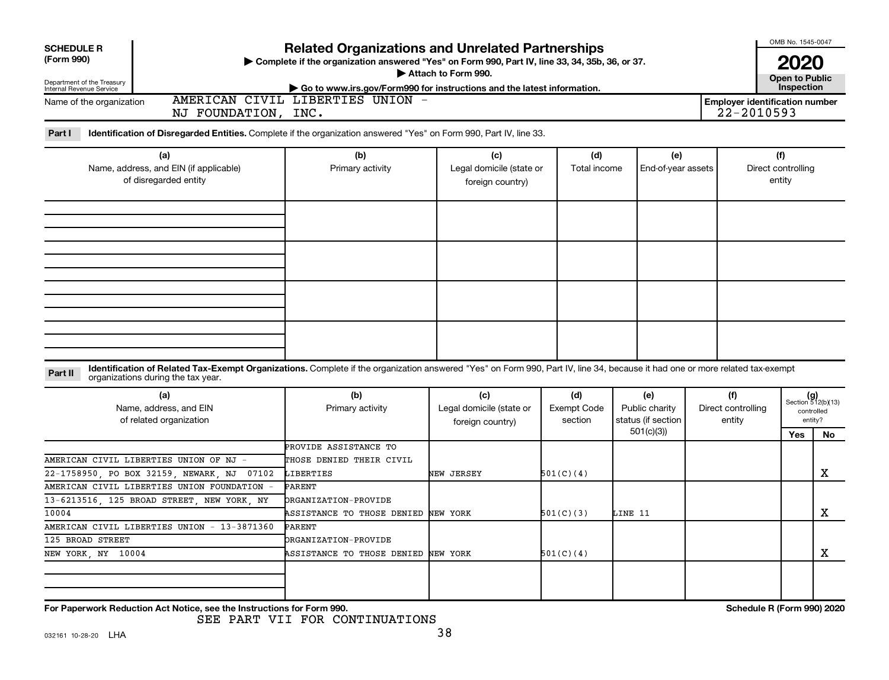| <b>SCHEDULE R</b><br>(Form 990)<br>Department of the Treasury                                                                                                                                                                 | <b>Related Organizations and Unrelated Partnerships</b><br>> Complete if the organization answered "Yes" on Form 990, Part IV, line 33, 34, 35b, 36, or 37. | Attach to Form 990.                                 |                                      |                                             |                                     |                                                     | OMB No. 1545-0047<br><b>2020</b><br><b>Open to Public</b><br>Inspection |    |
|-------------------------------------------------------------------------------------------------------------------------------------------------------------------------------------------------------------------------------|-------------------------------------------------------------------------------------------------------------------------------------------------------------|-----------------------------------------------------|--------------------------------------|---------------------------------------------|-------------------------------------|-----------------------------------------------------|-------------------------------------------------------------------------|----|
| Internal Revenue Service<br>Name of the organization<br>NJ FOUNDATION, INC.                                                                                                                                                   | Go to www.irs.gov/Form990 for instructions and the latest information.<br>AMERICAN CIVIL LIBERTIES UNION -                                                  |                                                     |                                      |                                             |                                     | <b>Employer identification number</b><br>22-2010593 |                                                                         |    |
| Part I<br>Identification of Disregarded Entities. Complete if the organization answered "Yes" on Form 990, Part IV, line 33.                                                                                                  |                                                                                                                                                             |                                                     |                                      |                                             |                                     |                                                     |                                                                         |    |
| (a)<br>Name, address, and EIN (if applicable)<br>of disregarded entity                                                                                                                                                        | (b)<br>Primary activity                                                                                                                                     | (c)<br>Legal domicile (state or<br>foreign country) | (d)<br>Total income                  | (e)<br>End-of-year assets                   |                                     |                                                     | (f)<br>Direct controlling<br>entity                                     |    |
|                                                                                                                                                                                                                               |                                                                                                                                                             |                                                     |                                      |                                             |                                     |                                                     |                                                                         |    |
|                                                                                                                                                                                                                               |                                                                                                                                                             |                                                     |                                      |                                             |                                     |                                                     |                                                                         |    |
|                                                                                                                                                                                                                               |                                                                                                                                                             |                                                     |                                      |                                             |                                     |                                                     |                                                                         |    |
| Identification of Related Tax-Exempt Organizations. Complete if the organization answered "Yes" on Form 990, Part IV, line 34, because it had one or more related tax-exempt<br>Part II<br>organizations during the tax year. |                                                                                                                                                             |                                                     |                                      |                                             |                                     |                                                     |                                                                         |    |
| (a)<br>Name, address, and EIN<br>of related organization                                                                                                                                                                      | (b)<br>Primary activity                                                                                                                                     | (c)<br>Legal domicile (state or<br>foreign country) | (d)<br><b>Exempt Code</b><br>section | (e)<br>Public charity<br>status (if section | (f)<br>Direct controlling<br>entity |                                                     | $(g)$<br>Section 512(b)(13)<br>controlled<br>entity?                    |    |
|                                                                                                                                                                                                                               |                                                                                                                                                             |                                                     |                                      | 501(c)(3)                                   |                                     |                                                     | Yes                                                                     | No |
| AMERICAN CIVIL LIBERTIES UNION OF NJ -<br>22-1758950, PO BOX 32159, NEWARK, NJ 07102                                                                                                                                          | PROVIDE ASSISTANCE TO<br>THOSE DENIED THEIR CIVIL<br>LIBERTIES                                                                                              | NEW JERSEY                                          | 501(C)(4)                            |                                             |                                     |                                                     |                                                                         | X  |
| AMERICAN CIVIL LIBERTIES UNION FOUNDATION<br>13-6213516, 125 BROAD STREET, NEW YORK, NY                                                                                                                                       | PARENT<br><b>DRGANIZATION-PROVIDE</b>                                                                                                                       |                                                     |                                      |                                             |                                     |                                                     |                                                                         |    |
| 10004                                                                                                                                                                                                                         | ASSISTANCE TO THOSE DENIED                                                                                                                                  | NEW YORK                                            | 501(C)(3)                            | LINE 11                                     |                                     |                                                     |                                                                         | X  |
| AMERICAN CIVIL LIBERTIES UNION - 13-3871360                                                                                                                                                                                   | <b>PARENT</b>                                                                                                                                               |                                                     |                                      |                                             |                                     |                                                     |                                                                         |    |
| 125 BROAD STREET<br>NEW YORK NY 10004                                                                                                                                                                                         | ORGANIZATION-PROVIDE<br>ASSISTANCE TO THOSE DENIED NEW YORK                                                                                                 |                                                     | 501(C)(4)                            |                                             |                                     |                                                     |                                                                         | Χ  |
|                                                                                                                                                                                                                               |                                                                                                                                                             |                                                     |                                      |                                             |                                     |                                                     |                                                                         |    |
| For Paperwork Reduction Act Notice, see the Instructions for Form 990.                                                                                                                                                        |                                                                                                                                                             |                                                     |                                      |                                             |                                     | Schedule R (Form 990) 2020                          |                                                                         |    |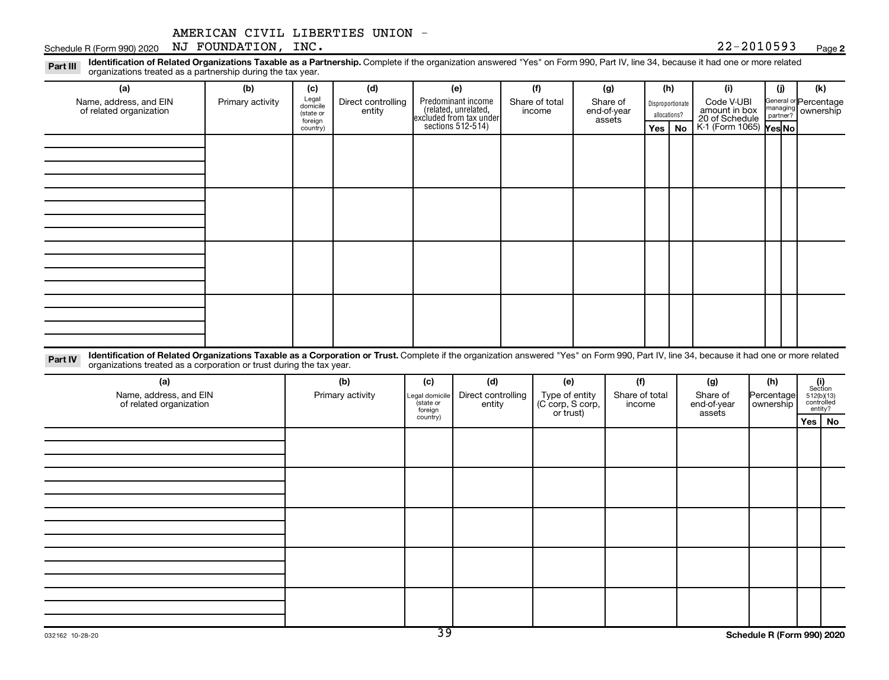#### **2**

Disproportionate allocations? Legal domicile (state or foreign country) General or Percentage managing partner? Part III Identification of Related Organizations Taxable as a Partnership. Complete if the organization answered "Yes" on Form 990, Part IV, line 34, because it had one or more related<br>Read to the organizations tracted as **(a) (b) (c) (d) (e) (f) (g) (h) (i) (j) (k) Yes No Yes No** K-1 (Form 1065) Predominant income (related, unrelated, excluded from tax under sections 512-514) Schedule R (Form 990) 2020 Page NJ FOUNDATION, INC. 22-2010593 organizations treated as a partnership during the tax year. Name, address, and EIN of related organization Primary activity  $\left| \begin{array}{c} \text{Legal} \\ \text{diamial} \end{array} \right|$  Direct controlling entity Share of total income Share of end-of-year assets Code V-UBI<br>amount in box 20 of Schedule ownership

Part IV Identification of Related Organizations Taxable as a Corporation or Trust. Complete if the organization answered "Yes" on Form 990, Part IV, line 34, because it had one or more related organizations treated as a corporation or trust during the tax year.

| (a)<br>Name, address, and EIN<br>of related organization | (b)<br>Primary activity | (c)<br>Legal domicile<br>state or<br>foreign | (d)<br>Direct controlling<br>entity | (e)<br>Type of entity<br>(C corp, S corp,<br>or trust) | (f)<br>Share of total<br>income | (g)<br>Share of<br>Percentage<br>end-of-year<br>ownership<br>assets |  | $\begin{array}{c} \textbf{(i)}\\ \text{Section}\\ 512 \text{(b)} \text{(13)}\\ \text{controlled} \\ \text{entity?} \end{array}$ |
|----------------------------------------------------------|-------------------------|----------------------------------------------|-------------------------------------|--------------------------------------------------------|---------------------------------|---------------------------------------------------------------------|--|---------------------------------------------------------------------------------------------------------------------------------|
|                                                          |                         | country)                                     |                                     |                                                        |                                 |                                                                     |  | Yes   No                                                                                                                        |
|                                                          |                         |                                              |                                     |                                                        |                                 |                                                                     |  |                                                                                                                                 |
|                                                          |                         |                                              |                                     |                                                        |                                 |                                                                     |  |                                                                                                                                 |
|                                                          |                         |                                              |                                     |                                                        |                                 |                                                                     |  |                                                                                                                                 |
|                                                          |                         |                                              |                                     |                                                        |                                 |                                                                     |  |                                                                                                                                 |
|                                                          |                         |                                              |                                     |                                                        |                                 |                                                                     |  |                                                                                                                                 |
|                                                          |                         |                                              |                                     |                                                        |                                 |                                                                     |  |                                                                                                                                 |
|                                                          |                         |                                              |                                     |                                                        |                                 |                                                                     |  |                                                                                                                                 |
|                                                          |                         |                                              |                                     |                                                        |                                 |                                                                     |  |                                                                                                                                 |
|                                                          |                         |                                              |                                     |                                                        |                                 |                                                                     |  |                                                                                                                                 |
|                                                          |                         |                                              |                                     |                                                        |                                 |                                                                     |  |                                                                                                                                 |
|                                                          |                         |                                              |                                     |                                                        |                                 |                                                                     |  |                                                                                                                                 |
|                                                          |                         |                                              |                                     |                                                        |                                 |                                                                     |  |                                                                                                                                 |
|                                                          |                         |                                              |                                     |                                                        |                                 |                                                                     |  |                                                                                                                                 |
|                                                          |                         |                                              |                                     |                                                        |                                 |                                                                     |  |                                                                                                                                 |
|                                                          |                         |                                              |                                     |                                                        |                                 |                                                                     |  |                                                                                                                                 |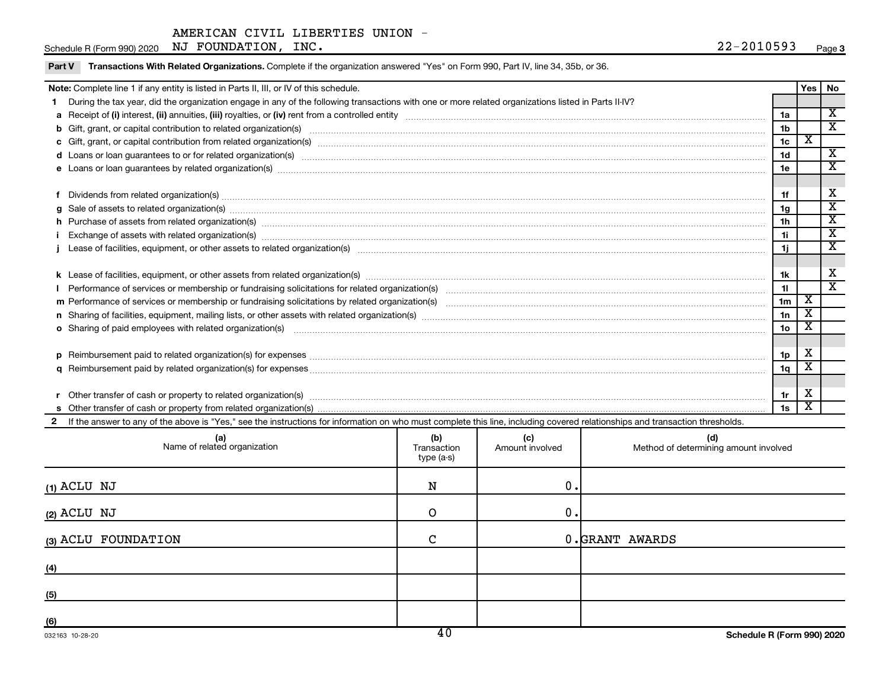| Part V Transactions With Related Organizations. Complete if the organization answered "Yes" on Form 990, Part IV, line 34, 35b, or 36. |  |  |
|----------------------------------------------------------------------------------------------------------------------------------------|--|--|
|                                                                                                                                        |  |  |

| Note: Complete line 1 if any entity is listed in Parts II, III, or IV of this schedule.                                                                                                                                        |                 | Yes   No |                             |
|--------------------------------------------------------------------------------------------------------------------------------------------------------------------------------------------------------------------------------|-----------------|----------|-----------------------------|
| During the tax year, did the organization engage in any of the following transactions with one or more related organizations listed in Parts II-IV?                                                                            |                 |          |                             |
|                                                                                                                                                                                                                                | 1a              |          | X                           |
| b Gift, grant, or capital contribution to related organization(s) manufaction contribution to related organization(s)                                                                                                          | 1 <sub>b</sub>  |          | $\overline{\textnormal{x}}$ |
|                                                                                                                                                                                                                                | 1 <sub>c</sub>  | х        |                             |
|                                                                                                                                                                                                                                | 1 <sub>d</sub>  |          | $\overline{\mathbf{X}}$     |
|                                                                                                                                                                                                                                | 1e              |          | X                           |
|                                                                                                                                                                                                                                |                 |          |                             |
| Dividends from related organization(s) manufacture contraction and contract and contract of the contract of the contract of the contract of the contract of the contract of the contract of the contract of the contract of th | 1f              |          | х                           |
| g Sale of assets to related organization(s) www.assettion.com/www.assettion.com/www.assettion.com/www.assettion.com/www.assettion.com/www.assettion.com/www.assettion.com/www.assettion.com/www.assettion.com/www.assettion.co | 1g              |          | х                           |
| h Purchase of assets from related organization(s) manufactured and content to content the content of assets from related organization(s)                                                                                       | 1 <sub>h</sub>  |          | $\overline{\textbf{x}}$     |
|                                                                                                                                                                                                                                | 1i.             |          | $\overline{\mathbf{x}}$     |
|                                                                                                                                                                                                                                | 1j              |          | X                           |
|                                                                                                                                                                                                                                |                 |          |                             |
|                                                                                                                                                                                                                                | 1k              |          | X                           |
|                                                                                                                                                                                                                                | 11              |          | $\overline{\textnormal{x}}$ |
|                                                                                                                                                                                                                                | 1 <sub>m</sub>  | X        |                             |
| n Sharing of facilities, equipment, mailing lists, or other assets with related organization(s) [11] Sharing content assets with related organization(s) [11] Sharing contents and the state of facilities, equipment, mailing | 1n              | X        |                             |
| <b>o</b> Sharing of paid employees with related organization(s)                                                                                                                                                                | 10 <sub>o</sub> |          |                             |
|                                                                                                                                                                                                                                |                 |          |                             |
|                                                                                                                                                                                                                                | 1p              | х        |                             |
|                                                                                                                                                                                                                                | 1q              | X        |                             |
|                                                                                                                                                                                                                                |                 |          |                             |
| Other transfer of cash or property to related organization(s) COLOGO CONSERVITY OF A CONSERVITY OF A CONSERVITY OF A CONSERVITY OF A CONSERVITY OF A CONSERVITY OF A CONSERVITY OF A CONSERVITY OF A CONSERVITY OF A CONSERVIT | 1r              | х        |                             |
|                                                                                                                                                                                                                                | 1s              | x        |                             |
| If the answer to any of the above is "Yes," see the instructions for information on who must complete this line, including covered relationships and transaction thresholds.                                                   |                 |          |                             |

| (a)<br>Name of related organization | (b)<br>Transaction<br>type (a-s) | (c)<br>Amount involved | (d)<br>Method of determining amount involved |
|-------------------------------------|----------------------------------|------------------------|----------------------------------------------|
| $(1)$ ACLU NJ                       | N                                | 0.                     |                                              |
| (2) ACLU NJ                         | O                                | 0.                     |                                              |
| (3) ACLU FOUNDATION                 | $\mathsf{C}$                     |                        | 0.GRANT AWARDS                               |
| (4)                                 |                                  |                        |                                              |
| (5)                                 |                                  |                        |                                              |
| (6)                                 | $\overline{10}$                  |                        |                                              |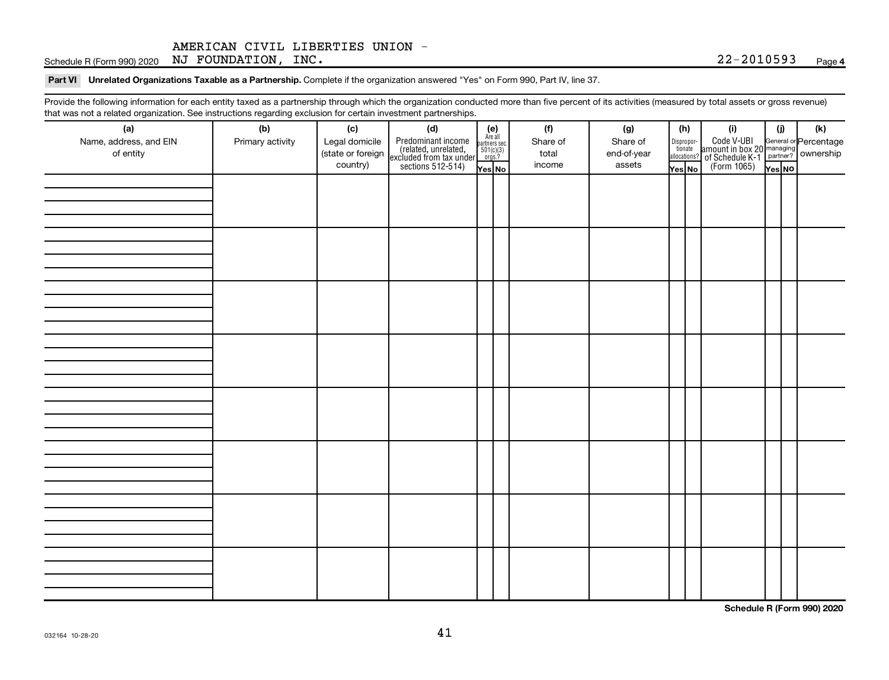Schedule R (Form 990) 2020 Page NJ FOUNDATION, INC. 22-2010593

Part VI Unrelated Organizations Taxable as a Partnership. Complete if the organization answered "Yes" on Form 990, Part IV, line 37.

Provide the following information for each entity taxed as a partnership through which the organization conducted more than five percent of its activities (measured by total assets or gross revenue) that was not a related organization. See instructions regarding exclusion for certain investment partnerships.

| mat mac not a rolated organization. Oce included by regarding exercision for contain invectment partneremper<br>(a)<br>Name, address, and EIN<br>of entity | (b)<br>Primary activity | (c)<br>Legal domicile<br>(state or foreign<br>country) | (d)<br>Predominant income<br>(related, unrelated,<br>excluded from tax under<br>sections 512-514) | (e)<br>Are all<br>partners sec.<br>$501(c)(3)$<br>orgs.? | (f)<br>Share of<br>total<br>income | (g)<br>Share of<br>end-of-year<br>assets | (h)<br>Disproportionate<br>allocations? | (i)<br>Code V-UBI<br>amount in box 20 managing<br>of Schedule K-1<br>(Form 1065)<br>$\overline{Y}_{res}$ No | (i)    | (k) |
|------------------------------------------------------------------------------------------------------------------------------------------------------------|-------------------------|--------------------------------------------------------|---------------------------------------------------------------------------------------------------|----------------------------------------------------------|------------------------------------|------------------------------------------|-----------------------------------------|-------------------------------------------------------------------------------------------------------------|--------|-----|
|                                                                                                                                                            |                         |                                                        |                                                                                                   | Yes No                                                   |                                    |                                          | Yes No                                  |                                                                                                             | Yes NO |     |
|                                                                                                                                                            |                         |                                                        |                                                                                                   |                                                          |                                    |                                          |                                         |                                                                                                             |        |     |
|                                                                                                                                                            |                         |                                                        |                                                                                                   |                                                          |                                    |                                          |                                         |                                                                                                             |        |     |
|                                                                                                                                                            |                         |                                                        |                                                                                                   |                                                          |                                    |                                          |                                         |                                                                                                             |        |     |
|                                                                                                                                                            |                         |                                                        |                                                                                                   |                                                          |                                    |                                          |                                         |                                                                                                             |        |     |
|                                                                                                                                                            |                         |                                                        |                                                                                                   |                                                          |                                    |                                          |                                         |                                                                                                             |        |     |
|                                                                                                                                                            |                         |                                                        |                                                                                                   |                                                          |                                    |                                          |                                         |                                                                                                             |        |     |
|                                                                                                                                                            |                         |                                                        |                                                                                                   |                                                          |                                    |                                          |                                         |                                                                                                             |        |     |

**Schedule R (Form 990) 2020**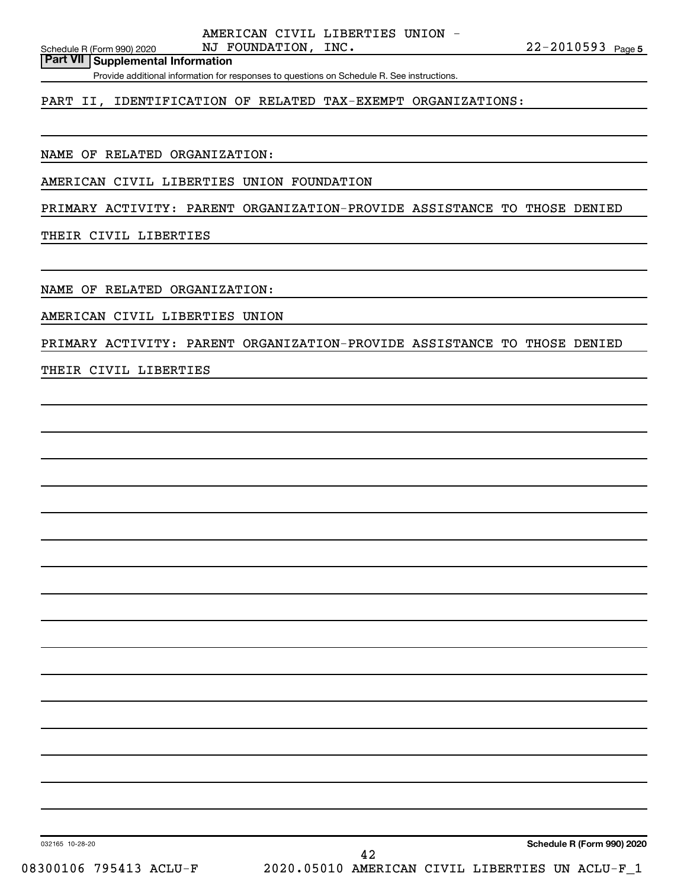**Part VII Supplemental Information**

Provide additional information for responses to questions on Schedule R. See instructions.

PART II, IDENTIFICATION OF RELATED TAX-EXEMPT ORGANIZATIONS:

NAME OF RELATED ORGANIZATION:

AMERICAN CIVIL LIBERTIES UNION FOUNDATION

PRIMARY ACTIVITY: PARENT ORGANIZATION-PROVIDE ASSISTANCE TO THOSE DENIED

THEIR CIVIL LIBERTIES

NAME OF RELATED ORGANIZATION:

AMERICAN CIVIL LIBERTIES UNION

PRIMARY ACTIVITY: PARENT ORGANIZATION-PROVIDE ASSISTANCE TO THOSE DENIED

THEIR CIVIL LIBERTIES

**Schedule R (Form 990) 2020**

032165 10-28-20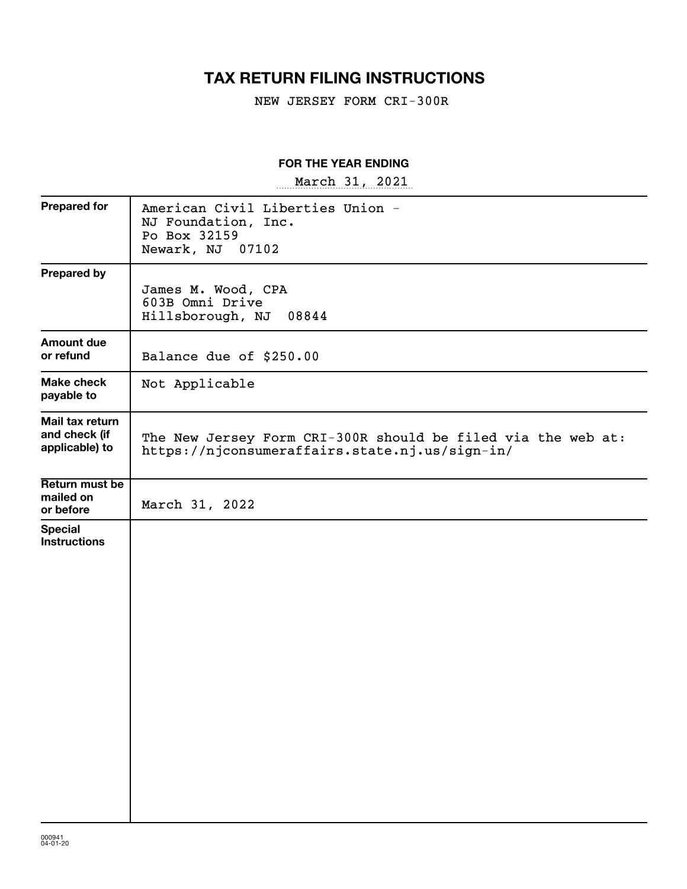# **TAX RETURN FILING INSTRUCTIONS**

NEW JERSEY FORM CRI-300R

# **FOR THE YEAR ENDING**

~~~~~~~~~~~~~~~~~ March 31, 2021

| <b>Prepared for</b>                                | American Civil Liberties Union -<br>NJ Foundation, Inc.<br>Po Box 32159<br>Newark, NJ<br>07102                 |
|----------------------------------------------------|----------------------------------------------------------------------------------------------------------------|
| <b>Prepared by</b>                                 | James M. Wood, CPA<br>603B Omni Drive<br>Hillsborough, NJ<br>08844                                             |
| <b>Amount due</b><br>or refund                     | Balance due of \$250.00                                                                                        |
| <b>Make check</b><br>payable to                    | Not Applicable                                                                                                 |
| Mail tax return<br>and check (if<br>applicable) to | The New Jersey Form CRI-300R should be filed via the web at:<br>https://njconsumeraffairs.state.nj.us/sign-in/ |
| Return must be<br>mailed on<br>or before           | March 31, 2022                                                                                                 |
| <b>Special</b><br><b>Instructions</b>              |                                                                                                                |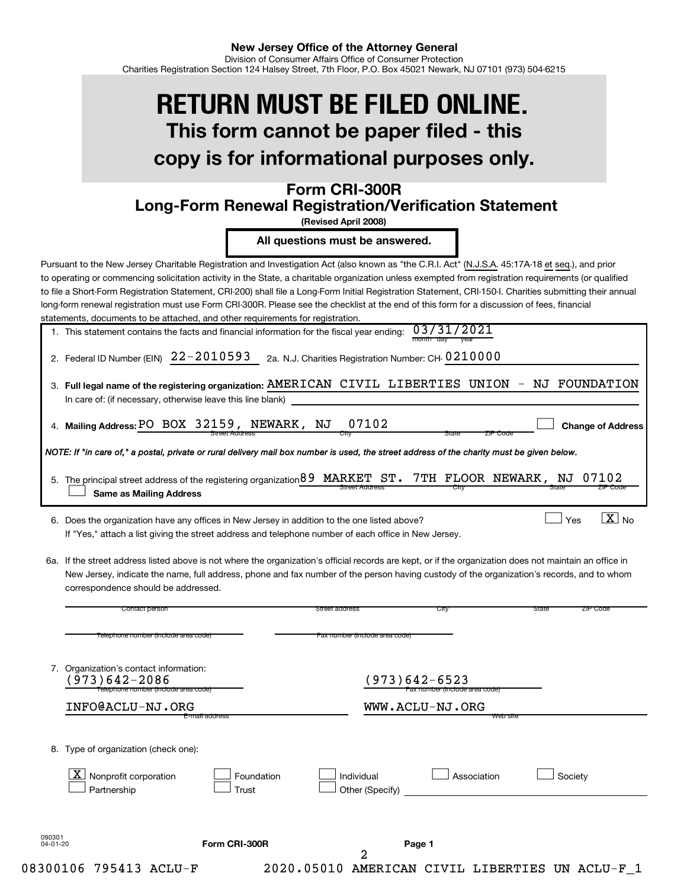# **This form cannot be paper filed - this copy is for informational purposes only. RETURN MUST BE FILED ONLINE.**

# **Form CRI-300R Long-Form Renewal Registration/Verification Statement**

**(Revised April 2008)**

**All questions must be answered.**

Pursuant to the New Jersey Charitable Registration and Investigation Act (also known as "the C.R.I. Act" (N.J.S.A. 45:17A-18 et seq.), and prior to operating or commencing solicitation activity in the State, a charitable organization unless exempted from registration requirements (or qualified to file a Short-Form Registration Statement, CRI-200) shall file a Long-Form Initial Registration Statement, CRI-150-I. Charities submitting their annual long-form renewal registration must use Form CRI-300R. Please see the checklist at the end of this form for a discussion of fees, financial statements, documents to be attached, and other requirements for registration.

| 1. This statement contains the facts and financial information for the fiscal year ending: $03/31/2021$ |                |
|---------------------------------------------------------------------------------------------------------|----------------|
|                                                                                                         | month day year |

|  | 2. Federal ID Number (EIN) $22 - 2010593$ 2a. N.J. Charities Registration Number: CH-0210000 |
|--|----------------------------------------------------------------------------------------------|
|--|----------------------------------------------------------------------------------------------|

| 3. Full legal name of the registering organization: AMERICAN CIVIL LIBERTIES UNION - NJ FOUNDATION |  |  |  |
|----------------------------------------------------------------------------------------------------|--|--|--|
| In care of: (if necessary, otherwise leave this line blank)                                        |  |  |  |
|                                                                                                    |  |  |  |

**Mailing Address: Change of Address**

 $\boxed{\text{X}}$  No

 $\Box$ 

 $\exists$  Yes

| 4. Mailing Address: PO BOX 32159, NEWARK, NJ 07102 |                |  |      |
|----------------------------------------------------|----------------|--|------|
|                                                    | Street Address |  | JItV |

*NOTE: If "in care of," a postal, private or rural delivery mail box number is used, the street address of the charity must be given below.*

| 5. The principal street address of the registering organization 89 MARKET ST. 7TH FLOOR NEWARK, NJ 07102 |                       |       |          |
|----------------------------------------------------------------------------------------------------------|-----------------------|-------|----------|
| Same as Mailing Address                                                                                  | <b>Street Address</b> | State | ZIP CODE |

6. Does the organization have any offices in New Jersey in addition to the one listed above? Note  $\Box$  Yes Note  $\Box$  Yes Yes Note 1 If "Yes," attach a list giving the street address and telephone number of each office in New Jersey.

6a. If the street address listed above is not where the organization's official records are kept, or if the organization does not maintain an office in New Jersey, indicate the name, full address, phone and fax number of the person having custody of the organization's records, and to whom correspondence should be addressed.

|                | Contact person                                                                                     |                     | Street address                 | City                                            | State<br>ZIP Code |
|----------------|----------------------------------------------------------------------------------------------------|---------------------|--------------------------------|-------------------------------------------------|-------------------|
|                | Telephone number (include area code)                                                               |                     | Fax number (include area code) |                                                 |                   |
|                | 7. Organization's contact information:<br>$973)642 - 2086$<br>Telephone number (include area code) |                     |                                | (973)642-6523<br>Fax number (include area code) |                   |
|                | INFO@ACLU-NJ.ORG                                                                                   |                     |                                | WWW.ACLU-NJ.ORG                                 |                   |
| 8.             | Type of organization (check one):<br>$\mathbf{X}$<br>Nonprofit corporation<br>Partnership          | Foundation<br>Trust | Individual<br>Other (Specify)  | Association                                     | Society           |
| 090301         |                                                                                                    |                     |                                |                                                 |                   |
| $04 - 01 - 20$ |                                                                                                    | Form CRI-300R       | 2                              | Page 1                                          |                   |
|                | 08300106 795413 ACLU-F                                                                             | 2020.05010          | AMERICAN                       | CIVIL LIBERTIES                                 | UN ACLU-F         |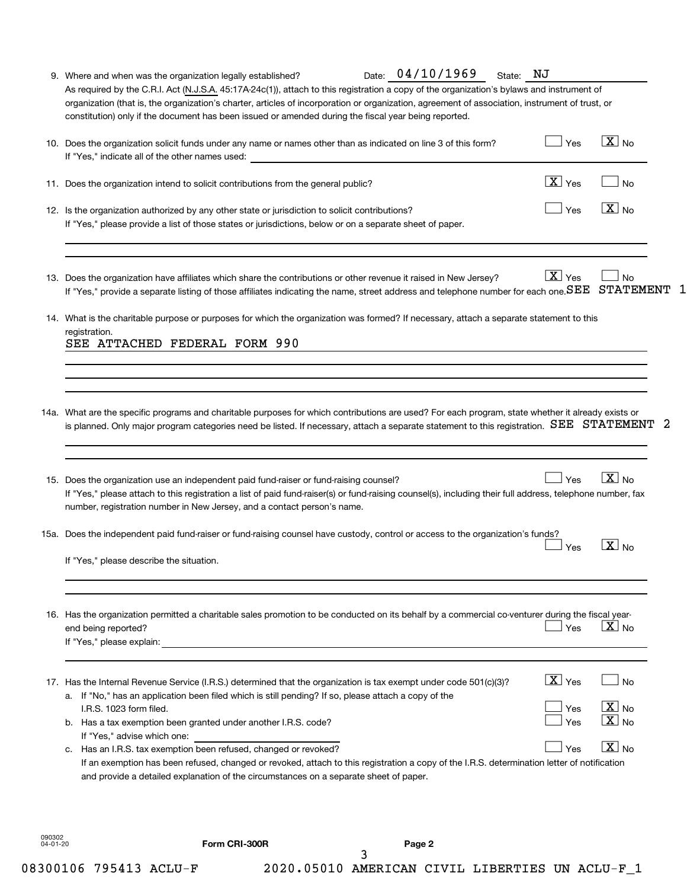| If "Yes," indicate all of the other names used:<br>11. Does the organization intend to solicit contributions from the general public?<br>12. Is the organization authorized by any other state or jurisdiction to solicit contributions?                                                                                                                                                                                                                                                                                                                                                                                                                              | $\boxed{\text{X}}$ Yes<br>Yes                        | <b>No</b><br>$\boxed{\text{X}}$ No                                   |
|-----------------------------------------------------------------------------------------------------------------------------------------------------------------------------------------------------------------------------------------------------------------------------------------------------------------------------------------------------------------------------------------------------------------------------------------------------------------------------------------------------------------------------------------------------------------------------------------------------------------------------------------------------------------------|------------------------------------------------------|----------------------------------------------------------------------|
| If "Yes," please provide a list of those states or jurisdictions, below or on a separate sheet of paper.                                                                                                                                                                                                                                                                                                                                                                                                                                                                                                                                                              |                                                      |                                                                      |
| 13. Does the organization have affiliates which share the contributions or other revenue it raised in New Jersey?<br>If "Yes," provide a separate listing of those affiliates indicating the name, street address and telephone number for each one. SEE STATEMENT                                                                                                                                                                                                                                                                                                                                                                                                    | $\boxed{\text{X}}$ Yes                               | No<br>1                                                              |
| 14. What is the charitable purpose or purposes for which the organization was formed? If necessary, attach a separate statement to this<br>registration.<br>SEE ATTACHED FEDERAL FORM 990                                                                                                                                                                                                                                                                                                                                                                                                                                                                             |                                                      |                                                                      |
| 14a. What are the specific programs and charitable purposes for which contributions are used? For each program, state whether it already exists or<br>is planned. Only major program categories need be listed. If necessary, attach a separate statement to this registration. SEE STATEMENT                                                                                                                                                                                                                                                                                                                                                                         |                                                      | -2                                                                   |
| 15. Does the organization use an independent paid fund-raiser or fund-raising counsel?<br>If "Yes," please attach to this registration a list of paid fund-raiser(s) or fund-raising counsel(s), including their full address, telephone number, fax<br>number, registration number in New Jersey, and a contact person's name.                                                                                                                                                                                                                                                                                                                                       | Yes                                                  | $\boxed{\text{X}}$ No                                                |
| 15a. Does the independent paid fund-raiser or fund-raising counsel have custody, control or access to the organization's funds?<br>If "Yes." please describe the situation.                                                                                                                                                                                                                                                                                                                                                                                                                                                                                           | Yes                                                  | $\overline{X}$ No                                                    |
| 16. Has the organization permitted a charitable sales promotion to be conducted on its behalf by a commercial co-venturer during the fiscal year-<br>end being reported?<br>If "Yes," please explain: We have a state of the state of the state of the state of the state of the state of the state of the state of the state of the state of the state of the state of the state of the state of the stat                                                                                                                                                                                                                                                            | Yes                                                  | $\mathbf{X}$ No                                                      |
| 17. Has the Internal Revenue Service (I.R.S.) determined that the organization is tax exempt under code 501(c)(3)?<br>a. If "No," has an application been filed which is still pending? If so, please attach a copy of the<br>I.R.S. 1023 form filed.<br>b. Has a tax exemption been granted under another I.R.S. code?<br>If "Yes," advise which one:<br>Has an I.R.S. tax exemption been refused, changed or revoked?<br>C.<br>If an exemption has been refused, changed or revoked, attach to this registration a copy of the I.R.S. determination letter of notification<br>and provide a detailed explanation of the circumstances on a separate sheet of paper. | $\boxed{\mathbf{X}}$ Yes<br>Yes<br><b>Yes</b><br>Yes | <b>No</b><br>$\boxed{\text{X}}$ No<br>$X _{No}$<br>$\overline{X}$ No |
|                                                                                                                                                                                                                                                                                                                                                                                                                                                                                                                                                                                                                                                                       |                                                      |                                                                      |

|--|--|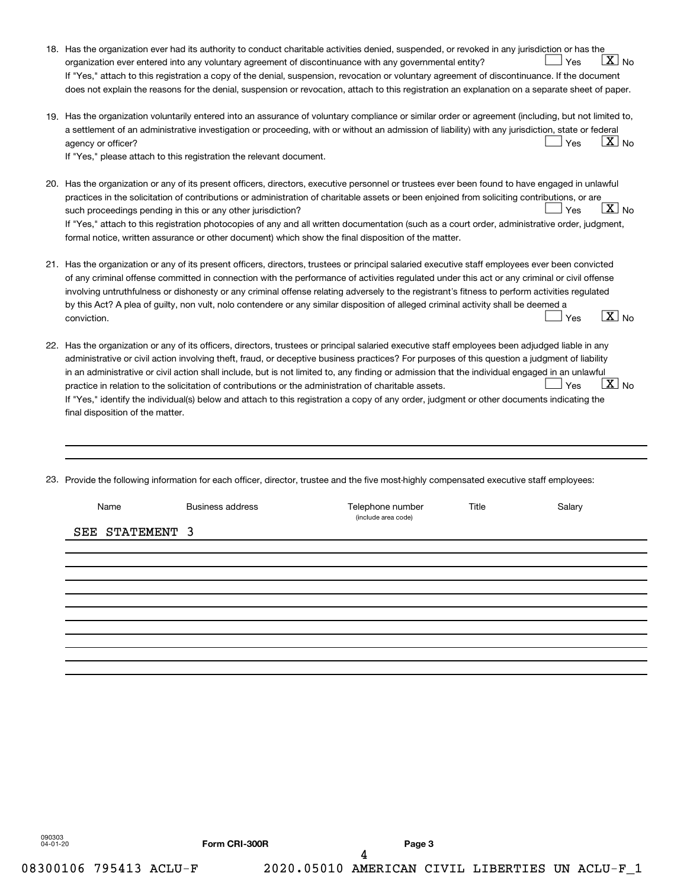|     | 18. Has the organization ever had its authority to conduct charitable activities denied, suspended, or revoked in any jurisdiction or has the<br>$ \underline{X} $ No<br>Yes<br>organization ever entered into any voluntary agreement of discontinuance with any governmental entity?<br>If "Yes," attach to this registration a copy of the denial, suspension, revocation or voluntary agreement of discontinuance. If the document                                                                                                                                                                                                                                                                                                                                         |
|-----|--------------------------------------------------------------------------------------------------------------------------------------------------------------------------------------------------------------------------------------------------------------------------------------------------------------------------------------------------------------------------------------------------------------------------------------------------------------------------------------------------------------------------------------------------------------------------------------------------------------------------------------------------------------------------------------------------------------------------------------------------------------------------------|
|     | does not explain the reasons for the denial, suspension or revocation, attach to this registration an explanation on a separate sheet of paper.                                                                                                                                                                                                                                                                                                                                                                                                                                                                                                                                                                                                                                |
|     | 19. Has the organization voluntarily entered into an assurance of voluntary compliance or similar order or agreement (including, but not limited to,<br>a settlement of an administrative investigation or proceeding, with or without an admission of liability) with any jurisdiction, state or federal<br>$ X _{\sf No}$<br>Yes<br>agency or officer?<br>If "Yes," please attach to this registration the relevant document.                                                                                                                                                                                                                                                                                                                                                |
|     | 20. Has the organization or any of its present officers, directors, executive personnel or trustees ever been found to have engaged in unlawful<br>practices in the solicitation of contributions or administration of charitable assets or been enjoined from soliciting contributions, or are<br>$\lfloor x \rfloor$ No<br>Yes<br>such proceedings pending in this or any other jurisdiction?<br>If "Yes," attach to this registration photocopies of any and all written documentation (such as a court order, administrative order, judgment,<br>formal notice, written assurance or other document) which show the final disposition of the matter.                                                                                                                       |
| 21. | Has the organization or any of its present officers, directors, trustees or principal salaried executive staff employees ever been convicted<br>of any criminal offense committed in connection with the performance of activities regulated under this act or any criminal or civil offense<br>involving untruthfulness or dishonesty or any criminal offense relating adversely to the registrant's fitness to perform activities regulated<br>by this Act? A plea of guilty, non vult, nolo contendere or any similar disposition of alleged criminal activity shall be deemed a<br>$\boxed{\text{X}}$ No<br>Yes<br>conviction.                                                                                                                                             |
|     | 22. Has the organization or any of its officers, directors, trustees or principal salaried executive staff employees been adjudged liable in any<br>administrative or civil action involving theft, fraud, or deceptive business practices? For purposes of this question a judgment of liability<br>in an administrative or civil action shall include, but is not limited to, any finding or admission that the individual engaged in an unlawful<br>$\boxed{\text{X}}$ No<br>Yes<br>practice in relation to the solicitation of contributions or the administration of charitable assets.<br>If "Yes," identify the individual(s) below and attach to this registration a copy of any order, judgment or other documents indicating the<br>final disposition of the matter. |

23. Provide the following information for each officer, director, trustee and the five most-highly compensated executive staff employees:

| Name            | <b>Business address</b> | Telephone number<br>(include area code) | Title | Salary |
|-----------------|-------------------------|-----------------------------------------|-------|--------|
| SEE STATEMENT 3 |                         |                                         |       |        |
|                 |                         |                                         |       |        |
|                 |                         |                                         |       |        |
|                 |                         |                                         |       |        |
|                 |                         |                                         |       |        |
|                 |                         |                                         |       |        |
|                 |                         |                                         |       |        |
|                 |                         |                                         |       |        |
|                 |                         |                                         |       |        |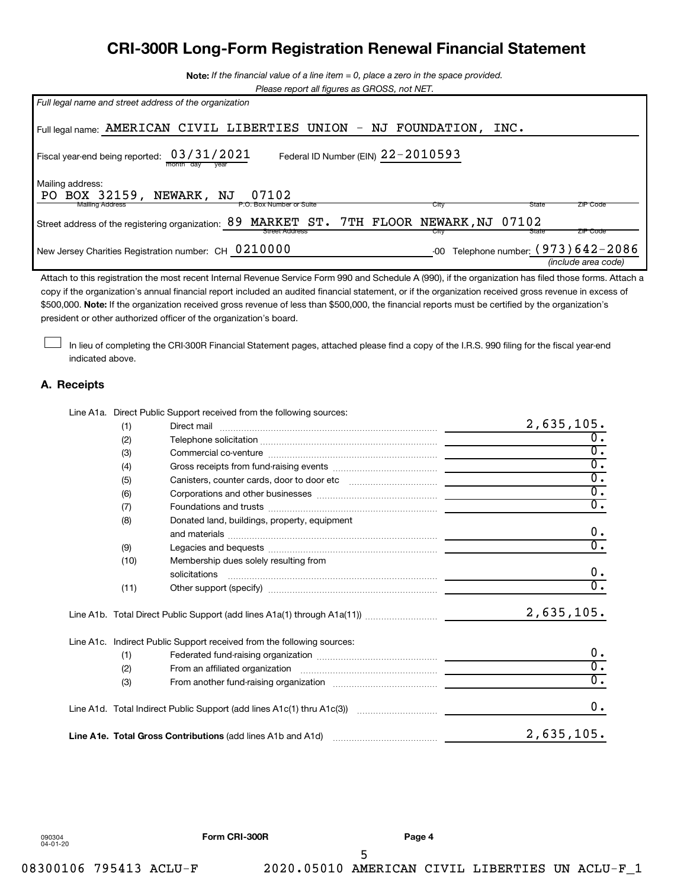# **CRI-300R Long-Form Registration Renewal Financial Statement**

**Note:**  *If the financial value of a line item = 0, place a zero in the space provided.*

*Please report all figures as GROSS, not NET.*

| Full legal name and street address of the organization                                               |  |  |
|------------------------------------------------------------------------------------------------------|--|--|
| Full legal name: AMERICAN CIVIL LIBERTIES UNION - NJ FOUNDATION,<br>INC.                             |  |  |
| 03/31/2021<br>Federal ID Number (EIN) $22 - 2010593$<br>Fiscal year-end being reported:<br>montn     |  |  |
| Mailing address:<br>BOX 32159, NEWARK, NJ<br>07102<br>PO.                                            |  |  |
| <b>Mailing Address</b><br>State<br>ZIP Code<br>P.O. Box Number or Suite<br>City                      |  |  |
| MARKET ST. 7TH FLOOR NEWARK, NJ 07102<br>89<br>Street address of the registering organization:       |  |  |
| <b>ZIP Code</b><br>Street Address<br>State<br>City                                                   |  |  |
| Telephone number: $(973)642 - 2086$<br>New Jersey Charities Registration number: CH 0210000<br>$-00$ |  |  |
| (include area code)                                                                                  |  |  |

\$500,000. Note: If the organization received gross revenue of less than \$500,000, the financial reports must be certified by the organization's Attach to this registration the most recent Internal Revenue Service Form 990 and Schedule A (990), if the organization has filed those forms. Attach a copy if the organization's annual financial report included an audited financial statement, or if the organization received gross revenue in excess of president or other authorized officer of the organization's board.

In lieu of completing the CRI-300R Financial Statement pages, attached please find a copy of the I.R.S. 990 filing for the fiscal year-end indicated above.

#### **A. Receipts**

 $\Box$ 

Line A1a. Direct Public Support received from the following sources:

| (1)  |                                                                                                    | 2,635,105.       |
|------|----------------------------------------------------------------------------------------------------|------------------|
| (2)  |                                                                                                    | $\overline{0}$ . |
| (3)  |                                                                                                    | $\overline{0}$ . |
| (4)  |                                                                                                    | $\overline{0}$ . |
| (5)  |                                                                                                    | $\overline{0}$ . |
| (6)  |                                                                                                    | $\overline{0}$ . |
| (7)  |                                                                                                    | $\overline{0}$ . |
| (8)  | Donated land, buildings, property, equipment                                                       | 0.               |
| (9)  |                                                                                                    | $\overline{0}$ . |
| (10) | Membership dues solely resulting from<br>solicitations                                             | $0$ .            |
| (11) |                                                                                                    | $\overline{0}$ . |
|      |                                                                                                    | 2,635,105.       |
|      | Line A1c. Indirect Public Support received from the following sources:                             |                  |
| (1)  |                                                                                                    | 0.               |
| (2)  |                                                                                                    | $\overline{0}$ . |
| (3)  |                                                                                                    | $\overline{0}$ . |
|      | Line A1d.   Total Indirect Public Support (add lines A1c(1) thru A1c(3)) …………………………  _____________ | 0.               |
|      | Line A1e. Total Gross Contributions (add lines A1b and A1d)                                        | 2,635,105.       |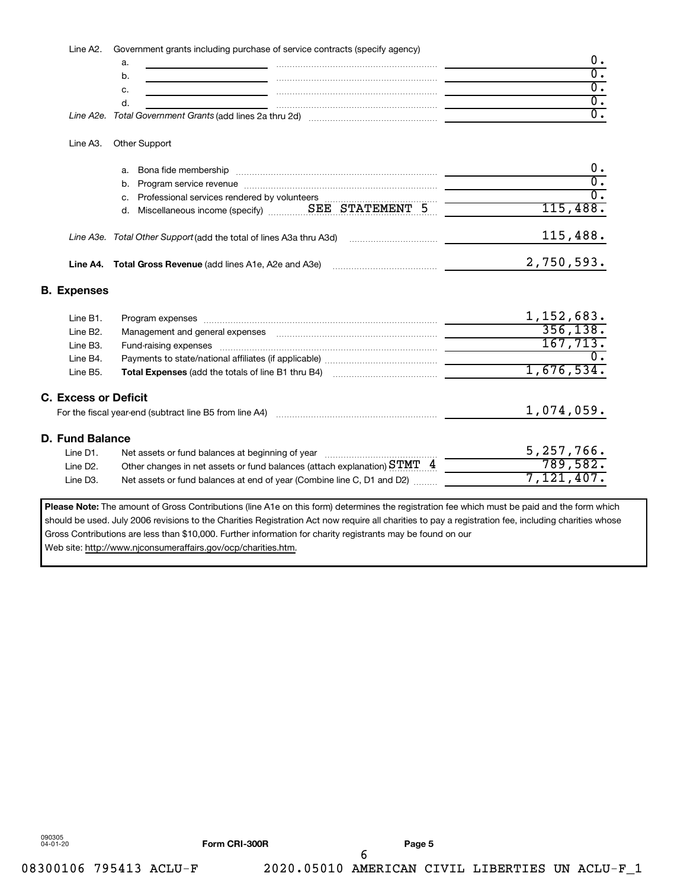Line A2. Government grants including purchase of service contracts (specify agency)

| Line A2e. Total Government Grants (add lines 2a thru 2d) |  |
|----------------------------------------------------------|--|

#### Line A3. Other Support

| а. | Bona fide membership                                                |  |            |
|----|---------------------------------------------------------------------|--|------------|
|    | b. Program service revenue                                          |  |            |
|    | c. Professional services rendered by volunteers                     |  |            |
|    |                                                                     |  | 115,488.   |
|    | Line A3e. Total Other Support (add the total of lines A3a thru A3d) |  | 115,488.   |
|    | Line A4. Total Gross Revenue (add lines A1e, A2e and A3e)           |  | 2,750,593. |

#### **B. Expenses**

|          | Line B1.<br>Program expenses [111] March 1999 March 1999 March 1999 March 1999 March 1999 March 1999 March 1999 March 1999 March 1999 March 1999 March 1999 March 1999 March 1999 March 1999 March 1999 March 1999 March 1999 March 1999 M | 1, 152, 683. |
|----------|--------------------------------------------------------------------------------------------------------------------------------------------------------------------------------------------------------------------------------------------|--------------|
| Line B2. |                                                                                                                                                                                                                                            | 356, 138.    |
| Line B3. |                                                                                                                                                                                                                                            | 167,713.     |
| Line B4. |                                                                                                                                                                                                                                            |              |
| Line B5. |                                                                                                                                                                                                                                            | 1,676,534.   |
|          | <b>C. Excess or Deficit</b><br>For the fiscal year-end (subtract line B5 from line A4)                                                                                                                                                     | 1,074,059.   |
|          | D. Fund Balance                                                                                                                                                                                                                            |              |
| Line D1. | Net assets or fund balances at beginning of year                                                                                                                                                                                           | 5, 257, 766. |
| Line D2. | Other changes in net assets or fund balances (attach explanation) $STMT \quad 4$                                                                                                                                                           | 789,582.     |
| Line D3. | Net assets or fund balances at end of year (Combine line C, D1 and D2)                                                                                                                                                                     | 7,121,407.   |
|          |                                                                                                                                                                                                                                            |              |

Please Note: The amount of Gross Contributions (line A1e on this form) determines the registration fee which must be paid and the form which should be used. July 2006 revisions to the Charities Registration Act now require all charities to pay a registration fee, including charities whose Gross Contributions are less than \$10,000. Further information for charity registrants may be found on our Web site: http://www.njconsumeraffairs.gov/ocp/charities.htm.

090305 04-01-20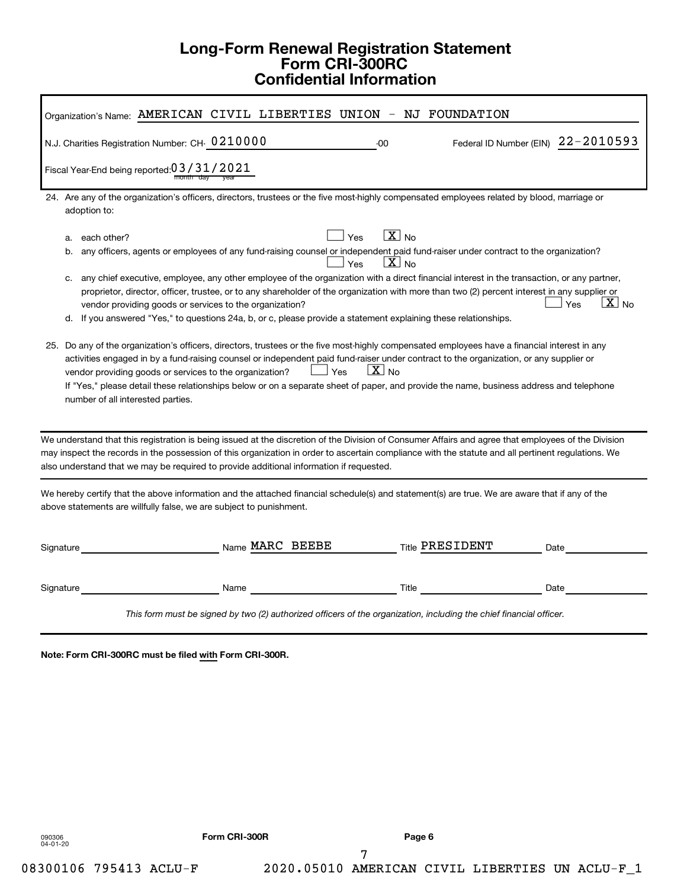# **Long-Form Renewal Registration Statement Form CRI-300RC Confidential Information**

| Organization's Name: AMERICAN CIVIL LIBERTIES UNION - NJ FOUNDATION                                                                                                                                                                                                                                                                                                                                                                                                                                                                                                                                                                                                                                                                                                                                                                                                                                                                                                                                                                                                                                                                                                                                                                                                                           |
|-----------------------------------------------------------------------------------------------------------------------------------------------------------------------------------------------------------------------------------------------------------------------------------------------------------------------------------------------------------------------------------------------------------------------------------------------------------------------------------------------------------------------------------------------------------------------------------------------------------------------------------------------------------------------------------------------------------------------------------------------------------------------------------------------------------------------------------------------------------------------------------------------------------------------------------------------------------------------------------------------------------------------------------------------------------------------------------------------------------------------------------------------------------------------------------------------------------------------------------------------------------------------------------------------|
| Federal ID Number (EIN) 22-2010593<br>N.J. Charities Registration Number: CH- 0210000<br>$-00$                                                                                                                                                                                                                                                                                                                                                                                                                                                                                                                                                                                                                                                                                                                                                                                                                                                                                                                                                                                                                                                                                                                                                                                                |
| Fiscal Year-End being reported: 0 3 / 3 1 / 2 0 2 1                                                                                                                                                                                                                                                                                                                                                                                                                                                                                                                                                                                                                                                                                                                                                                                                                                                                                                                                                                                                                                                                                                                                                                                                                                           |
| 24. Are any of the organization's officers, directors, trustees or the five most-highly compensated employees related by blood, marriage or<br>adoption to:                                                                                                                                                                                                                                                                                                                                                                                                                                                                                                                                                                                                                                                                                                                                                                                                                                                                                                                                                                                                                                                                                                                                   |
| $X_{\text{No}}$<br>Yes<br>each other?<br>a.<br>any officers, agents or employees of any fund-raising counsel or independent paid fund-raiser under contract to the organization?<br>b.<br>$X_{N0}$<br>Yes<br>any chief executive, employee, any other employee of the organization with a direct financial interest in the transaction, or any partner,<br>C.<br>proprietor, director, officer, trustee, or to any shareholder of the organization with more than two (2) percent interest in any supplier or<br>$\boxed{\text{X}}$ No<br>∣ Yes<br>vendor providing goods or services to the organization?<br>d. If you answered "Yes," to questions 24a, b, or c, please provide a statement explaining these relationships.<br>25. Do any of the organization's officers, directors, trustees or the five most-highly compensated employees have a financial interest in any<br>activities engaged in by a fund-raising counsel or independent paid fund-raiser under contract to the organization, or any supplier or<br>$X_{\text{No}}$<br>Yes<br>vendor providing goods or services to the organization?<br>If "Yes," please detail these relationships below or on a separate sheet of paper, and provide the name, business address and telephone<br>number of all interested parties. |
| We understand that this registration is being issued at the discretion of the Division of Consumer Affairs and agree that employees of the Division<br>may inspect the records in the possession of this organization in order to ascertain compliance with the statute and all pertinent regulations. We<br>also understand that we may be required to provide additional information if requested.                                                                                                                                                                                                                                                                                                                                                                                                                                                                                                                                                                                                                                                                                                                                                                                                                                                                                          |
| We hereby certify that the above information and the attached financial schedule(s) and statement(s) are true. We are aware that if any of the<br>above statements are willfully false, we are subject to punishment.                                                                                                                                                                                                                                                                                                                                                                                                                                                                                                                                                                                                                                                                                                                                                                                                                                                                                                                                                                                                                                                                         |
| Name MARC BEEBE<br><b>Title PRESIDENT</b><br>Signature<br>Date                                                                                                                                                                                                                                                                                                                                                                                                                                                                                                                                                                                                                                                                                                                                                                                                                                                                                                                                                                                                                                                                                                                                                                                                                                |
| Signature<br>Title<br>Date<br>Name                                                                                                                                                                                                                                                                                                                                                                                                                                                                                                                                                                                                                                                                                                                                                                                                                                                                                                                                                                                                                                                                                                                                                                                                                                                            |
| This form must be signed by two (2) authorized officers of the organization, including the chief financial officer.                                                                                                                                                                                                                                                                                                                                                                                                                                                                                                                                                                                                                                                                                                                                                                                                                                                                                                                                                                                                                                                                                                                                                                           |

**Note: Form CRI-300RC must be filed with Form CRI-300R.**

090306 04-01-20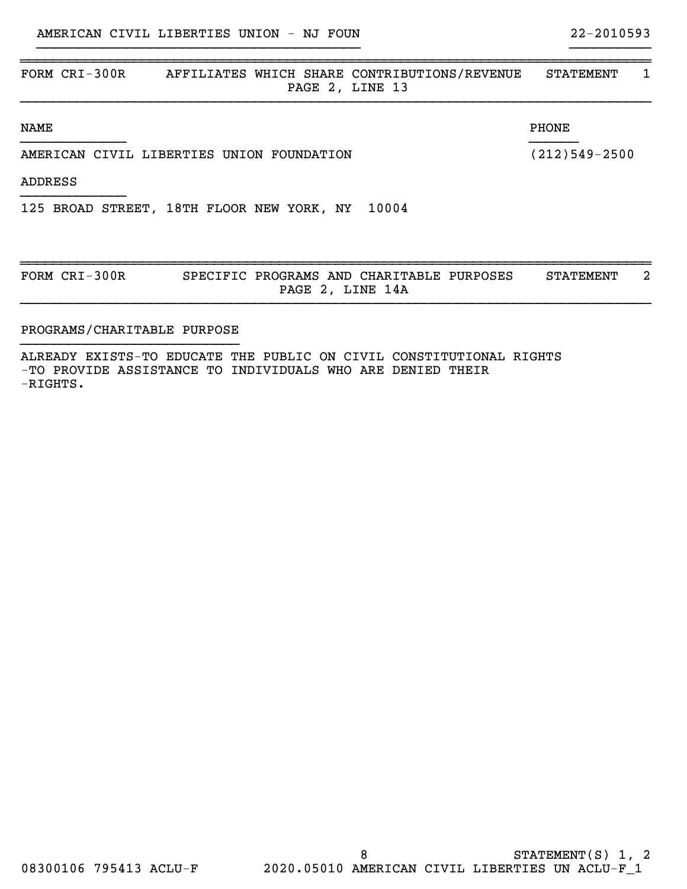| FORM CRI-300R                             | AFFILIATES WHICH SHARE CONTRIBUTIONS/REVENUE<br>PAGE 2, LINE 13 | <b>STATEMENT</b><br>1 |
|-------------------------------------------|-----------------------------------------------------------------|-----------------------|
| <b>NAME</b>                               |                                                                 | PHONE                 |
| AMERICAN CIVIL LIBERTIES UNION FOUNDATION |                                                                 | $(212)549 - 2500$     |
| <b>ADDRESS</b>                            |                                                                 |                       |
|                                           | 125 BROAD STREET, 18TH FLOOR NEW YORK, NY 10004                 |                       |
| FORM CRI-300R                             | SPECIFIC PROGRAMS AND CHARITABLE PURPOSES<br>PAGE 2, LINE 14A   | 2<br><b>STATEMENT</b> |

}}}}}}}}}}}}}}}}}}}}}}}}}}}}}}}}}}}}}}}} }}}}}}}}}}

## PROGRAMS/CHARITABLE PURPOSE }}}}}}}}}}}}}}}}}}}}}}}}}}}

ALREADY EXISTS-TO EDUCATE THE PUBLIC ON CIVIL CONSTITUTIONAL RIGHTS -TO PROVIDE ASSISTANCE TO INDIVIDUALS WHO ARE DENIED THEIR -RIGHTS.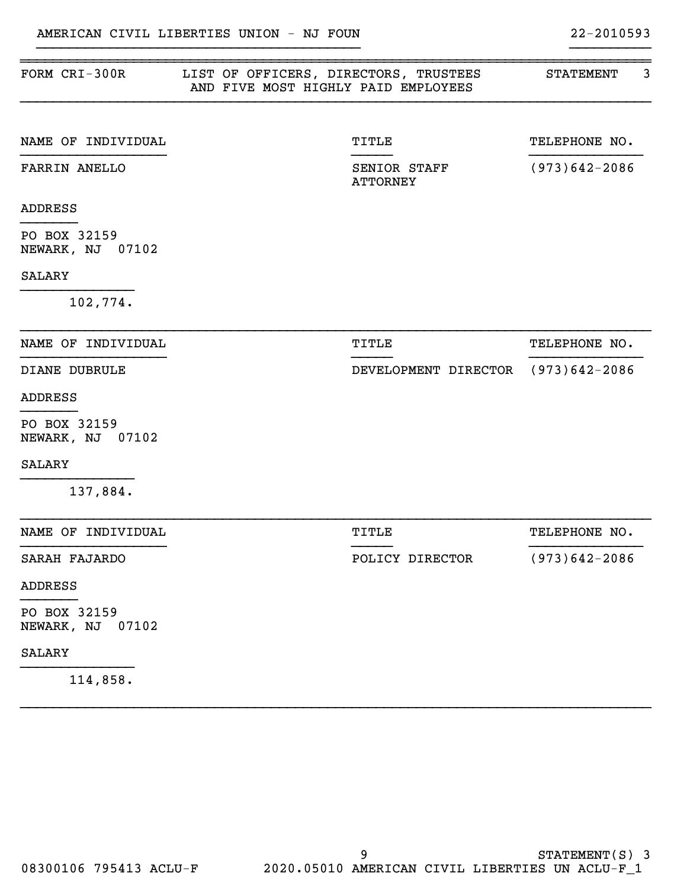| FORM CRI-300R                    | LIST OF OFFICERS, DIRECTORS, TRUSTEES<br>AND FIVE MOST HIGHLY PAID EMPLOYEES | <b>STATEMENT</b>  | 3 |
|----------------------------------|------------------------------------------------------------------------------|-------------------|---|
| NAME OF INDIVIDUAL               | TITLE                                                                        | TELEPHONE NO.     |   |
| FARRIN ANELLO                    | SENIOR STAFF<br><b>ATTORNEY</b>                                              | $(973)642 - 2086$ |   |
| <b>ADDRESS</b>                   |                                                                              |                   |   |
| PO BOX 32159<br>NEWARK, NJ 07102 |                                                                              |                   |   |
| <b>SALARY</b>                    |                                                                              |                   |   |
| 102,774.                         |                                                                              |                   |   |
| NAME OF INDIVIDUAL               | TITLE                                                                        | TELEPHONE NO.     |   |
| DIANE DUBRULE                    | DEVELOPMENT DIRECTOR (973)642-2086                                           |                   |   |
| <b>ADDRESS</b>                   |                                                                              |                   |   |
| PO BOX 32159<br>NEWARK, NJ 07102 |                                                                              |                   |   |
| <b>SALARY</b>                    |                                                                              |                   |   |
| 137,884.                         |                                                                              |                   |   |
| NAME OF INDIVIDUAL               | TITLE                                                                        | TELEPHONE NO.     |   |
| SARAH FAJARDO                    | POLICY DIRECTOR                                                              | $(973)642 - 2086$ |   |
| <b>ADDRESS</b>                   |                                                                              |                   |   |
| PO BOX 32159<br>NEWARK, NJ 07102 |                                                                              |                   |   |
| SALARY                           |                                                                              |                   |   |
|                                  |                                                                              |                   |   |

}}}}}}}}}}}}}}}}}}}}}}}}}}}}}}}}}}}}}}}} }}}}}}}}}}

}}}}}}}}}}}}}}}}}}}}}}}}}}}}}}}}}}}}}}}}}}}}}}}}}}}}}}}}}}}}}}}}}}}}}}}}}}}}}}

114,858.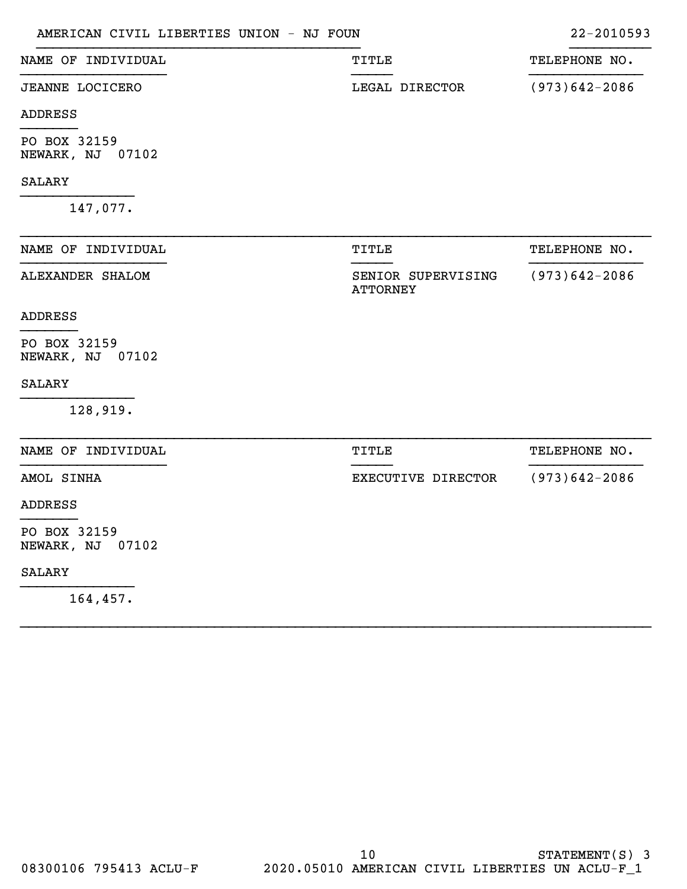| AMERICAN CIVIL LIBERTIES UNION - NJ FOUN |                                       | 22-2010593        |
|------------------------------------------|---------------------------------------|-------------------|
| NAME OF INDIVIDUAL                       | TITLE                                 | TELEPHONE NO.     |
| <b>JEANNE LOCICERO</b>                   | LEGAL DIRECTOR                        | $(973)642 - 2086$ |
| <b>ADDRESS</b>                           |                                       |                   |
| PO BOX 32159<br>NEWARK, NJ 07102         |                                       |                   |
| <b>SALARY</b>                            |                                       |                   |
| 147,077.                                 |                                       |                   |
| NAME OF INDIVIDUAL                       | TITLE                                 | TELEPHONE NO.     |
| ALEXANDER SHALOM                         | SENIOR SUPERVISING<br><b>ATTORNEY</b> | $(973)642 - 2086$ |
| <b>ADDRESS</b>                           |                                       |                   |
| PO BOX 32159<br>NEWARK, NJ 07102         |                                       |                   |
| <b>SALARY</b>                            |                                       |                   |
| 128,919.                                 |                                       |                   |
| NAME OF INDIVIDUAL                       | TITLE                                 | TELEPHONE NO.     |
| AMOL SINHA                               | EXECUTIVE DIRECTOR                    | $(973)642 - 2086$ |
| <b>ADDRESS</b>                           |                                       |                   |
| PO BOX 32159<br>NEWARK, NJ 07102         |                                       |                   |
| <b>SALARY</b>                            |                                       |                   |
| 164,457.                                 |                                       |                   |

}}}}}}}}}}}}}}}}}}}}}}}}}}}}}}}}}}}}}}}}}}}}}}}}}}}}}}}}}}}}}}}}}}}}}}}}}}}}}}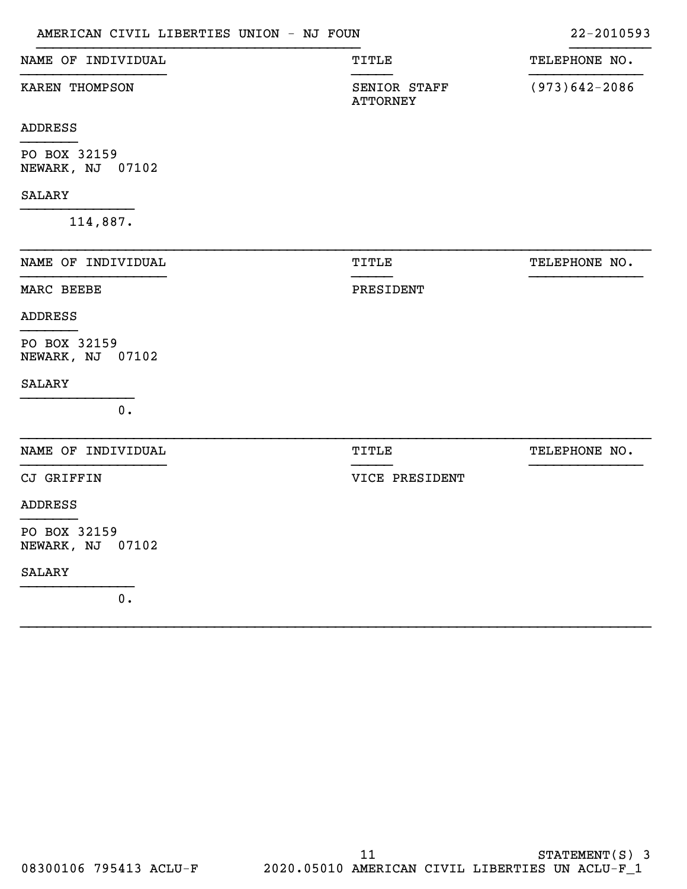| AMERICAN CIVIL LIBERTIES UNION - NJ FOUN |                                 | 22-2010593        |
|------------------------------------------|---------------------------------|-------------------|
| NAME OF INDIVIDUAL                       | TITLE                           | TELEPHONE NO.     |
| KAREN THOMPSON                           | SENIOR STAFF<br><b>ATTORNEY</b> | $(973)642 - 2086$ |
| <b>ADDRESS</b>                           |                                 |                   |
| PO BOX 32159<br>NEWARK, NJ 07102         |                                 |                   |
| <b>SALARY</b>                            |                                 |                   |
| 114,887.                                 |                                 |                   |
| NAME OF INDIVIDUAL                       | TITLE                           | TELEPHONE NO.     |
| MARC BEEBE                               | PRESIDENT                       |                   |
| <b>ADDRESS</b>                           |                                 |                   |
| PO BOX 32159<br>NEWARK, NJ 07102         |                                 |                   |
| <b>SALARY</b>                            |                                 |                   |
| 0.                                       |                                 |                   |
| NAME OF INDIVIDUAL                       | <b>TITLE</b>                    | TELEPHONE NO.     |
| CJ GRIFFIN                               | VICE PRESIDENT                  |                   |
| <b>ADDRESS</b>                           |                                 |                   |
| PO BOX 32159<br>NEWARK, NJ 07102         |                                 |                   |
| <b>SALARY</b>                            |                                 |                   |
| 0.                                       |                                 |                   |

}}}}}}}}}}}}}}}}}}}}}}}}}}}}}}}}}}}}}}}}}}}}}}}}}}}}}}}}}}}}}}}}}}}}}}}}}}}}}}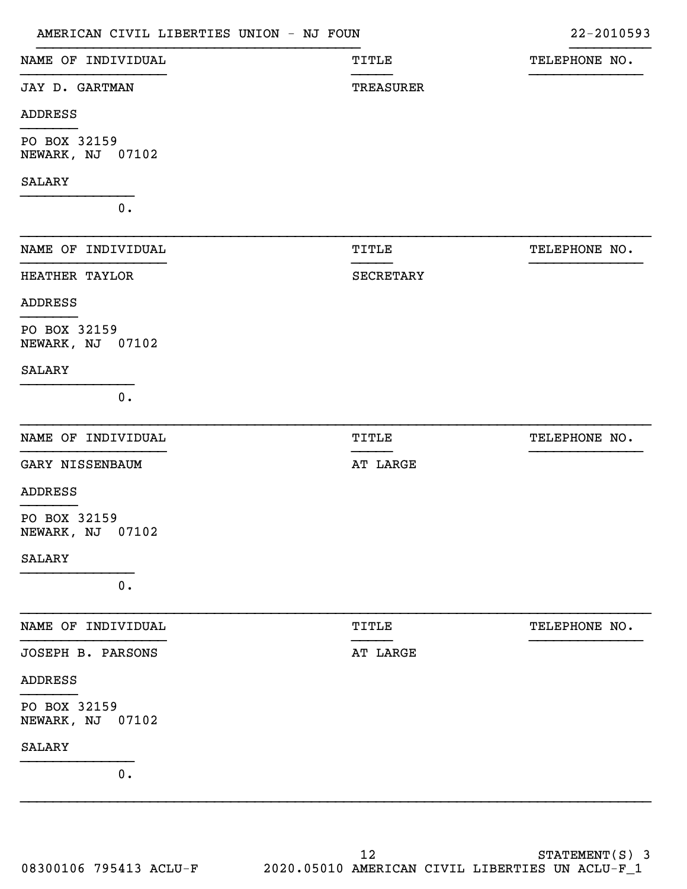| AMERICAN CIVIL LIBERTIES UNION - NJ FOUN |                  | 22-2010593    |
|------------------------------------------|------------------|---------------|
| NAME OF INDIVIDUAL                       | <b>TITLE</b>     | TELEPHONE NO. |
| JAY D. GARTMAN                           | <b>TREASURER</b> |               |
| <b>ADDRESS</b>                           |                  |               |
| PO BOX 32159<br>NEWARK, NJ 07102         |                  |               |
| <b>SALARY</b>                            |                  |               |
| 0.                                       |                  |               |
| NAME OF INDIVIDUAL                       | TITLE            | TELEPHONE NO. |
| HEATHER TAYLOR                           | SECRETARY        |               |
| <b>ADDRESS</b>                           |                  |               |
| PO BOX 32159<br>NEWARK, NJ 07102         |                  |               |
| <b>SALARY</b>                            |                  |               |
| 0.                                       |                  |               |
| NAME OF INDIVIDUAL                       | TITLE            | TELEPHONE NO. |
| GARY NISSENBAUM                          | AT LARGE         |               |
| <b>ADDRESS</b>                           |                  |               |
| PO BOX 32159<br>NEWARK, NJ 07102         |                  |               |
| SALARY                                   |                  |               |
| 0.                                       |                  |               |
| NAME OF INDIVIDUAL                       | TITLE            | TELEPHONE NO. |
| JOSEPH B. PARSONS                        | AT LARGE         |               |
| <b>ADDRESS</b>                           |                  |               |
| PO BOX 32159<br>NEWARK, NJ 07102         |                  |               |
| SALARY                                   |                  |               |
| 0.                                       |                  |               |
|                                          |                  |               |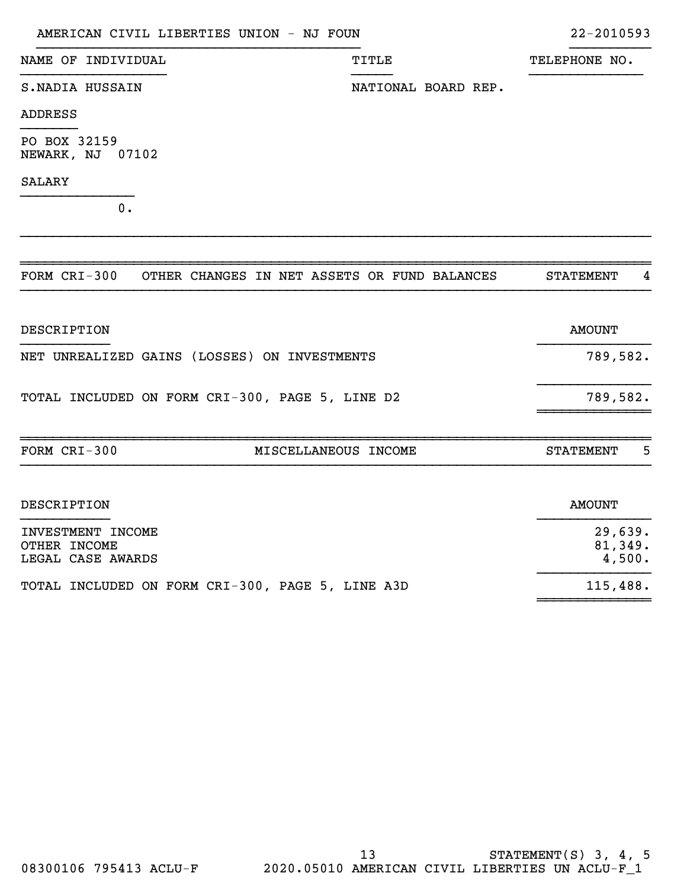| AMERICAN CIVIL LIBERTIES UNION - NJ FOUN                     |                     | 22-2010593            |
|--------------------------------------------------------------|---------------------|-----------------------|
| NAME OF INDIVIDUAL                                           | TITLE               | TELEPHONE NO.         |
| S. NADIA HUSSAIN                                             | NATIONAL BOARD REP. |                       |
| <b>ADDRESS</b>                                               |                     |                       |
| PO BOX 32159<br><b>NEWARK, NJ 07102</b>                      |                     |                       |
| <b>SALARY</b>                                                |                     |                       |
| 0.                                                           |                     |                       |
|                                                              |                     |                       |
| FORM CRI-300<br>OTHER CHANGES IN NET ASSETS OR FUND BALANCES |                     | <b>STATEMENT</b><br>4 |
| <b>DESCRIPTION</b>                                           |                     | <b>AMOUNT</b>         |
| NET UNREALIZED GAINS (LOSSES) ON INVESTMENTS                 |                     | 789,582.              |
| TOTAL INCLUDED ON FORM CRI-300, PAGE 5, LINE D2              |                     | 789,582.              |
|                                                              |                     |                       |

| FORM CRI-300                                           | MISCELLANEOUS INCOME | 5<br><b>STATEMENT</b>        |
|--------------------------------------------------------|----------------------|------------------------------|
|                                                        |                      |                              |
| DESCRIPTION                                            |                      | AMOUNT                       |
| INVESTMENT INCOME<br>OTHER INCOME<br>LEGAL CASE AWARDS |                      | 29,639.<br>81,349.<br>4,500. |

TOTAL INCLUDED ON FORM CRI-300, PAGE 5, LINE A3D 115,488.

}}}}}}}}}}}}}}

~~~~~~~~~~~~~~